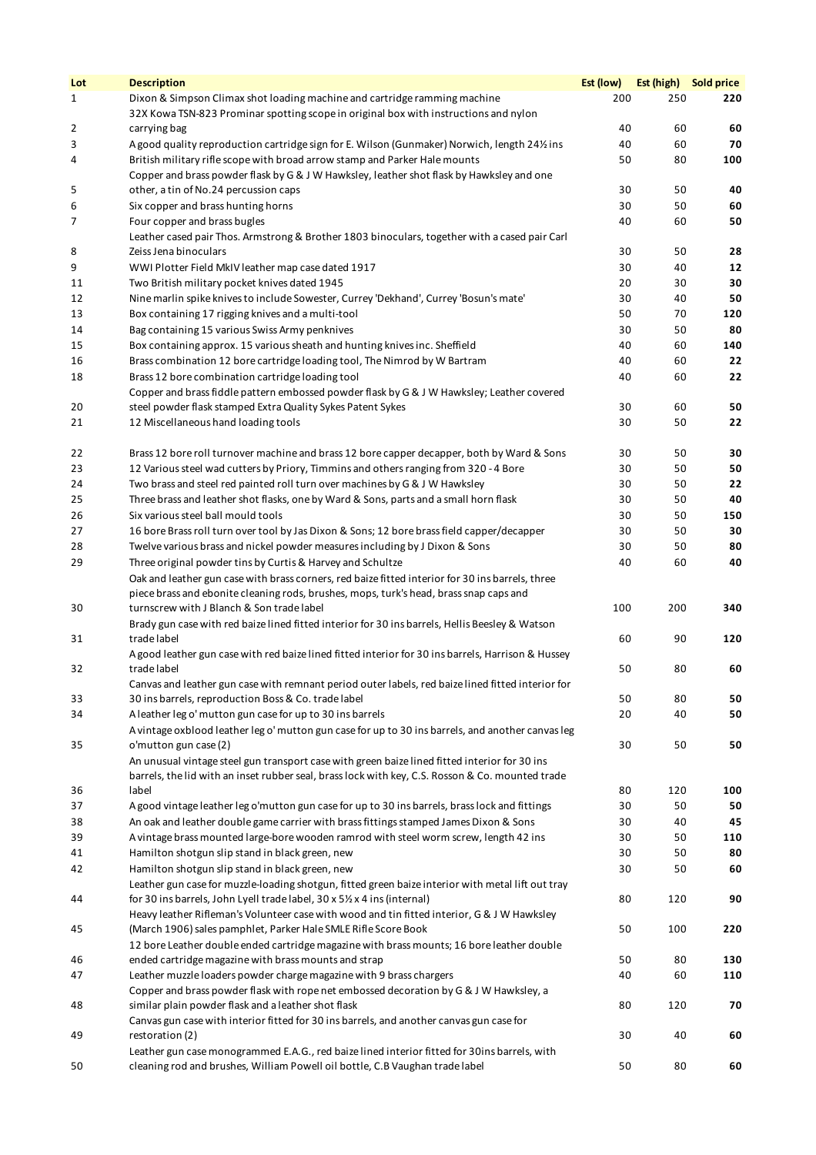| Lot | <b>Description</b>                                                                                                                                   | Est (low) | Est (high) Sold price |     |
|-----|------------------------------------------------------------------------------------------------------------------------------------------------------|-----------|-----------------------|-----|
| 1   | Dixon & Simpson Climax shot loading machine and cartridge ramming machine                                                                            | 200       | 250                   | 220 |
|     | 32X Kowa TSN-823 Prominar spotting scope in original box with instructions and nylon                                                                 |           |                       |     |
| 2   | carrying bag                                                                                                                                         | 40        | 60                    | 60  |
| 3   | A good quality reproduction cartridge sign for E. Wilson (Gunmaker) Norwich, length 24% ins                                                          | 40        | 60                    | 70  |
| 4   | British military rifle scope with broad arrow stamp and Parker Hale mounts                                                                           | 50        | 80                    | 100 |
|     | Copper and brass powder flask by G & J W Hawksley, leather shot flask by Hawksley and one                                                            |           |                       |     |
| 5   | other, a tin of No.24 percussion caps                                                                                                                | 30        | 50                    | 40  |
| 6   | Six copper and brass hunting horns                                                                                                                   | 30        | 50                    | 60  |
| 7   | Four copper and brass bugles                                                                                                                         | 40        | 60                    | 50  |
| 8   | Leather cased pair Thos. Armstrong & Brother 1803 binoculars, together with a cased pair Carl<br>Zeiss Jena binoculars                               | 30        | 50                    | 28  |
| 9   | WWI Plotter Field MkIV leather map case dated 1917                                                                                                   | 30        | 40                    | 12  |
| 11  | Two British military pocket knives dated 1945                                                                                                        | 20        | 30                    | 30  |
| 12  | Nine marlin spike knives to include Sowester, Currey 'Dekhand', Currey 'Bosun's mate'                                                                | 30        | 40                    | 50  |
| 13  | Box containing 17 rigging knives and a multi-tool                                                                                                    | 50        | 70                    | 120 |
| 14  | Bag containing 15 various Swiss Army penknives                                                                                                       | 30        | 50                    | 80  |
| 15  | Box containing approx. 15 various sheath and hunting knives inc. Sheffield                                                                           | 40        | 60                    | 140 |
| 16  | Brass combination 12 bore cartridge loading tool, The Nimrod by W Bartram                                                                            | 40        | 60                    | 22  |
| 18  | Brass 12 bore combination cartridge loading tool                                                                                                     | 40        | 60                    | 22  |
|     | Copper and brass fiddle pattern embossed powder flask by G & J W Hawksley; Leather covered                                                           |           |                       |     |
| 20  | steel powder flask stamped Extra Quality Sykes Patent Sykes                                                                                          | 30        | 60                    | 50  |
| 21  | 12 Miscellaneous hand loading tools                                                                                                                  | 30        | 50                    | 22  |
|     |                                                                                                                                                      |           |                       |     |
| 22  | Brass 12 bore roll turnover machine and brass 12 bore capper decapper, both by Ward & Sons                                                           | 30        | 50                    | 30  |
| 23  | 12 Various steel wad cutters by Priory, Timmins and others ranging from 320 - 4 Bore                                                                 | 30        | 50                    | 50  |
| 24  | Two brass and steel red painted roll turn over machines by G & J W Hawksley                                                                          | 30        | 50                    | 22  |
| 25  | Three brass and leather shot flasks, one by Ward & Sons, parts and a small horn flask                                                                | 30        | 50                    | 40  |
| 26  | Six various steel ball mould tools                                                                                                                   | 30        | 50                    | 150 |
| 27  | 16 bore Brass roll turn over tool by Jas Dixon & Sons; 12 bore brass field capper/decapper                                                           | 30        | 50                    | 30  |
| 28  | Twelve various brass and nickel powder measures including by J Dixon & Sons                                                                          | 30        | 50                    | 80  |
| 29  | Three original powder tins by Curtis & Harvey and Schultze                                                                                           | 40        | 60                    | 40  |
|     | Oak and leather gun case with brass corners, red baize fitted interior for 30 ins barrels, three                                                     |           |                       |     |
|     | piece brass and ebonite cleaning rods, brushes, mops, turk's head, brass snap caps and                                                               |           |                       |     |
| 30  | turnscrew with J Blanch & Son trade label<br>Brady gun case with red baize lined fitted interior for 30 ins barrels, Hellis Beesley & Watson         | 100       | 200                   | 340 |
| 31  | trade label                                                                                                                                          | 60        | 90                    | 120 |
|     | A good leather gun case with red baize lined fitted interior for 30 ins barrels, Harrison & Hussey                                                   |           |                       |     |
| 32  | trade label                                                                                                                                          | 50        | 80                    | 60  |
|     | Canvas and leather gun case with remnant period outer labels, red baize lined fitted interior for                                                    |           |                       |     |
| 33  | 30 ins barrels, reproduction Boss & Co. trade label                                                                                                  | 50        | 80                    | 50  |
| 34  | A leather leg o' mutton gun case for up to 30 ins barrels                                                                                            | 20        | 40                    | 50  |
|     | A vintage oxblood leather leg o' mutton gun case for up to 30 ins barrels, and another canvas leg                                                    |           |                       |     |
| 35  | o'mutton gun case (2)                                                                                                                                | 30        | 50                    | 50  |
|     | An unusual vintage steel gun transport case with green baize lined fitted interior for 30 ins                                                        |           |                       |     |
|     | barrels, the lid with an inset rubber seal, brass lock with key, C.S. Rosson & Co. mounted trade                                                     |           |                       |     |
| 36  | label                                                                                                                                                | 80        | 120                   | 100 |
| 37  | A good vintage leather leg o'mutton gun case for up to 30 ins barrels, brass lock and fittings                                                       | 30        | 50                    | 50  |
| 38  | An oak and leather double game carrier with brass fittings stamped James Dixon & Sons                                                                | 30        | 40                    | 45  |
| 39  | A vintage brass mounted large-bore wooden ramrod with steel worm screw, length 42 ins                                                                | 30        | 50                    | 110 |
| 41  | Hamilton shotgun slip stand in black green, new                                                                                                      | 30        | 50                    | 80  |
| 42  | Hamilton shotgun slip stand in black green, new<br>Leather gun case for muzzle-loading shotgun, fitted green baize interior with metal lift out tray | 30        | 50                    | 60  |
| 44  | for 30 ins barrels, John Lyell trade label, 30 x 51/2 x 4 ins (internal)                                                                             | 80        | 120                   | 90  |
|     | Heavy leather Rifleman's Volunteer case with wood and tin fitted interior, G & J W Hawksley                                                          |           |                       |     |
| 45  | (March 1906) sales pamphlet, Parker Hale SMLE Rifle Score Book                                                                                       | 50        | 100                   | 220 |
|     | 12 bore Leather double ended cartridge magazine with brass mounts; 16 bore leather double                                                            |           |                       |     |
| 46  | ended cartridge magazine with brass mounts and strap                                                                                                 | 50        | 80                    | 130 |
| 47  | Leather muzzle loaders powder charge magazine with 9 brass chargers                                                                                  | 40        | 60                    | 110 |
|     | Copper and brass powder flask with rope net embossed decoration by G & J W Hawksley, a                                                               |           |                       |     |
| 48  | similar plain powder flask and a leather shot flask                                                                                                  | 80        | 120                   | 70  |
|     | Canvas gun case with interior fitted for 30 ins barrels, and another canvas gun case for                                                             |           |                       |     |
| 49  | restoration (2)                                                                                                                                      | 30        | 40                    | 60  |
|     | Leather gun case monogrammed E.A.G., red baize lined interior fitted for 30ins barrels, with                                                         |           |                       |     |
| 50  | cleaning rod and brushes, William Powell oil bottle, C.B Vaughan trade label                                                                         | 50        | 80                    | 60  |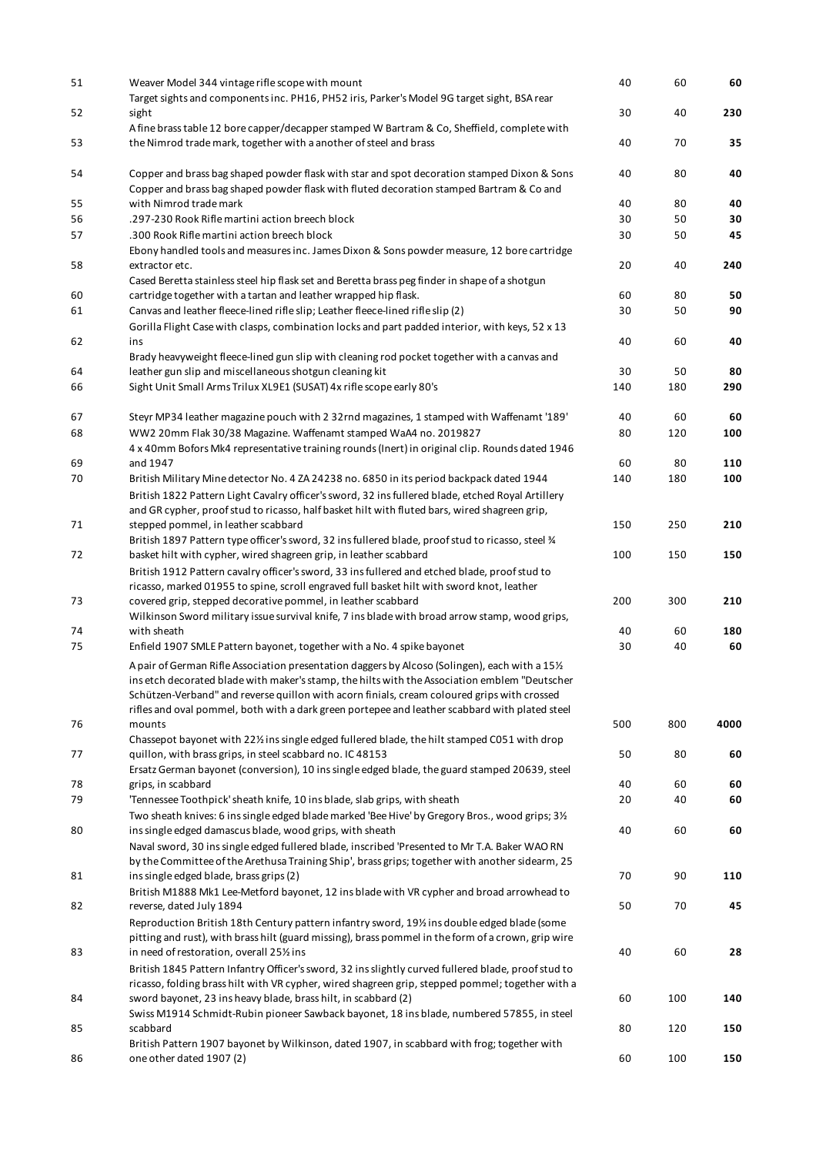| 51       | Weaver Model 344 vintage rifle scope with mount<br>Target sights and components inc. PH16, PH52 iris, Parker's Model 9G target sight, BSA rear                                                                                                                                                                                                                                                    | 40       | 60       | 60        |
|----------|---------------------------------------------------------------------------------------------------------------------------------------------------------------------------------------------------------------------------------------------------------------------------------------------------------------------------------------------------------------------------------------------------|----------|----------|-----------|
| 52<br>53 | sight<br>A fine brass table 12 bore capper/decapper stamped W Bartram & Co, Sheffield, complete with<br>the Nimrod trade mark, together with a another of steel and brass                                                                                                                                                                                                                         | 30<br>40 | 40<br>70 | 230<br>35 |
| 54       | Copper and brass bag shaped powder flask with star and spot decoration stamped Dixon & Sons                                                                                                                                                                                                                                                                                                       | 40       | 80       | 40        |
|          | Copper and brass bag shaped powder flask with fluted decoration stamped Bartram & Co and                                                                                                                                                                                                                                                                                                          |          |          |           |
| 55       | with Nimrod trade mark                                                                                                                                                                                                                                                                                                                                                                            | 40       | 80       | 40        |
| 56       | .297-230 Rook Rifle martini action breech block                                                                                                                                                                                                                                                                                                                                                   | 30       | 50       | 30        |
| 57       | .300 Rook Rifle martini action breech block                                                                                                                                                                                                                                                                                                                                                       | 30       | 50       | 45        |
| 58       | Ebony handled tools and measures inc. James Dixon & Sons powder measure, 12 bore cartridge<br>extractor etc.<br>Cased Beretta stainless steel hip flask set and Beretta brass peg finder in shape of a shotgun                                                                                                                                                                                    | 20       | 40       | 240       |
| 60       |                                                                                                                                                                                                                                                                                                                                                                                                   | 60       | 80       | 50        |
| 61       | cartridge together with a tartan and leather wrapped hip flask.<br>Canvas and leather fleece-lined rifle slip; Leather fleece-lined rifle slip (2)                                                                                                                                                                                                                                                | 30       | 50       | 90        |
| 62       | Gorilla Flight Case with clasps, combination locks and part padded interior, with keys, 52 x 13<br>ins                                                                                                                                                                                                                                                                                            | 40       | 60       | 40        |
|          | Brady heavyweight fleece-lined gun slip with cleaning rod pocket together with a canvas and                                                                                                                                                                                                                                                                                                       |          |          |           |
| 64       | leather gun slip and miscellaneous shotgun cleaning kit                                                                                                                                                                                                                                                                                                                                           | 30       | 50       | 80        |
| 66       | Sight Unit Small Arms Trilux XL9E1 (SUSAT) 4x rifle scope early 80's                                                                                                                                                                                                                                                                                                                              | 140      | 180      | 290       |
| 67       | Steyr MP34 leather magazine pouch with 2 32rnd magazines, 1 stamped with Waffenamt '189'                                                                                                                                                                                                                                                                                                          | 40       | 60       | 60        |
| 68       | WW2 20mm Flak 30/38 Magazine. Waffenamt stamped WaA4 no. 2019827                                                                                                                                                                                                                                                                                                                                  | 80       | 120      | 100       |
|          | 4 x 40mm Bofors Mk4 representative training rounds (Inert) in original clip. Rounds dated 1946                                                                                                                                                                                                                                                                                                    |          |          |           |
| 69       | and 1947                                                                                                                                                                                                                                                                                                                                                                                          | 60       | 80       | 110       |
| 70       | British Military Mine detector No. 4 ZA 24238 no. 6850 in its period backpack dated 1944                                                                                                                                                                                                                                                                                                          | 140      | 180      | 100       |
|          | British 1822 Pattern Light Cavalry officer's sword, 32 ins fullered blade, etched Royal Artillery                                                                                                                                                                                                                                                                                                 |          |          |           |
|          | and GR cypher, proof stud to ricasso, half basket hilt with fluted bars, wired shagreen grip,                                                                                                                                                                                                                                                                                                     |          |          |           |
| 71       | stepped pommel, in leather scabbard                                                                                                                                                                                                                                                                                                                                                               | 150      | 250      | 210       |
| 72       | British 1897 Pattern type officer's sword, 32 ins fullered blade, proof stud to ricasso, steel %<br>basket hilt with cypher, wired shagreen grip, in leather scabbard                                                                                                                                                                                                                             | 100      | 150      | 150       |
|          | British 1912 Pattern cavalry officer's sword, 33 ins fullered and etched blade, proof stud to<br>ricasso, marked 01955 to spine, scroll engraved full basket hilt with sword knot, leather                                                                                                                                                                                                        |          |          |           |
| 73       | covered grip, stepped decorative pommel, in leather scabbard<br>Wilkinson Sword military issue survival knife, 7 ins blade with broad arrow stamp, wood grips,                                                                                                                                                                                                                                    | 200      | 300      | 210       |
| 74       | with sheath                                                                                                                                                                                                                                                                                                                                                                                       | 40       | 60       | 180       |
| 75       | Enfield 1907 SMLE Pattern bayonet, together with a No. 4 spike bayonet                                                                                                                                                                                                                                                                                                                            | 30       | 40       | 60        |
|          | A pair of German Rifle Association presentation daggers by Alcoso (Solingen), each with a 151/2<br>ins etch decorated blade with maker's stamp, the hilts with the Association emblem "Deutscher<br>Schützen-Verband" and reverse quillon with acorn finials, cream coloured grips with crossed<br>rifles and oval pommel, both with a dark green portepee and leather scabbard with plated steel |          |          |           |
| 76       | mounts                                                                                                                                                                                                                                                                                                                                                                                            | 500      | 800      | 4000      |
| 77       | Chassepot bayonet with 221/2 ins single edged fullered blade, the hilt stamped C051 with drop<br>quillon, with brass grips, in steel scabbard no. IC 48153                                                                                                                                                                                                                                        | 50       | 80       | 60        |
|          | Ersatz German bayonet (conversion), 10 ins single edged blade, the guard stamped 20639, steel                                                                                                                                                                                                                                                                                                     |          |          |           |
| 78       | grips, in scabbard                                                                                                                                                                                                                                                                                                                                                                                | 40       | 60       | 60        |
| 79       | 'Tennessee Toothpick' sheath knife, 10 ins blade, slab grips, with sheath                                                                                                                                                                                                                                                                                                                         | 20       | 40       | 60        |
|          | Two sheath knives: 6 ins single edged blade marked 'Bee Hive' by Gregory Bros., wood grips; 31/2                                                                                                                                                                                                                                                                                                  |          |          |           |
| 80       | ins single edged damascus blade, wood grips, with sheath<br>Naval sword, 30 ins single edged fullered blade, inscribed 'Presented to Mr T.A. Baker WAO RN                                                                                                                                                                                                                                         | 40       | 60       | 60        |
|          | by the Committee of the Arethusa Training Ship', brass grips; together with another sidearm, 25                                                                                                                                                                                                                                                                                                   |          |          |           |
| 81       | ins single edged blade, brass grips (2)                                                                                                                                                                                                                                                                                                                                                           | 70       | 90       | 110       |
|          | British M1888 Mk1 Lee-Metford bayonet, 12 ins blade with VR cypher and broad arrowhead to                                                                                                                                                                                                                                                                                                         |          |          |           |
| 82       | reverse, dated July 1894<br>Reproduction British 18th Century pattern infantry sword, 19% ins double edged blade (some                                                                                                                                                                                                                                                                            | 50       | 70       | 45        |
|          | pitting and rust), with brass hilt (guard missing), brass pommel in the form of a crown, grip wire                                                                                                                                                                                                                                                                                                |          |          |           |
| 83       | in need of restoration, overall 25% ins                                                                                                                                                                                                                                                                                                                                                           | 40       | 60       | 28        |
|          | British 1845 Pattern Infantry Officer's sword, 32 ins slightly curved fullered blade, proof stud to                                                                                                                                                                                                                                                                                               |          |          |           |
|          | ricasso, folding brass hilt with VR cypher, wired shagreen grip, stepped pommel; together with a                                                                                                                                                                                                                                                                                                  |          |          |           |
| 84       | sword bayonet, 23 ins heavy blade, brass hilt, in scabbard (2)                                                                                                                                                                                                                                                                                                                                    | 60       | 100      | 140       |
|          | Swiss M1914 Schmidt-Rubin pioneer Sawback bayonet, 18 ins blade, numbered 57855, in steel                                                                                                                                                                                                                                                                                                         |          |          |           |
| 85       | scabbard                                                                                                                                                                                                                                                                                                                                                                                          | 80       | 120      | 150       |
|          | British Pattern 1907 bayonet by Wilkinson, dated 1907, in scabbard with frog; together with                                                                                                                                                                                                                                                                                                       |          |          |           |
| 86       | one other dated 1907 (2)                                                                                                                                                                                                                                                                                                                                                                          | 60       | 100      | 150       |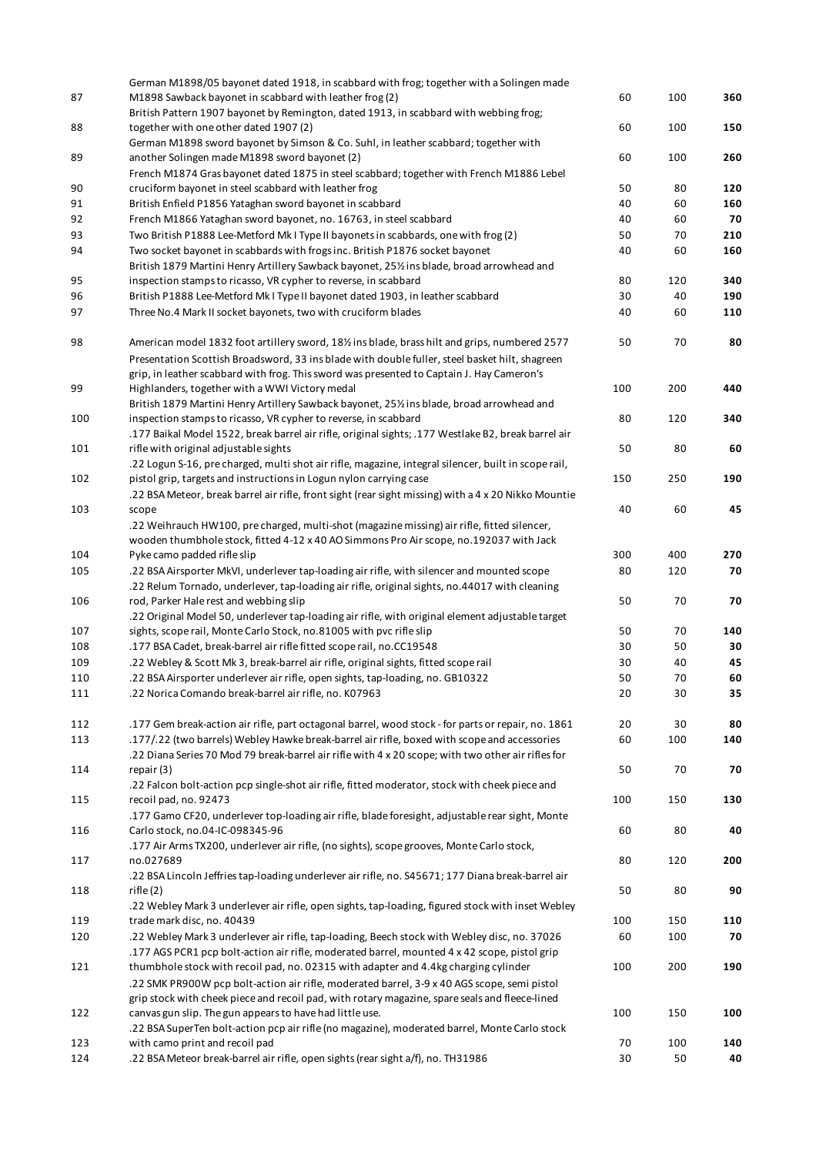|     | German M1898/05 bayonet dated 1918, in scabbard with frog; together with a Solingen made                      |     |     |     |
|-----|---------------------------------------------------------------------------------------------------------------|-----|-----|-----|
| 87  | M1898 Sawback bayonet in scabbard with leather frog (2)                                                       | 60  | 100 | 360 |
|     | British Pattern 1907 bayonet by Remington, dated 1913, in scabbard with webbing frog;                         |     |     |     |
| 88  | together with one other dated 1907 (2)                                                                        | 60  | 100 | 150 |
|     | German M1898 sword bayonet by Simson & Co. Suhl, in leather scabbard; together with                           |     |     |     |
| 89  | another Solingen made M1898 sword bayonet (2)                                                                 | 60  | 100 | 260 |
|     | French M1874 Gras bayonet dated 1875 in steel scabbard; together with French M1886 Lebel                      |     |     |     |
| 90  | cruciform bayonet in steel scabbard with leather frog                                                         | 50  | 80  | 120 |
| 91  | British Enfield P1856 Yataghan sword bayonet in scabbard                                                      | 40  | 60  | 160 |
| 92  | French M1866 Yataghan sword bayonet, no. 16763, in steel scabbard                                             | 40  | 60  | 70  |
| 93  | Two British P1888 Lee-Metford Mk I Type II bayonets in scabbards, one with frog (2)                           | 50  | 70  | 210 |
| 94  | Two socket bayonet in scabbards with frogs inc. British P1876 socket bayonet                                  | 40  | 60  | 160 |
|     | British 1879 Martini Henry Artillery Sawback bayonet, 25% ins blade, broad arrowhead and                      |     |     |     |
| 95  | inspection stamps to ricasso, VR cypher to reverse, in scabbard                                               | 80  | 120 | 340 |
| 96  | British P1888 Lee-Metford Mk I Type II bayonet dated 1903, in leather scabbard                                | 30  | 40  | 190 |
| 97  | Three No.4 Mark II socket bayonets, two with cruciform blades                                                 | 40  | 60  | 110 |
|     |                                                                                                               |     |     |     |
| 98  | American model 1832 foot artillery sword, 18% ins blade, brass hilt and grips, numbered 2577                  | 50  | 70  | 80  |
|     | Presentation Scottish Broadsword, 33 ins blade with double fuller, steel basket hilt, shagreen                |     |     |     |
|     | grip, in leather scabbard with frog. This sword was presented to Captain J. Hay Cameron's                     |     |     |     |
| 99  | Highlanders, together with a WWI Victory medal                                                                | 100 | 200 | 440 |
|     | British 1879 Martini Henry Artillery Sawback bayonet, 25% ins blade, broad arrowhead and                      |     |     |     |
| 100 | inspection stamps to ricasso, VR cypher to reverse, in scabbard                                               | 80  | 120 | 340 |
|     | .177 Baikal Model 1522, break barrel air rifle, original sights; .177 Westlake B2, break barrel air           |     |     |     |
| 101 | rifle with original adjustable sights                                                                         | 50  | 80  | 60  |
|     |                                                                                                               |     |     |     |
|     | .22 Logun S-16, pre charged, multi shot air rifle, magazine, integral silencer, built in scope rail,          |     |     |     |
| 102 | pistol grip, targets and instructions in Logun nylon carrying case                                            | 150 | 250 | 190 |
| 103 | .22 BSA Meteor, break barrel air rifle, front sight (rear sight missing) with a 4 x 20 Nikko Mountie<br>scope | 40  | 60  | 45  |
|     |                                                                                                               |     |     |     |
|     | .22 Weihrauch HW100, pre charged, multi-shot (magazine missing) air rifle, fitted silencer,                   |     |     |     |
|     | wooden thumbhole stock, fitted 4-12 x 40 AO Simmons Pro Air scope, no.192037 with Jack                        |     |     |     |
| 104 | Pyke camo padded rifle slip                                                                                   | 300 | 400 | 270 |
| 105 | .22 BSA Airsporter MkVI, underlever tap-loading air rifle, with silencer and mounted scope                    | 80  | 120 | 70  |
|     | .22 Relum Tornado, underlever, tap-loading air rifle, original sights, no.44017 with cleaning                 |     |     |     |
| 106 | rod, Parker Hale rest and webbing slip                                                                        | 50  | 70  | 70  |
|     | .22 Original Model 50, underlever tap-loading air rifle, with original element adjustable target              |     |     |     |
| 107 | sights, scope rail, Monte Carlo Stock, no.81005 with pvc rifle slip                                           | 50  | 70  | 140 |
| 108 | .177 BSA Cadet, break-barrel air rifle fitted scope rail, no.CC19548                                          | 30  | 50  | 30  |
| 109 | .22 Webley & Scott Mk 3, break-barrel air rifle, original sights, fitted scope rail                           | 30  | 40  | 45  |
| 110 | .22 BSA Airsporter underlever air rifle, open sights, tap-loading, no. GB10322                                | 50  | 70  | 60  |
| 111 | .22 Norica Comando break-barrel air rifle, no. K07963                                                         | 20  | 30  | 35  |
|     |                                                                                                               |     |     |     |
| 112 | .177 Gem break-action air rifle, part octagonal barrel, wood stock - for parts or repair, no. 1861            | 20  | 30  | 80  |
| 113 | .177/.22 (two barrels) Webley Hawke break-barrel air rifle, boxed with scope and accessories                  | 60  | 100 | 140 |
|     | .22 Diana Series 70 Mod 79 break-barrel air rifle with 4 x 20 scope; with two other air rifles for            |     |     |     |
| 114 | repair (3)                                                                                                    | 50  | 70  | 70  |
|     | .22 Falcon bolt-action pcp single-shot air rifle, fitted moderator, stock with cheek piece and                |     |     |     |
| 115 | recoil pad, no. 92473                                                                                         | 100 | 150 | 130 |
|     | .177 Gamo CF20, underlever top-loading air rifle, blade foresight, adjustable rear sight, Monte               |     |     |     |
| 116 | Carlo stock, no.04-IC-098345-96                                                                               | 60  | 80  | 40  |
|     | .177 Air Arms TX200, underlever air rifle, (no sights), scope grooves, Monte Carlo stock,                     |     |     |     |
| 117 | no.027689                                                                                                     | 80  | 120 | 200 |
|     | .22 BSA Lincoln Jeffries tap-loading underlever air rifle, no. S45671; 177 Diana break-barrel air             |     |     |     |
| 118 | rifle (2)                                                                                                     | 50  | 80  | 90  |
|     | .22 Webley Mark 3 underlever air rifle, open sights, tap-loading, figured stock with inset Webley             |     |     |     |
| 119 | trade mark disc, no. 40439                                                                                    | 100 | 150 | 110 |
| 120 | .22 Webley Mark 3 underlever air rifle, tap-loading, Beech stock with Webley disc, no. 37026                  | 60  | 100 | 70  |
|     | .177 AGS PCR1 pcp bolt-action air rifle, moderated barrel, mounted 4 x 42 scope, pistol grip                  |     |     |     |
| 121 | thumbhole stock with recoil pad, no. 02315 with adapter and 4.4kg charging cylinder                           | 100 | 200 | 190 |
|     | .22 SMK PR900W pcp bolt-action air rifle, moderated barrel, 3-9 x 40 AGS scope, semi pistol                   |     |     |     |
|     | grip stock with cheek piece and recoil pad, with rotary magazine, spare seals and fleece-lined                |     |     |     |
| 122 | canvas gun slip. The gun appears to have had little use.                                                      | 100 | 150 | 100 |
|     | .22 BSA SuperTen bolt-action pcp air rifle (no magazine), moderated barrel, Monte Carlo stock                 |     |     |     |
| 123 | with camo print and recoil pad                                                                                | 70  | 100 | 140 |
| 124 | .22 BSA Meteor break-barrel air rifle, open sights (rear sight a/f), no. TH31986                              | 30  | 50  | 40  |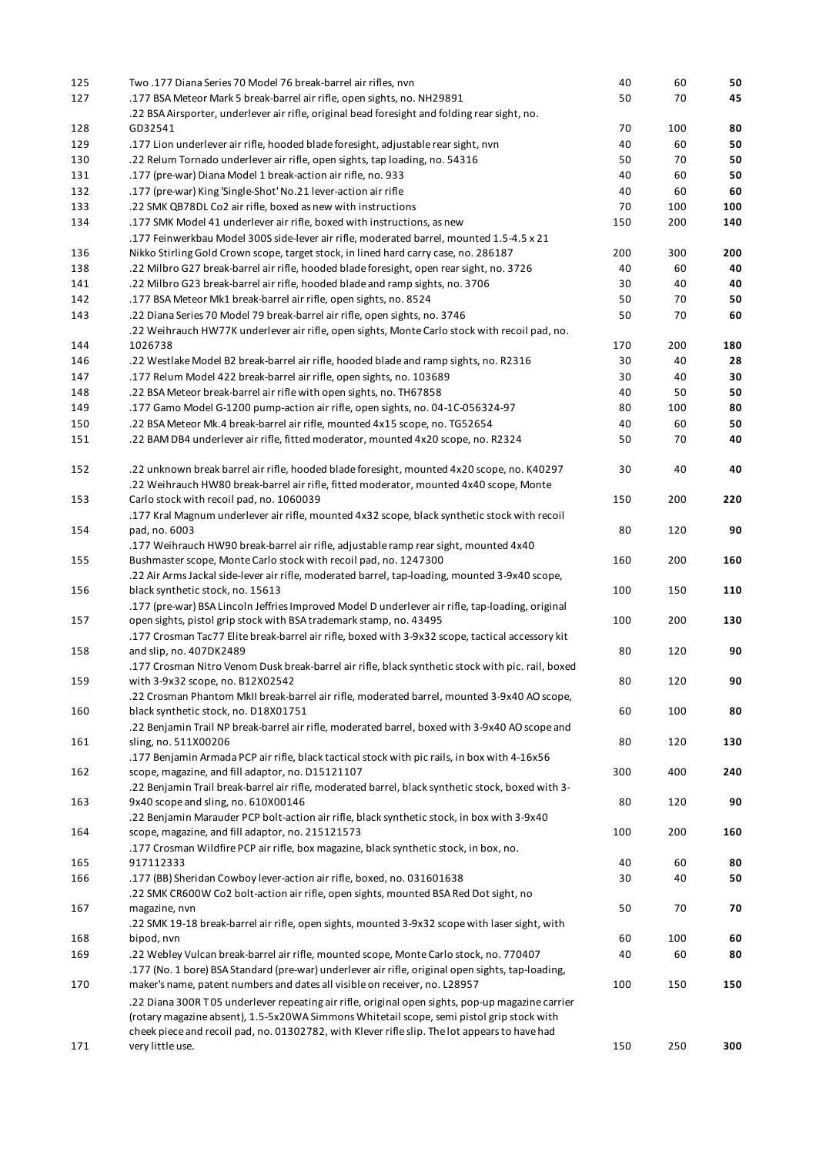| 125 | Two .177 Diana Series 70 Model 76 break-barrel air rifles, nvn                                           | 40  | 60  | 50  |
|-----|----------------------------------------------------------------------------------------------------------|-----|-----|-----|
| 127 | .177 BSA Meteor Mark 5 break-barrel air rifle, open sights, no. NH29891                                  | 50  | 70  | 45  |
|     | .22 BSA Airsporter, underlever air rifle, original bead foresight and folding rear sight, no.            |     |     |     |
| 128 | GD32541                                                                                                  | 70  | 100 | 80  |
| 129 | .177 Lion underlever air rifle, hooded blade foresight, adjustable rear sight, nvn                       | 40  | 60  | 50  |
| 130 | .22 Relum Tornado underlever air rifle, open sights, tap loading, no. 54316                              | 50  | 70  | 50  |
| 131 | .177 (pre-war) Diana Model 1 break-action air rifle, no. 933                                             | 40  | 60  | 50  |
| 132 | .177 (pre-war) King 'Single-Shot' No.21 lever-action air rifle                                           | 40  | 60  | 60  |
| 133 | .22 SMK QB78DL Co2 air rifle, boxed as new with instructions                                             | 70  | 100 | 100 |
| 134 | .177 SMK Model 41 underlever air rifle, boxed with instructions, as new                                  | 150 | 200 | 140 |
|     | .177 Feinwerkbau Model 300S side-lever air rifle, moderated barrel, mounted 1.5-4.5 x 21                 |     |     |     |
| 136 | Nikko Stirling Gold Crown scope, target stock, in lined hard carry case, no. 286187                      | 200 | 300 | 200 |
| 138 | .22 Milbro G27 break-barrel air rifle, hooded blade foresight, open rear sight, no. 3726                 | 40  | 60  | 40  |
| 141 | .22 Milbro G23 break-barrel air rifle, hooded blade and ramp sights, no. 3706                            | 30  | 40  | 40  |
| 142 | .177 BSA Meteor Mk1 break-barrel air rifle, open sights, no. 8524                                        | 50  | 70  | 50  |
| 143 | .22 Diana Series 70 Model 79 break-barrel air rifle, open sights, no. 3746                               | 50  | 70  | 60  |
|     |                                                                                                          |     |     |     |
| 144 | .22 Weihrauch HW77K underlever air rifle, open sights, Monte Carlo stock with recoil pad, no.<br>1026738 | 170 | 200 | 180 |
|     |                                                                                                          |     |     |     |
| 146 | .22 Westlake Model B2 break-barrel air rifle, hooded blade and ramp sights, no. R2316                    | 30  | 40  | 28  |
| 147 | .177 Relum Model 422 break-barrel air rifle, open sights, no. 103689                                     | 30  | 40  | 30  |
| 148 | .22 BSA Meteor break-barrel air rifle with open sights, no. TH67858                                      | 40  | 50  | 50  |
| 149 | .177 Gamo Model G-1200 pump-action air rifle, open sights, no. 04-1C-056324-97                           | 80  | 100 | 80  |
| 150 | .22 BSA Meteor Mk.4 break-barrel air rifle, mounted 4x15 scope, no. TG52654                              | 40  | 60  | 50  |
| 151 | .22 BAM DB4 underlever air rifle, fitted moderator, mounted 4x20 scope, no. R2324                        | 50  | 70  | 40  |
| 152 | .22 unknown break barrel air rifle, hooded blade foresight, mounted 4x20 scope, no. K40297               | 30  | 40  | 40  |
|     | .22 Weihrauch HW80 break-barrel air rifle, fitted moderator, mounted 4x40 scope, Monte                   |     |     |     |
| 153 | Carlo stock with recoil pad, no. 1060039                                                                 | 150 | 200 | 220 |
|     | .177 Kral Magnum underlever air rifle, mounted 4x32 scope, black synthetic stock with recoil             |     |     |     |
| 154 | pad, no. 6003                                                                                            | 80  | 120 | 90  |
|     | .177 Weihrauch HW90 break-barrel air rifle, adjustable ramp rear sight, mounted 4x40                     |     |     |     |
|     |                                                                                                          |     |     |     |
| 155 | Bushmaster scope, Monte Carlo stock with recoil pad, no. 1247300                                         | 160 | 200 | 160 |
|     | .22 Air Arms Jackal side-lever air rifle, moderated barrel, tap-loading, mounted 3-9x40 scope,           |     |     |     |
| 156 | black synthetic stock, no. 15613                                                                         | 100 | 150 | 110 |
|     | .177 (pre-war) BSA Lincoln Jeffries Improved Model D underlever air rifle, tap-loading, original         |     |     |     |
| 157 | open sights, pistol grip stock with BSA trademark stamp, no. 43495                                       | 100 | 200 | 130 |
|     | .177 Crosman Tac77 Elite break-barrel air rifle, boxed with 3-9x32 scope, tactical accessory kit         |     |     |     |
| 158 | and slip, no. 407DK2489                                                                                  | 80  | 120 | 90  |
|     | .177 Crosman Nitro Venom Dusk break-barrel air rifle, black synthetic stock with pic. rail, boxed        |     |     |     |
| 159 | with 3-9x32 scope, no. B12X02542                                                                         | 80  | 120 | 90  |
|     | .22 Crosman Phantom MkII break-barrel air rifle, moderated barrel, mounted 3-9x40 AO scope,              |     |     |     |
| 160 | black synthetic stock, no. D18X01751                                                                     | 60  | 100 | 80  |
|     | .22 Benjamin Trail NP break-barrel air rifle, moderated barrel, boxed with 3-9x40 AO scope and           |     |     |     |
| 161 | sling, no. 511X00206                                                                                     | 80  | 120 | 130 |
|     | .177 Benjamin Armada PCP air rifle, black tactical stock with pic rails, in box with 4-16x56             |     |     |     |
| 162 | scope, magazine, and fill adaptor, no. D15121107                                                         | 300 | 400 | 240 |
|     | .22 Benjamin Trail break-barrel air rifle, moderated barrel, black synthetic stock, boxed with 3-        |     |     |     |
| 163 | 9x40 scope and sling, no. 610X00146                                                                      | 80  | 120 | 90  |
|     | .22 Benjamin Marauder PCP bolt-action air rifle, black synthetic stock, in box with 3-9x40               |     |     |     |
| 164 | scope, magazine, and fill adaptor, no. 215121573                                                         | 100 | 200 | 160 |
|     | .177 Crosman Wildfire PCP air rifle, box magazine, black synthetic stock, in box, no.                    |     |     |     |
| 165 | 917112333                                                                                                | 40  | 60  | 80  |
| 166 | .177 (BB) Sheridan Cowboy lever-action air rifle, boxed, no. 031601638                                   | 30  | 40  | 50  |
|     | .22 SMK CR600W Co2 bolt-action air rifle, open sights, mounted BSA Red Dot sight, no                     |     |     |     |
| 167 | magazine, nvn                                                                                            | 50  | 70  | 70  |
|     |                                                                                                          |     |     |     |
|     | .22 SMK 19-18 break-barrel air rifle, open sights, mounted 3-9x32 scope with laser sight, with           |     |     |     |
| 168 | bipod, nvn                                                                                               | 60  | 100 | 60  |
| 169 | .22 Webley Vulcan break-barrel air rifle, mounted scope, Monte Carlo stock, no. 770407                   | 40  | 60  | 80  |
|     | .177 (No. 1 bore) BSA Standard (pre-war) underlever air rifle, original open sights, tap-loading,        |     |     |     |
| 170 | maker's name, patent numbers and dates all visible on receiver, no. L28957                               | 100 | 150 | 150 |
|     | .22 Diana 300R T05 underlever repeating air rifle, original open sights, pop-up magazine carrier         |     |     |     |
|     | (rotary magazine absent), 1.5-5x20WA Simmons Whitetail scope, semi pistol grip stock with                |     |     |     |
|     | cheek piece and recoil pad, no. 01302782, with Klever rifle slip. The lot appears to have had            |     |     |     |
| 171 | very little use.                                                                                         | 150 | 250 | 300 |
|     |                                                                                                          |     |     |     |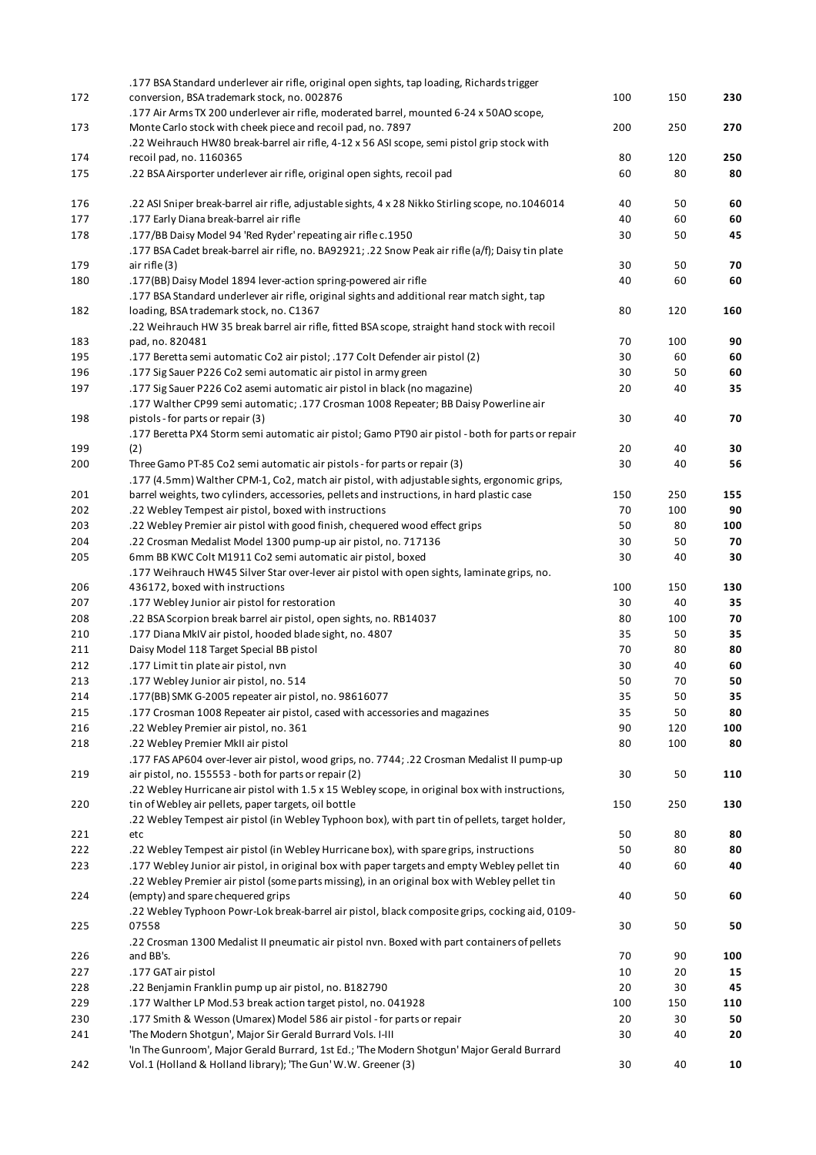|     | .177 BSA Standard underlever air rifle, original open sights, tap loading, Richards trigger        |     |     |     |
|-----|----------------------------------------------------------------------------------------------------|-----|-----|-----|
| 172 | conversion, BSA trademark stock, no. 002876                                                        | 100 | 150 | 230 |
|     | .177 Air Arms TX 200 underlever air rifle, moderated barrel, mounted 6-24 x 50AO scope,            |     |     |     |
| 173 | Monte Carlo stock with cheek piece and recoil pad, no. 7897                                        | 200 | 250 | 270 |
|     | .22 Weihrauch HW80 break-barrel air rifle, 4-12 x 56 ASI scope, semi pistol grip stock with        |     |     |     |
| 174 | recoil pad, no. 1160365                                                                            | 80  | 120 | 250 |
| 175 | .22 BSA Airsporter underlever air rifle, original open sights, recoil pad                          | 60  | 80  | 80  |
| 176 | .22 ASI Sniper break-barrel air rifle, adjustable sights, 4 x 28 Nikko Stirling scope, no.1046014  | 40  | 50  | 60  |
| 177 | .177 Early Diana break-barrel air rifle                                                            | 40  | 60  | 60  |
| 178 | .177/BB Daisy Model 94 'Red Ryder' repeating air rifle c.1950                                      | 30  | 50  | 45  |
|     | .177 BSA Cadet break-barrel air rifle, no. BA92921; .22 Snow Peak air rifle (a/f); Daisy tin plate |     |     |     |
| 179 | air rifle (3)                                                                                      | 30  | 50  | 70  |
| 180 | .177(BB) Daisy Model 1894 lever-action spring-powered air rifle                                    | 40  | 60  | 60  |
|     | .177 BSA Standard underlever air rifle, original sights and additional rear match sight, tap       |     |     |     |
| 182 | loading, BSA trademark stock, no. C1367                                                            | 80  | 120 | 160 |
|     | .22 Weihrauch HW 35 break barrel air rifle, fitted BSA scope, straight hand stock with recoil      |     |     |     |
| 183 | pad, no. 820481                                                                                    | 70  | 100 | 90  |
| 195 | .177 Beretta semi automatic Co2 air pistol; .177 Colt Defender air pistol (2)                      | 30  | 60  | 60  |
| 196 | .177 Sig Sauer P226 Co2 semi automatic air pistol in army green                                    | 30  | 50  | 60  |
| 197 | .177 Sig Sauer P226 Co2 asemi automatic air pistol in black (no magazine)                          | 20  | 40  | 35  |
|     | .177 Walther CP99 semi automatic; .177 Crosman 1008 Repeater; BB Daisy Powerline air               |     |     |     |
| 198 | pistols - for parts or repair (3)                                                                  | 30  | 40  | 70  |
|     | .177 Beretta PX4 Storm semi automatic air pistol; Gamo PT90 air pistol - both for parts or repair  |     |     |     |
| 199 | (2)                                                                                                | 20  | 40  | 30  |
| 200 | Three Gamo PT-85 Co2 semi automatic air pistols - for parts or repair (3)                          | 30  | 40  | 56  |
|     | .177 (4.5mm) Walther CPM-1, Co2, match air pistol, with adjustable sights, ergonomic grips,        |     |     |     |
| 201 | barrel weights, two cylinders, accessories, pellets and instructions, in hard plastic case         | 150 | 250 | 155 |
| 202 | .22 Webley Tempest air pistol, boxed with instructions                                             | 70  | 100 | 90  |
| 203 | .22 Webley Premier air pistol with good finish, chequered wood effect grips                        | 50  | 80  | 100 |
| 204 | .22 Crosman Medalist Model 1300 pump-up air pistol, no. 717136                                     | 30  | 50  | 70  |
| 205 | 6mm BB KWC Colt M1911 Co2 semi automatic air pistol, boxed                                         | 30  | 40  | 30  |
|     | .177 Weihrauch HW45 Silver Star over-lever air pistol with open sights, laminate grips, no.        |     |     |     |
| 206 | 436172, boxed with instructions                                                                    | 100 | 150 | 130 |
| 207 | .177 Webley Junior air pistol for restoration                                                      | 30  | 40  | 35  |
| 208 | .22 BSA Scorpion break barrel air pistol, open sights, no. RB14037                                 | 80  | 100 | 70  |
| 210 | .177 Diana MkIV air pistol, hooded blade sight, no. 4807                                           | 35  | 50  | 35  |
| 211 | Daisy Model 118 Target Special BB pistol                                                           | 70  | 80  | 80  |
| 212 | .177 Limit tin plate air pistol, nvn                                                               | 30  | 40  | 60  |
| 213 | .177 Webley Junior air pistol, no. 514                                                             | 50  | 70  | 50  |
| 214 | .177(BB) SMK G-2005 repeater air pistol, no. 98616077                                              | 35  | 50  | 35  |
| 215 | .177 Crosman 1008 Repeater air pistol, cased with accessories and magazines                        | 35  | 50  | 80  |
| 216 | .22 Webley Premier air pistol, no. 361                                                             | 90  | 120 | 100 |
| 218 | .22 Webley Premier MkII air pistol                                                                 | 80  | 100 | 80  |
|     | .177 FAS AP604 over-lever air pistol, wood grips, no. 7744; .22 Crosman Medalist II pump-up        |     |     |     |
| 219 | air pistol, no. 155553 - both for parts or repair (2)                                              | 30  | 50  | 110 |
|     | .22 Webley Hurricane air pistol with 1.5 x 15 Webley scope, in original box with instructions,     |     |     |     |
| 220 | tin of Webley air pellets, paper targets, oil bottle                                               | 150 | 250 | 130 |
|     | .22 Webley Tempest air pistol (in Webley Typhoon box), with part tin of pellets, target holder,    |     |     |     |
| 221 | etc                                                                                                | 50  | 80  | 80  |
| 222 | .22 Webley Tempest air pistol (in Webley Hurricane box), with spare grips, instructions            | 50  | 80  | 80  |
| 223 | .177 Webley Junior air pistol, in original box with paper targets and empty Webley pellet tin      | 40  | 60  | 40  |
|     | .22 Webley Premier air pistol (some parts missing), in an original box with Webley pellet tin      |     |     |     |
| 224 | (empty) and spare chequered grips                                                                  | 40  | 50  | 60  |
|     | .22 Webley Typhoon Powr-Lok break-barrel air pistol, black composite grips, cocking aid, 0109-     |     |     |     |
| 225 | 07558                                                                                              | 30  | 50  | 50  |
|     | .22 Crosman 1300 Medalist II pneumatic air pistol nvn. Boxed with part containers of pellets       |     |     |     |
| 226 | and BB's.                                                                                          | 70  | 90  | 100 |
| 227 | .177 GAT air pistol                                                                                | 10  | 20  | 15  |
| 228 | .22 Benjamin Franklin pump up air pistol, no. B182790                                              | 20  | 30  | 45  |
| 229 | .177 Walther LP Mod.53 break action target pistol, no. 041928                                      | 100 | 150 | 110 |
| 230 | .177 Smith & Wesson (Umarex) Model 586 air pistol - for parts or repair                            | 20  | 30  | 50  |
| 241 | 'The Modern Shotgun', Major Sir Gerald Burrard Vols. I-III                                         | 30  | 40  | 20  |
|     | 'In The Gunroom', Major Gerald Burrard, 1st Ed.; 'The Modern Shotgun' Major Gerald Burrard         |     |     |     |
| 242 | Vol.1 (Holland & Holland library); 'The Gun' W.W. Greener (3)                                      | 30  | 40  | 10  |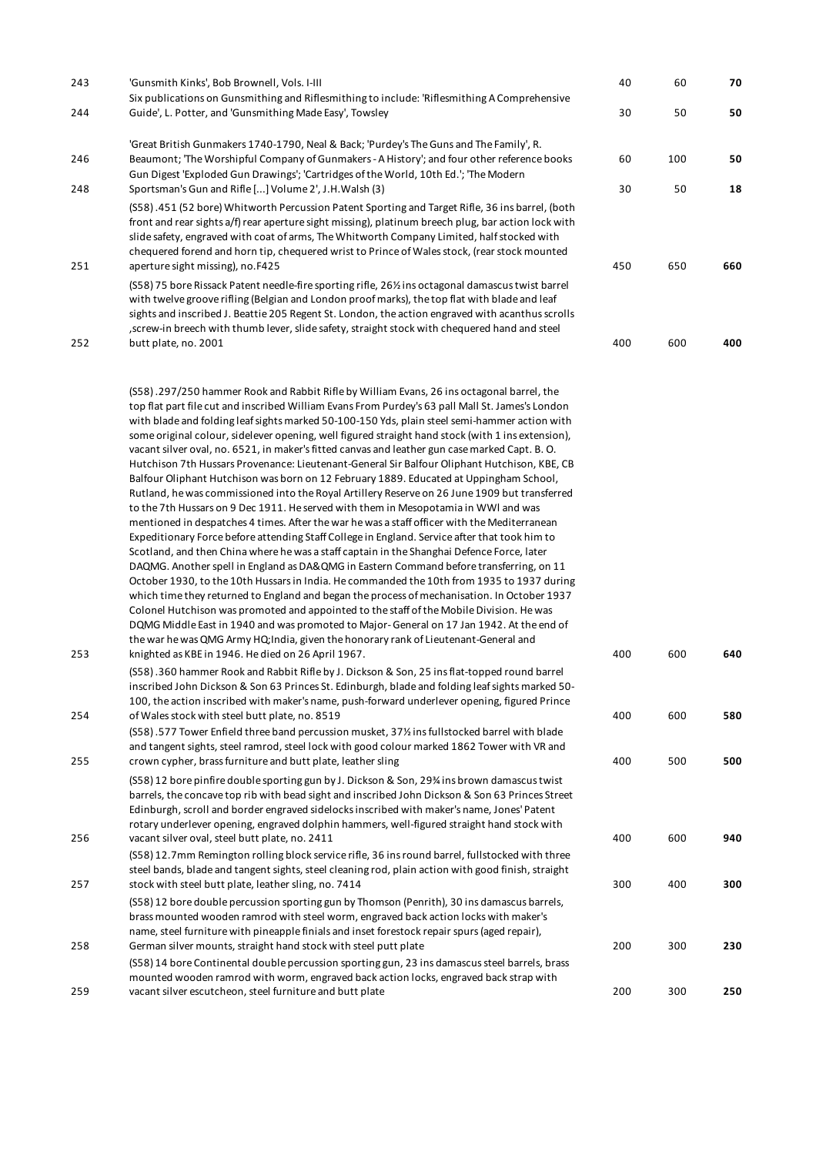| 243        | 'Gunsmith Kinks', Bob Brownell, Vols. I-III                                                                                                                                                                                                                                                                                                                                                                                                                                                                                                                                                                                                                                                                                                                                                                                                                                                                                                                                                                                                                                                                                                                                                                                                                                                                                                                                                                                                                                                                                                                                                                                                                                                                                                                                                                                                                                                                         | 40       | 60        | 70       |
|------------|---------------------------------------------------------------------------------------------------------------------------------------------------------------------------------------------------------------------------------------------------------------------------------------------------------------------------------------------------------------------------------------------------------------------------------------------------------------------------------------------------------------------------------------------------------------------------------------------------------------------------------------------------------------------------------------------------------------------------------------------------------------------------------------------------------------------------------------------------------------------------------------------------------------------------------------------------------------------------------------------------------------------------------------------------------------------------------------------------------------------------------------------------------------------------------------------------------------------------------------------------------------------------------------------------------------------------------------------------------------------------------------------------------------------------------------------------------------------------------------------------------------------------------------------------------------------------------------------------------------------------------------------------------------------------------------------------------------------------------------------------------------------------------------------------------------------------------------------------------------------------------------------------------------------|----------|-----------|----------|
| 244        | Six publications on Gunsmithing and Riflesmithing to include: 'Riflesmithing A Comprehensive<br>Guide', L. Potter, and 'Gunsmithing Made Easy', Towsley                                                                                                                                                                                                                                                                                                                                                                                                                                                                                                                                                                                                                                                                                                                                                                                                                                                                                                                                                                                                                                                                                                                                                                                                                                                                                                                                                                                                                                                                                                                                                                                                                                                                                                                                                             | 30       | 50        | 50       |
| 246<br>248 | 'Great British Gunmakers 1740-1790, Neal & Back; 'Purdey's The Guns and The Family', R.<br>Beaumont; 'The Worshipful Company of Gunmakers - A History'; and four other reference books<br>Gun Digest 'Exploded Gun Drawings'; 'Cartridges of the World, 10th Ed.'; 'The Modern<br>Sportsman's Gun and Rifle [] Volume 2', J.H. Walsh (3)                                                                                                                                                                                                                                                                                                                                                                                                                                                                                                                                                                                                                                                                                                                                                                                                                                                                                                                                                                                                                                                                                                                                                                                                                                                                                                                                                                                                                                                                                                                                                                            | 60<br>30 | 100<br>50 | 50<br>18 |
| 251        | (S58) .451 (52 bore) Whitworth Percussion Patent Sporting and Target Rifle, 36 ins barrel, (both<br>front and rear sights a/f) rear aperture sight missing), platinum breech plug, bar action lock with<br>slide safety, engraved with coat of arms, The Whitworth Company Limited, half stocked with<br>chequered forend and horn tip, chequered wrist to Prince of Wales stock, (rear stock mounted<br>aperture sight missing), no.F425                                                                                                                                                                                                                                                                                                                                                                                                                                                                                                                                                                                                                                                                                                                                                                                                                                                                                                                                                                                                                                                                                                                                                                                                                                                                                                                                                                                                                                                                           | 450      | 650       | 660      |
|            | (S58) 75 bore Rissack Patent needle-fire sporting rifle, 26% ins octagonal damascus twist barrel<br>with twelve groove rifling (Belgian and London proof marks), the top flat with blade and leaf<br>sights and inscribed J. Beattie 205 Regent St. London, the action engraved with acanthus scrolls<br>, screw-in breech with thumb lever, slide safety, straight stock with chequered hand and steel                                                                                                                                                                                                                                                                                                                                                                                                                                                                                                                                                                                                                                                                                                                                                                                                                                                                                                                                                                                                                                                                                                                                                                                                                                                                                                                                                                                                                                                                                                             |          |           |          |
| 252        | butt plate, no. 2001                                                                                                                                                                                                                                                                                                                                                                                                                                                                                                                                                                                                                                                                                                                                                                                                                                                                                                                                                                                                                                                                                                                                                                                                                                                                                                                                                                                                                                                                                                                                                                                                                                                                                                                                                                                                                                                                                                | 400      | 600       | 400      |
| 253        | (S58).297/250 hammer Rook and Rabbit Rifle by William Evans, 26 ins octagonal barrel, the<br>top flat part file cut and inscribed William Evans From Purdey's 63 pall Mall St. James's London<br>with blade and folding leaf sights marked 50-100-150 Yds, plain steel semi-hammer action with<br>some original colour, sidelever opening, well figured straight hand stock (with 1 ins extension),<br>vacant silver oval, no. 6521, in maker's fitted canvas and leather gun case marked Capt. B.O.<br>Hutchison 7th Hussars Provenance: Lieutenant-General Sir Balfour Oliphant Hutchison, KBE, CB<br>Balfour Oliphant Hutchison was born on 12 February 1889. Educated at Uppingham School,<br>Rutland, he was commissioned into the Royal Artillery Reserve on 26 June 1909 but transferred<br>to the 7th Hussars on 9 Dec 1911. He served with them in Mesopotamia in WWI and was<br>mentioned in despatches 4 times. After the war he was a staff officer with the Mediterranean<br>Expeditionary Force before attending Staff College in England. Service after that took him to<br>Scotland, and then China where he was a staff captain in the Shanghai Defence Force, later<br>DAQMG. Another spell in England as DA& QMG in Eastern Command before transferring, on 11<br>October 1930, to the 10th Hussars in India. He commanded the 10th from 1935 to 1937 during<br>which time they returned to England and began the process of mechanisation. In October 1937<br>Colonel Hutchison was promoted and appointed to the staff of the Mobile Division. He was<br>DQMG Middle East in 1940 and was promoted to Major-General on 17 Jan 1942. At the end of<br>the war he was QMG Army HQ; India, given the honorary rank of Lieutenant-General and<br>knighted as KBE in 1946. He died on 26 April 1967.<br>(S58).360 hammer Rook and Rabbit Rifle by J. Dickson & Son, 25 ins flat-topped round barrel | 400      | 600       | 640      |
| 254        | inscribed John Dickson & Son 63 Princes St. Edinburgh, blade and folding leaf sights marked 50-<br>100, the action inscribed with maker's name, push-forward underlever opening, figured Prince<br>of Wales stock with steel butt plate, no. 8519                                                                                                                                                                                                                                                                                                                                                                                                                                                                                                                                                                                                                                                                                                                                                                                                                                                                                                                                                                                                                                                                                                                                                                                                                                                                                                                                                                                                                                                                                                                                                                                                                                                                   | 400      | 600       | 580      |
|            | (S58).577 Tower Enfield three band percussion musket, 37% ins fullstocked barrel with blade<br>and tangent sights, steel ramrod, steel lock with good colour marked 1862 Tower with VR and                                                                                                                                                                                                                                                                                                                                                                                                                                                                                                                                                                                                                                                                                                                                                                                                                                                                                                                                                                                                                                                                                                                                                                                                                                                                                                                                                                                                                                                                                                                                                                                                                                                                                                                          |          |           |          |
| 255        | crown cypher, brass furniture and butt plate, leather sling<br>(S58) 12 bore pinfire double sporting gun by J. Dickson & Son, 29% ins brown damascus twist<br>barrels, the concave top rib with bead sight and inscribed John Dickson & Son 63 Princes Street<br>Edinburgh, scroll and border engraved sidelocks inscribed with maker's name, Jones' Patent<br>rotary underlever opening, engraved dolphin hammers, well-figured straight hand stock with                                                                                                                                                                                                                                                                                                                                                                                                                                                                                                                                                                                                                                                                                                                                                                                                                                                                                                                                                                                                                                                                                                                                                                                                                                                                                                                                                                                                                                                           | 400      | 500       | 500      |
| 256        | vacant silver oval, steel butt plate, no. 2411<br>(S58) 12.7mm Remington rolling block service rifle, 36 ins round barrel, fullstocked with three<br>steel bands, blade and tangent sights, steel cleaning rod, plain action with good finish, straight                                                                                                                                                                                                                                                                                                                                                                                                                                                                                                                                                                                                                                                                                                                                                                                                                                                                                                                                                                                                                                                                                                                                                                                                                                                                                                                                                                                                                                                                                                                                                                                                                                                             | 400      | 600       | 940      |
| 257        | stock with steel butt plate, leather sling, no. 7414<br>(S58) 12 bore double percussion sporting gun by Thomson (Penrith), 30 ins damascus barrels,<br>brass mounted wooden ramrod with steel worm, engraved back action locks with maker's                                                                                                                                                                                                                                                                                                                                                                                                                                                                                                                                                                                                                                                                                                                                                                                                                                                                                                                                                                                                                                                                                                                                                                                                                                                                                                                                                                                                                                                                                                                                                                                                                                                                         | 300      | 400       | 300      |
| 258        | name, steel furniture with pineapple finials and inset forestock repair spurs (aged repair),<br>German silver mounts, straight hand stock with steel putt plate<br>(S58) 14 bore Continental double percussion sporting gun, 23 ins damascus steel barrels, brass                                                                                                                                                                                                                                                                                                                                                                                                                                                                                                                                                                                                                                                                                                                                                                                                                                                                                                                                                                                                                                                                                                                                                                                                                                                                                                                                                                                                                                                                                                                                                                                                                                                   | 200      | 300       | 230      |
| 259        | mounted wooden ramrod with worm, engraved back action locks, engraved back strap with<br>vacant silver escutcheon, steel furniture and butt plate                                                                                                                                                                                                                                                                                                                                                                                                                                                                                                                                                                                                                                                                                                                                                                                                                                                                                                                                                                                                                                                                                                                                                                                                                                                                                                                                                                                                                                                                                                                                                                                                                                                                                                                                                                   | 200      | 300       | 250      |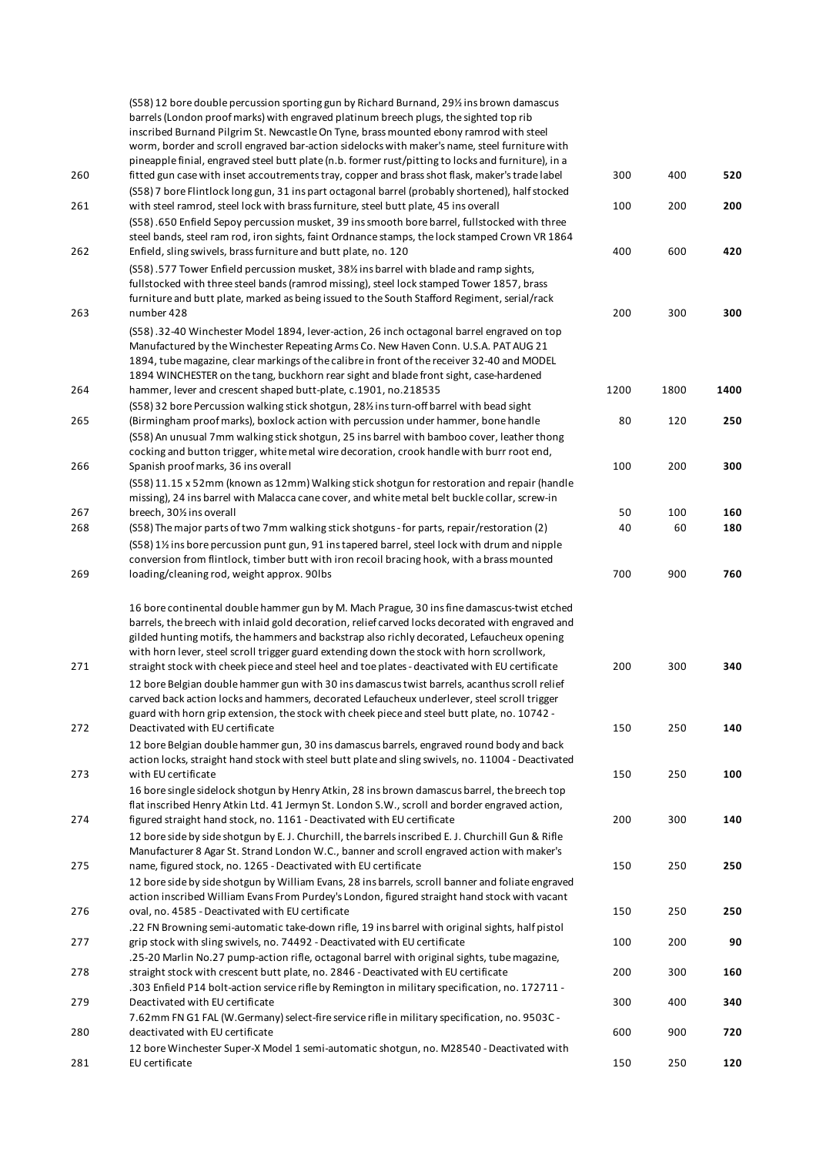|     | (S58) 12 bore double percussion sporting gun by Richard Burnand, 29% ins brown damascus<br>barrels (London proof marks) with engraved platinum breech plugs, the sighted top rib<br>inscribed Burnand Pilgrim St. Newcastle On Tyne, brass mounted ebony ramrod with steel<br>worm, border and scroll engraved bar-action sidelocks with maker's name, steel furniture with                                                                 |      |      |      |
|-----|---------------------------------------------------------------------------------------------------------------------------------------------------------------------------------------------------------------------------------------------------------------------------------------------------------------------------------------------------------------------------------------------------------------------------------------------|------|------|------|
| 260 | pineapple finial, engraved steel butt plate (n.b. former rust/pitting to locks and furniture), in a<br>fitted gun case with inset accoutrements tray, copper and brass shot flask, maker's trade label<br>(S58) 7 bore Flintlock long gun, 31 ins part octagonal barrel (probably shortened), half stocked                                                                                                                                  | 300  | 400  | 520  |
| 261 | with steel ramrod, steel lock with brass furniture, steel butt plate, 45 ins overall<br>(S58).650 Enfield Sepoy percussion musket, 39 ins smooth bore barrel, fullstocked with three<br>steel bands, steel ram rod, iron sights, faint Ordnance stamps, the lock stamped Crown VR 1864                                                                                                                                                      | 100  | 200  | 200  |
| 262 | Enfield, sling swivels, brass furniture and butt plate, no. 120                                                                                                                                                                                                                                                                                                                                                                             | 400  | 600  | 420  |
| 263 | (S58).577 Tower Enfield percussion musket, 38% ins barrel with blade and ramp sights,<br>fullstocked with three steel bands (ramrod missing), steel lock stamped Tower 1857, brass<br>furniture and butt plate, marked as being issued to the South Stafford Regiment, serial/rack<br>number 428                                                                                                                                            | 200  | 300  | 300  |
| 264 | (S58).32-40 Winchester Model 1894, lever-action, 26 inch octagonal barrel engraved on top<br>Manufactured by the Winchester Repeating Arms Co. New Haven Conn. U.S.A. PAT AUG 21<br>1894, tube magazine, clear markings of the calibre in front of the receiver 32-40 and MODEL<br>1894 WINCHESTER on the tang, buckhorn rear sight and blade front sight, case-hardened<br>hammer, lever and crescent shaped butt-plate, c.1901, no.218535 | 1200 | 1800 | 1400 |
|     | (S58) 32 bore Percussion walking stick shotgun, 28% ins turn-off barrel with bead sight                                                                                                                                                                                                                                                                                                                                                     |      |      |      |
| 265 | (Birmingham proof marks), boxlock action with percussion under hammer, bone handle<br>(S58) An unusual 7mm walking stick shotgun, 25 ins barrel with bamboo cover, leather thong<br>cocking and button trigger, white metal wire decoration, crook handle with burr root end,                                                                                                                                                               | 80   | 120  | 250  |
| 266 | Spanish proof marks, 36 ins overall<br>(S58) 11.15 x 52mm (known as 12mm) Walking stick shotgun for restoration and repair (handle                                                                                                                                                                                                                                                                                                          | 100  | 200  | 300  |
|     | missing), 24 ins barrel with Malacca cane cover, and white metal belt buckle collar, screw-in                                                                                                                                                                                                                                                                                                                                               |      |      |      |
| 267 | breech, 301/2 ins overall                                                                                                                                                                                                                                                                                                                                                                                                                   | 50   | 100  | 160  |
| 268 | (S58) The major parts of two 7mm walking stick shotguns - for parts, repair/restoration (2)<br>(S58) 1½ ins bore percussion punt gun, 91 ins tapered barrel, steel lock with drum and nipple<br>conversion from flintlock, timber butt with iron recoil bracing hook, with a brass mounted                                                                                                                                                  | 40   | 60   | 180  |
| 269 | loading/cleaning rod, weight approx. 90lbs                                                                                                                                                                                                                                                                                                                                                                                                  | 700  | 900  | 760  |
|     | 16 bore continental double hammer gun by M. Mach Prague, 30 ins fine damascus-twist etched<br>barrels, the breech with inlaid gold decoration, relief carved locks decorated with engraved and<br>gilded hunting motifs, the hammers and backstrap also richly decorated, Lefaucheux opening<br>with horn lever, steel scroll trigger guard extending down the stock with horn scrollwork,                                                  |      |      |      |
| 271 | straight stock with cheek piece and steel heel and toe plates - deactivated with EU certificate<br>12 bore Belgian double hammer gun with 30 ins damascus twist barrels, acanthus scroll relief<br>carved back action locks and hammers, decorated Lefaucheux underlever, steel scroll trigger                                                                                                                                              | 200  | 300  | 340  |
| 272 | guard with horn grip extension, the stock with cheek piece and steel butt plate, no. 10742 -<br>Deactivated with EU certificate                                                                                                                                                                                                                                                                                                             | 150  | 250  | 140  |
|     | 12 bore Belgian double hammer gun, 30 ins damascus barrels, engraved round body and back<br>action locks, straight hand stock with steel butt plate and sling swivels, no. 11004 - Deactivated                                                                                                                                                                                                                                              |      |      |      |
| 273 | with EU certificate<br>16 bore single sidelock shotgun by Henry Atkin, 28 ins brown damascus barrel, the breech top<br>flat inscribed Henry Atkin Ltd. 41 Jermyn St. London S.W., scroll and border engraved action,                                                                                                                                                                                                                        | 150  | 250  | 100  |
| 274 | figured straight hand stock, no. 1161 - Deactivated with EU certificate<br>12 bore side by side shotgun by E. J. Churchill, the barrels inscribed E. J. Churchill Gun & Rifle                                                                                                                                                                                                                                                               | 200  | 300  | 140  |
| 275 | Manufacturer 8 Agar St. Strand London W.C., banner and scroll engraved action with maker's<br>name, figured stock, no. 1265 - Deactivated with EU certificate<br>12 bore side by side shotgun by William Evans, 28 ins barrels, scroll banner and foliate engraved                                                                                                                                                                          | 150  | 250  | 250  |
| 276 | action inscribed William Evans From Purdey's London, figured straight hand stock with vacant<br>oval, no. 4585 - Deactivated with EU certificate                                                                                                                                                                                                                                                                                            | 150  | 250  | 250  |
| 277 | .22 FN Browning semi-automatic take-down rifle, 19 ins barrel with original sights, half pistol<br>grip stock with sling swivels, no. 74492 - Deactivated with EU certificate                                                                                                                                                                                                                                                               | 100  | 200  | 90   |
| 278 | .25-20 Marlin No.27 pump-action rifle, octagonal barrel with original sights, tube magazine,<br>straight stock with crescent butt plate, no. 2846 - Deactivated with EU certificate                                                                                                                                                                                                                                                         | 200  | 300  | 160  |
| 279 | .303 Enfield P14 bolt-action service rifle by Remington in military specification, no. 172711 -<br>Deactivated with EU certificate<br>7.62mm FN G1 FAL (W.Germany) select-fire service rifle in military specification, no. 9503C -                                                                                                                                                                                                         | 300  | 400  | 340  |
| 280 | deactivated with EU certificate<br>12 bore Winchester Super-X Model 1 semi-automatic shotgun, no. M28540 - Deactivated with                                                                                                                                                                                                                                                                                                                 | 600  | 900  | 720  |
| 281 | EU certificate                                                                                                                                                                                                                                                                                                                                                                                                                              | 150  | 250  | 120  |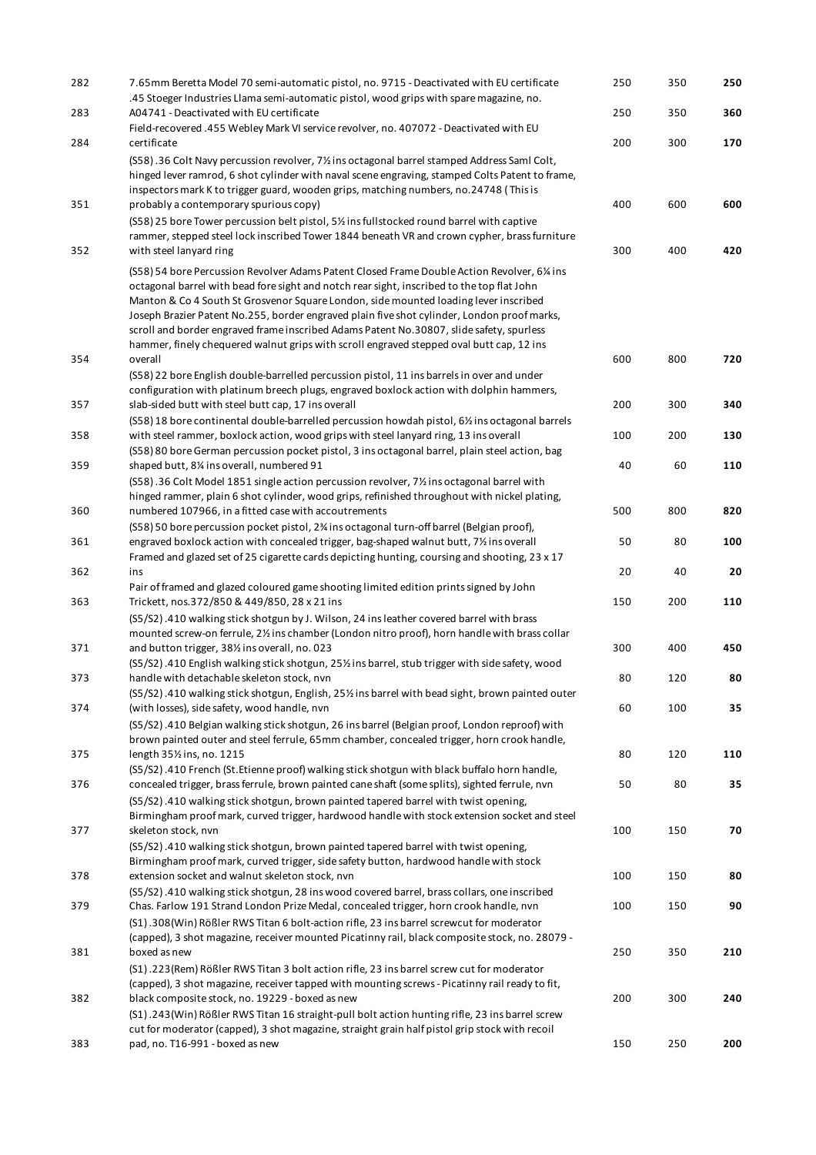| 282<br>283 | 7.65mm Beretta Model 70 semi-automatic pistol, no. 9715 - Deactivated with EU certificate<br>.45 Stoeger Industries Llama semi-automatic pistol, wood grips with spare magazine, no.<br>A04741 - Deactivated with EU certificate                                                                                                                                                                                                                                                                                                                                                                   | 250<br>250 | 350<br>350 | 250<br>360 |
|------------|----------------------------------------------------------------------------------------------------------------------------------------------------------------------------------------------------------------------------------------------------------------------------------------------------------------------------------------------------------------------------------------------------------------------------------------------------------------------------------------------------------------------------------------------------------------------------------------------------|------------|------------|------------|
|            | Field-recovered .455 Webley Mark VI service revolver, no. 407072 - Deactivated with EU                                                                                                                                                                                                                                                                                                                                                                                                                                                                                                             |            |            |            |
| 284        | certificate<br>(S58).36 Colt Navy percussion revolver, 7½ ins octagonal barrel stamped Address Saml Colt,<br>hinged lever ramrod, 6 shot cylinder with naval scene engraving, stamped Colts Patent to frame,<br>inspectors mark K to trigger guard, wooden grips, matching numbers, no.24748 (This is                                                                                                                                                                                                                                                                                              | 200        | 300        | 170        |
| 351        | probably a contemporary spurious copy)<br>(S58) 25 bore Tower percussion belt pistol, 5½ ins fullstocked round barrel with captive<br>rammer, stepped steel lock inscribed Tower 1844 beneath VR and crown cypher, brass furniture                                                                                                                                                                                                                                                                                                                                                                 | 400        | 600        | 600        |
| 352        | with steel lanyard ring<br>(S58) 54 bore Percussion Revolver Adams Patent Closed Frame Double Action Revolver, 6¼ ins<br>octagonal barrel with bead fore sight and notch rear sight, inscribed to the top flat John<br>Manton & Co 4 South St Grosvenor Square London, side mounted loading lever inscribed<br>Joseph Brazier Patent No.255, border engraved plain five shot cylinder, London proof marks,<br>scroll and border engraved frame inscribed Adams Patent No.30807, slide safety, spurless<br>hammer, finely chequered walnut grips with scroll engraved stepped oval butt cap, 12 ins | 300        | 400        | 420        |
| 354        | overall<br>(S58) 22 bore English double-barrelled percussion pistol, 11 ins barrels in over and under<br>configuration with platinum breech plugs, engraved boxlock action with dolphin hammers,                                                                                                                                                                                                                                                                                                                                                                                                   | 600        | 800        | 720        |
| 357        | slab-sided butt with steel butt cap, 17 ins overall<br>(S58) 18 bore continental double-barrelled percussion howdah pistol, 6½ ins octagonal barrels                                                                                                                                                                                                                                                                                                                                                                                                                                               | 200        | 300        | 340        |
| 358        | with steel rammer, boxlock action, wood grips with steel lanyard ring, 13 ins overall<br>(S58) 80 bore German percussion pocket pistol, 3 ins octagonal barrel, plain steel action, bag                                                                                                                                                                                                                                                                                                                                                                                                            | 100        | 200        | 130        |
| 359        | shaped butt, 8¼ ins overall, numbered 91<br>(S58) .36 Colt Model 1851 single action percussion revolver, 7% ins octagonal barrel with<br>hinged rammer, plain 6 shot cylinder, wood grips, refinished throughout with nickel plating,                                                                                                                                                                                                                                                                                                                                                              | 40         | 60         | 110        |
| 360        | numbered 107966, in a fitted case with accoutrements<br>(S58) 50 bore percussion pocket pistol, 2% ins octagonal turn-off barrel (Belgian proof),                                                                                                                                                                                                                                                                                                                                                                                                                                                  | 500        | 800        | 820        |
| 361        | engraved boxlock action with concealed trigger, bag-shaped walnut butt, 7% ins overall<br>Framed and glazed set of 25 cigarette cards depicting hunting, coursing and shooting, 23 x 17                                                                                                                                                                                                                                                                                                                                                                                                            | 50         | 80         | 100        |
| 362        | ins<br>Pair of framed and glazed coloured game shooting limited edition prints signed by John                                                                                                                                                                                                                                                                                                                                                                                                                                                                                                      | 20         | 40         | 20         |
| 363        | Trickett, nos.372/850 & 449/850, 28 x 21 ins                                                                                                                                                                                                                                                                                                                                                                                                                                                                                                                                                       | 150        | 200        | 110        |
| 371        | (S5/S2).410 walking stick shotgun by J. Wilson, 24 ins leather covered barrel with brass<br>mounted screw-on ferrule, 21/2 ins chamber (London nitro proof), horn handle with brass collar<br>and button trigger, 38% ins overall, no. 023                                                                                                                                                                                                                                                                                                                                                         | 300        | 400        | 450        |
| 373        | (S5/S2).410 English walking stick shotgun, 25% ins barrel, stub trigger with side safety, wood<br>handle with detachable skeleton stock, nvn                                                                                                                                                                                                                                                                                                                                                                                                                                                       | 80         | 120        | 80         |
| 374        | (S5/S2).410 walking stick shotgun, English, 25% ins barrel with bead sight, brown painted outer<br>(with losses), side safety, wood handle, nvn<br>(S5/S2).410 Belgian walking stick shotgun, 26 ins barrel (Belgian proof, London reproof) with                                                                                                                                                                                                                                                                                                                                                   | 60         | 100        | 35         |
| 375        | brown painted outer and steel ferrule, 65mm chamber, concealed trigger, horn crook handle,<br>length 35% ins, no. 1215                                                                                                                                                                                                                                                                                                                                                                                                                                                                             | 80         | 120        | 110        |
| 376        | (S5/S2).410 French (St.Etienne proof) walking stick shotgun with black buffalo horn handle,<br>concealed trigger, brass ferrule, brown painted cane shaft (some splits), sighted ferrule, nvn<br>(S5/S2).410 walking stick shotgun, brown painted tapered barrel with twist opening,                                                                                                                                                                                                                                                                                                               | 50         | 80         | 35         |
| 377        | Birmingham proof mark, curved trigger, hardwood handle with stock extension socket and steel<br>skeleton stock, nvn<br>(S5/S2).410 walking stick shotgun, brown painted tapered barrel with twist opening,<br>Birmingham proof mark, curved trigger, side safety button, hardwood handle with stock                                                                                                                                                                                                                                                                                                | 100        | 150        | 70         |
| 378        | extension socket and walnut skeleton stock, nvn<br>(S5/S2).410 walking stick shotgun, 28 ins wood covered barrel, brass collars, one inscribed                                                                                                                                                                                                                                                                                                                                                                                                                                                     | 100        | 150        | 80         |
| 379        | Chas. Farlow 191 Strand London Prize Medal, concealed trigger, horn crook handle, nvn<br>(S1).308(Win) Rößler RWS Titan 6 bolt-action rifle, 23 ins barrel screwcut for moderator<br>(capped), 3 shot magazine, receiver mounted Picatinny rail, black composite stock, no. 28079 -                                                                                                                                                                                                                                                                                                                | 100        | 150        | 90         |
| 381        | boxed as new<br>(S1) .223 (Rem) Rößler RWS Titan 3 bolt action rifle, 23 ins barrel screw cut for moderator                                                                                                                                                                                                                                                                                                                                                                                                                                                                                        | 250        | 350        | 210        |
| 382        | (capped), 3 shot magazine, receiver tapped with mounting screws - Picatinny rail ready to fit,<br>black composite stock, no. 19229 - boxed as new<br>(S1).243(Win) Rößler RWS Titan 16 straight-pull bolt action hunting rifle, 23 ins barrel screw                                                                                                                                                                                                                                                                                                                                                | 200        | 300        | 240        |
| 383        | cut for moderator (capped), 3 shot magazine, straight grain half pistol grip stock with recoil<br>pad, no. T16-991 - boxed as new                                                                                                                                                                                                                                                                                                                                                                                                                                                                  | 150        | 250        | 200        |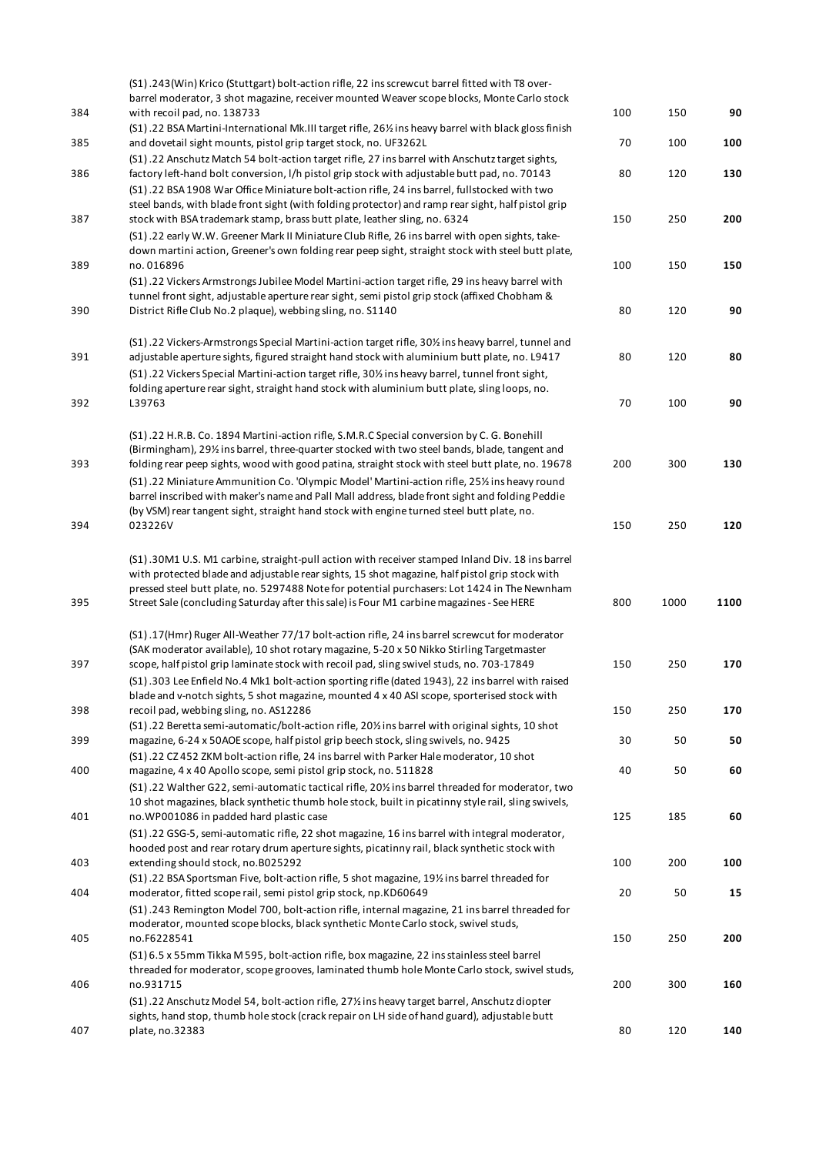| 384        | (S1).243(Win) Krico (Stuttgart) bolt-action rifle, 22 ins screwcut barrel fitted with T8 over-<br>barrel moderator, 3 shot magazine, receiver mounted Weaver scope blocks, Monte Carlo stock<br>with recoil pad, no. 138733                                                                                                                                                                    | 100       | 150       | 90        |
|------------|------------------------------------------------------------------------------------------------------------------------------------------------------------------------------------------------------------------------------------------------------------------------------------------------------------------------------------------------------------------------------------------------|-----------|-----------|-----------|
|            | (S1).22 BSA Martini-International Mk.III target rifle, 261/2 ins heavy barrel with black gloss finish                                                                                                                                                                                                                                                                                          |           |           |           |
| 385        | and dovetail sight mounts, pistol grip target stock, no. UF3262L<br>(S1) .22 Anschutz Match 54 bolt-action target rifle, 27 ins barrel with Anschutz target sights,                                                                                                                                                                                                                            | 70        | 100       | 100       |
| 386        | factory left-hand bolt conversion, I/h pistol grip stock with adjustable butt pad, no. 70143<br>(S1) .22 BSA 1908 War Office Miniature bolt-action rifle, 24 ins barrel, fullstocked with two<br>steel bands, with blade front sight (with folding protector) and ramp rear sight, half pistol grip                                                                                            | 80        | 120       | 130       |
| 387        | stock with BSA trademark stamp, brass butt plate, leather sling, no. 6324<br>(S1) .22 early W.W. Greener Mark II Miniature Club Rifle, 26 ins barrel with open sights, take-                                                                                                                                                                                                                   | 150       | 250       | 200       |
| 389        | down martini action, Greener's own folding rear peep sight, straight stock with steel butt plate,<br>no. 016896                                                                                                                                                                                                                                                                                | 100       | 150       | 150       |
| 390        | (S1) .22 Vickers Armstrongs Jubilee Model Martini-action target rifle, 29 ins heavy barrel with<br>tunnel front sight, adjustable aperture rear sight, semi pistol grip stock (affixed Chobham &<br>District Rifle Club No.2 plaque), webbing sling, no. S1140                                                                                                                                 | 80        | 120       | 90        |
| 391        | (S1) .22 Vickers-Armstrongs Special Martini-action target rifle, 30% ins heavy barrel, tunnel and<br>adjustable aperture sights, figured straight hand stock with aluminium butt plate, no. L9417                                                                                                                                                                                              | 80        | 120       | 80        |
| 392        | (S1) .22 Vickers Special Martini-action target rifle, 30% ins heavy barrel, tunnel front sight,<br>folding aperture rear sight, straight hand stock with aluminium butt plate, sling loops, no.<br>L39763                                                                                                                                                                                      | 70        | 100       | 90        |
|            | (S1) .22 H.R.B. Co. 1894 Martini-action rifle, S.M.R.C Special conversion by C. G. Bonehill<br>(Birmingham), 29% ins barrel, three-quarter stocked with two steel bands, blade, tangent and                                                                                                                                                                                                    |           |           |           |
| 393        | folding rear peep sights, wood with good patina, straight stock with steel butt plate, no. 19678<br>(S1) .22 Miniature Ammunition Co. 'Olympic Model' Martini-action rifle, 25% ins heavy round<br>barrel inscribed with maker's name and Pall Mall address, blade front sight and folding Peddie                                                                                              | 200       | 300       | 130       |
| 394        | (by VSM) rear tangent sight, straight hand stock with engine turned steel butt plate, no.<br>023226V                                                                                                                                                                                                                                                                                           | 150       | 250       | 120       |
| 395        | (S1).30M1 U.S. M1 carbine, straight-pull action with receiver stamped Inland Div. 18 ins barrel<br>with protected blade and adjustable rear sights, 15 shot magazine, half pistol grip stock with<br>pressed steel butt plate, no. 5297488 Note for potential purchasers: Lot 1424 in The Newnham<br>Street Sale (concluding Saturday after this sale) is Four M1 carbine magazines - See HERE | 800       | 1000      | 1100      |
| 397        | (S1).17(Hmr) Ruger All-Weather 77/17 bolt-action rifle, 24 ins barrel screwcut for moderator<br>(SAK moderator available), 10 shot rotary magazine, 5-20 x 50 Nikko Stirling Targetmaster<br>scope, half pistol grip laminate stock with recoil pad, sling swivel studs, no. 703-17849                                                                                                         | 150       | 250       | 170       |
|            | (S1).303 Lee Enfield No.4 Mk1 bolt-action sporting rifle (dated 1943), 22 ins barrel with raised<br>blade and v-notch sights, 5 shot magazine, mounted 4 x 40 ASI scope, sporterised stock with                                                                                                                                                                                                |           |           |           |
| 398<br>399 | recoil pad, webbing sling, no. AS12286<br>(S1).22 Beretta semi-automatic/bolt-action rifle, 20% ins barrel with original sights, 10 shot<br>magazine, 6-24 x 50AOE scope, half pistol grip beech stock, sling swivels, no. 9425                                                                                                                                                                | 150<br>30 | 250<br>50 | 170<br>50 |
| 400        | (S1).22 CZ 452 ZKM bolt-action rifle, 24 ins barrel with Parker Hale moderator, 10 shot<br>magazine, 4 x 40 Apollo scope, semi pistol grip stock, no. 511828                                                                                                                                                                                                                                   | 40        | 50        | 60        |
|            | (S1).22 Walther G22, semi-automatic tactical rifle, 20% ins barrel threaded for moderator, two<br>10 shot magazines, black synthetic thumb hole stock, built in picatinny style rail, sling swivels,                                                                                                                                                                                           |           |           |           |
| 401        | no. WP001086 in padded hard plastic case<br>(S1).22 GSG-5, semi-automatic rifle, 22 shot magazine, 16 ins barrel with integral moderator,<br>hooded post and rear rotary drum aperture sights, picatinny rail, black synthetic stock with                                                                                                                                                      | 125       | 185       | 60        |
| 403        | extending should stock, no.B025292<br>(S1).22 BSA Sportsman Five, bolt-action rifle, 5 shot magazine, 19% ins barrel threaded for                                                                                                                                                                                                                                                              | 100       | 200       | 100       |
| 404        | moderator, fitted scope rail, semi pistol grip stock, np.KD60649<br>(S1).243 Remington Model 700, bolt-action rifle, internal magazine, 21 ins barrel threaded for<br>moderator, mounted scope blocks, black synthetic Monte Carlo stock, swivel studs,                                                                                                                                        | 20        | 50        | 15        |
| 405        | no.F6228541<br>(S1) 6.5 x 55mm Tikka M 595, bolt-action rifle, box magazine, 22 ins stainless steel barrel                                                                                                                                                                                                                                                                                     | 150       | 250       | 200       |
| 406        | threaded for moderator, scope grooves, laminated thumb hole Monte Carlo stock, swivel studs,<br>no.931715<br>(S1) .22 Anschutz Model 54, bolt-action rifle, 27% ins heavy target barrel, Anschutz diopter<br>sights, hand stop, thumb hole stock (crack repair on LH side of hand guard), adjustable butt                                                                                      | 200       | 300       | 160       |
| 407        | plate, no.32383                                                                                                                                                                                                                                                                                                                                                                                | 80        | 120       | 140       |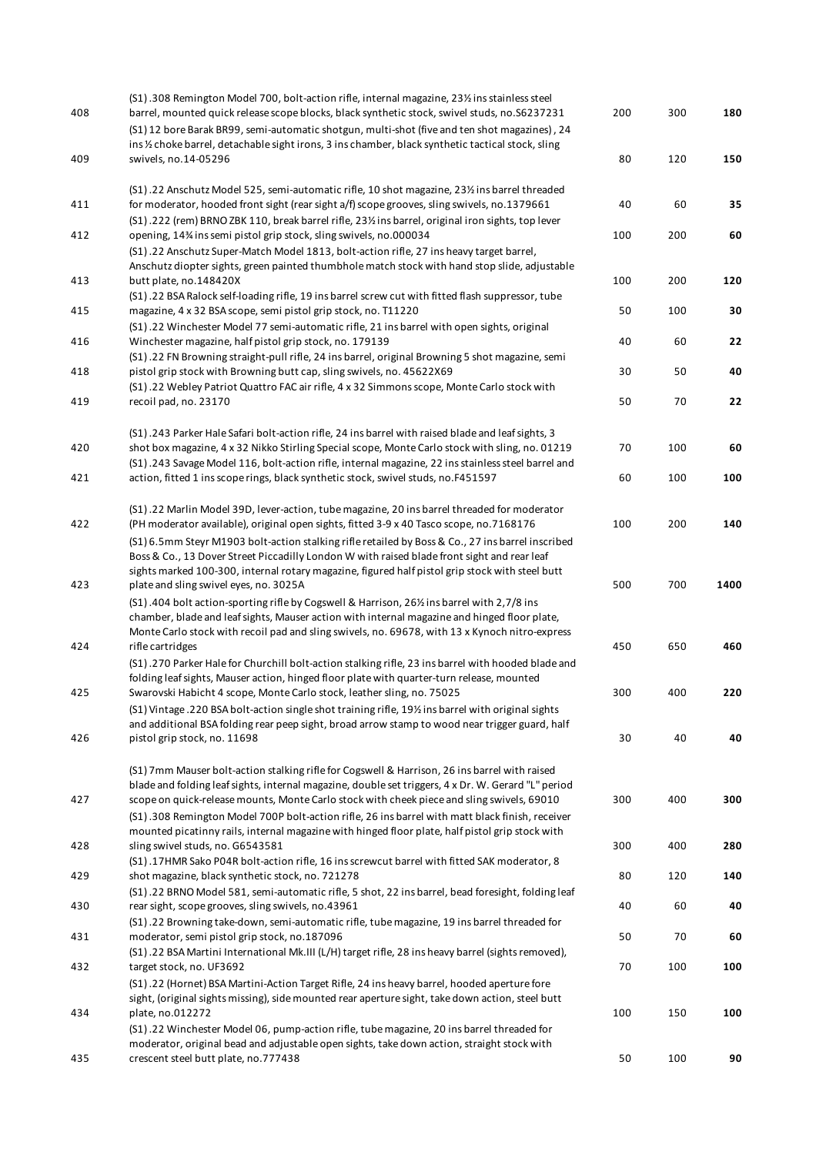| 408 | (S1).308 Remington Model 700, bolt-action rifle, internal magazine, 23% ins stainless steel<br>barrel, mounted quick release scope blocks, black synthetic stock, swivel studs, no.S6237231       | 200 | 300 | 180  |
|-----|---------------------------------------------------------------------------------------------------------------------------------------------------------------------------------------------------|-----|-----|------|
|     | (S1) 12 bore Barak BR99, semi-automatic shotgun, multi-shot (five and ten shot magazines), 24                                                                                                     |     |     |      |
|     | ins 1/2 choke barrel, detachable sight irons, 3 ins chamber, black synthetic tactical stock, sling                                                                                                |     |     |      |
| 409 | swivels, no.14-05296                                                                                                                                                                              | 80  | 120 | 150  |
|     | (S1) .22 Anschutz Model 525, semi-automatic rifle, 10 shot magazine, 231/2 ins barrel threaded                                                                                                    |     |     |      |
| 411 | for moderator, hooded front sight (rear sight a/f) scope grooves, sling swivels, no.1379661                                                                                                       | 40  | 60  | 35   |
|     | (S1) .222 (rem) BRNO ZBK 110, break barrel rifle, 231/ins barrel, original iron sights, top lever                                                                                                 |     |     |      |
| 412 | opening, 14% ins semi pistol grip stock, sling swivels, no.000034                                                                                                                                 | 100 | 200 | 60   |
|     | (S1).22 Anschutz Super-Match Model 1813, bolt-action rifle, 27 ins heavy target barrel,                                                                                                           |     |     |      |
|     | Anschutz diopter sights, green painted thumbhole match stock with hand stop slide, adjustable                                                                                                     |     |     |      |
| 413 | butt plate, no.148420X                                                                                                                                                                            | 100 | 200 | 120  |
| 415 | (S1) .22 BSA Ralock self-loading rifle, 19 ins barrel screw cut with fitted flash suppressor, tube<br>magazine, 4 x 32 BSA scope, semi pistol grip stock, no. T11220                              | 50  | 100 | 30   |
|     | (S1) .22 Winchester Model 77 semi-automatic rifle, 21 ins barrel with open sights, original                                                                                                       |     |     |      |
| 416 | Winchester magazine, half pistol grip stock, no. 179139                                                                                                                                           | 40  | 60  | 22   |
|     | (S1) .22 FN Browning straight-pull rifle, 24 ins barrel, original Browning 5 shot magazine, semi                                                                                                  |     |     |      |
| 418 | pistol grip stock with Browning butt cap, sling swivels, no. 45622X69                                                                                                                             | 30  | 50  | 40   |
|     | (S1).22 Webley Patriot Quattro FAC air rifle, 4 x 32 Simmons scope, Monte Carlo stock with                                                                                                        |     |     |      |
| 419 | recoil pad, no. 23170                                                                                                                                                                             | 50  | 70  | 22   |
|     | (S1).243 Parker Hale Safari bolt-action rifle, 24 ins barrel with raised blade and leaf sights, 3                                                                                                 |     |     |      |
| 420 | shot box magazine, 4 x 32 Nikko Stirling Special scope, Monte Carlo stock with sling, no. 01219                                                                                                   | 70  | 100 | 60   |
|     | (S1).243 Savage Model 116, bolt-action rifle, internal magazine, 22 ins stainless steel barrel and                                                                                                |     |     |      |
| 421 | action, fitted 1 ins scope rings, black synthetic stock, swivel studs, no.F451597                                                                                                                 | 60  | 100 | 100  |
|     |                                                                                                                                                                                                   |     |     |      |
|     | (S1) .22 Marlin Model 39D, lever-action, tube magazine, 20 ins barrel threaded for moderator                                                                                                      |     |     |      |
| 422 | (PH moderator available), original open sights, fitted 3-9 x 40 Tasco scope, no.7168176                                                                                                           | 100 | 200 | 140  |
|     | (S1) 6.5mm Steyr M1903 bolt-action stalking rifle retailed by Boss & Co., 27 ins barrel inscribed<br>Boss & Co., 13 Dover Street Piccadilly London W with raised blade front sight and rear leaf  |     |     |      |
|     | sights marked 100-300, internal rotary magazine, figured half pistol grip stock with steel butt                                                                                                   |     |     |      |
| 423 | plate and sling swivel eyes, no. 3025A                                                                                                                                                            | 500 | 700 | 1400 |
|     | (S1) .404 bolt action-sporting rifle by Cogswell & Harrison, 261/2 ins barrel with 2,7/8 ins                                                                                                      |     |     |      |
|     | chamber, blade and leaf sights, Mauser action with internal magazine and hinged floor plate,                                                                                                      |     |     |      |
|     | Monte Carlo stock with recoil pad and sling swivels, no. 69678, with 13 x Kynoch nitro-express                                                                                                    |     |     |      |
| 424 | rifle cartridges                                                                                                                                                                                  | 450 | 650 | 460  |
|     | (S1).270 Parker Hale for Churchill bolt-action stalking rifle, 23 ins barrel with hooded blade and                                                                                                |     |     |      |
| 425 | folding leaf sights, Mauser action, hinged floor plate with quarter-turn release, mounted<br>Swarovski Habicht 4 scope, Monte Carlo stock, leather sling, no. 75025                               | 300 | 400 | 220  |
|     | (S1) Vintage .220 BSA bolt-action single shot training rifle, 19% ins barrel with original sights                                                                                                 |     |     |      |
|     | and additional BSA folding rear peep sight, broad arrow stamp to wood near trigger guard, half                                                                                                    |     |     |      |
| 426 | pistol grip stock, no. 11698                                                                                                                                                                      | 30  | 40  | 40   |
|     |                                                                                                                                                                                                   |     |     |      |
|     | (S1) 7mm Mauser bolt-action stalking rifle for Cogswell & Harrison, 26 ins barrel with raised                                                                                                     |     |     |      |
| 427 | blade and folding leaf sights, internal magazine, double set triggers, 4 x Dr. W. Gerard "L" period<br>scope on quick-release mounts, Monte Carlo stock with cheek piece and sling swivels, 69010 | 300 | 400 | 300  |
|     | (S1).308 Remington Model 700P bolt-action rifle, 26 ins barrel with matt black finish, receiver                                                                                                   |     |     |      |
|     | mounted picatinny rails, internal magazine with hinged floor plate, half pistol grip stock with                                                                                                   |     |     |      |
| 428 | sling swivel studs, no. G6543581                                                                                                                                                                  | 300 | 400 | 280  |
|     | (S1).17HMR Sako P04R bolt-action rifle, 16 ins screwcut barrel with fitted SAK moderator, 8                                                                                                       |     |     |      |
| 429 | shot magazine, black synthetic stock, no. 721278                                                                                                                                                  | 80  | 120 | 140  |
|     | (S1).22 BRNO Model 581, semi-automatic rifle, 5 shot, 22 ins barrel, bead foresight, folding leaf                                                                                                 |     |     |      |
| 430 | rear sight, scope grooves, sling swivels, no.43961<br>(S1).22 Browning take-down, semi-automatic rifle, tube magazine, 19 ins barrel threaded for                                                 | 40  | 60  | 40   |
| 431 | moderator, semi pistol grip stock, no.187096                                                                                                                                                      | 50  | 70  | 60   |
|     | (S1).22 BSA Martini International Mk.III (L/H) target rifle, 28 ins heavy barrel (sights removed),                                                                                                |     |     |      |
| 432 | target stock, no. UF3692                                                                                                                                                                          | 70  | 100 | 100  |
|     | (S1) .22 (Hornet) BSA Martini-Action Target Rifle, 24 ins heavy barrel, hooded aperture fore                                                                                                      |     |     |      |
|     | sight, (original sights missing), side mounted rear aperture sight, take down action, steel butt                                                                                                  |     |     |      |
| 434 | plate, no.012272                                                                                                                                                                                  | 100 | 150 | 100  |
|     | (S1) .22 Winchester Model 06, pump-action rifle, tube magazine, 20 ins barrel threaded for<br>moderator, original bead and adjustable open sights, take down action, straight stock with          |     |     |      |
| 435 | crescent steel butt plate, no.777438                                                                                                                                                              | 50  | 100 | 90   |
|     |                                                                                                                                                                                                   |     |     |      |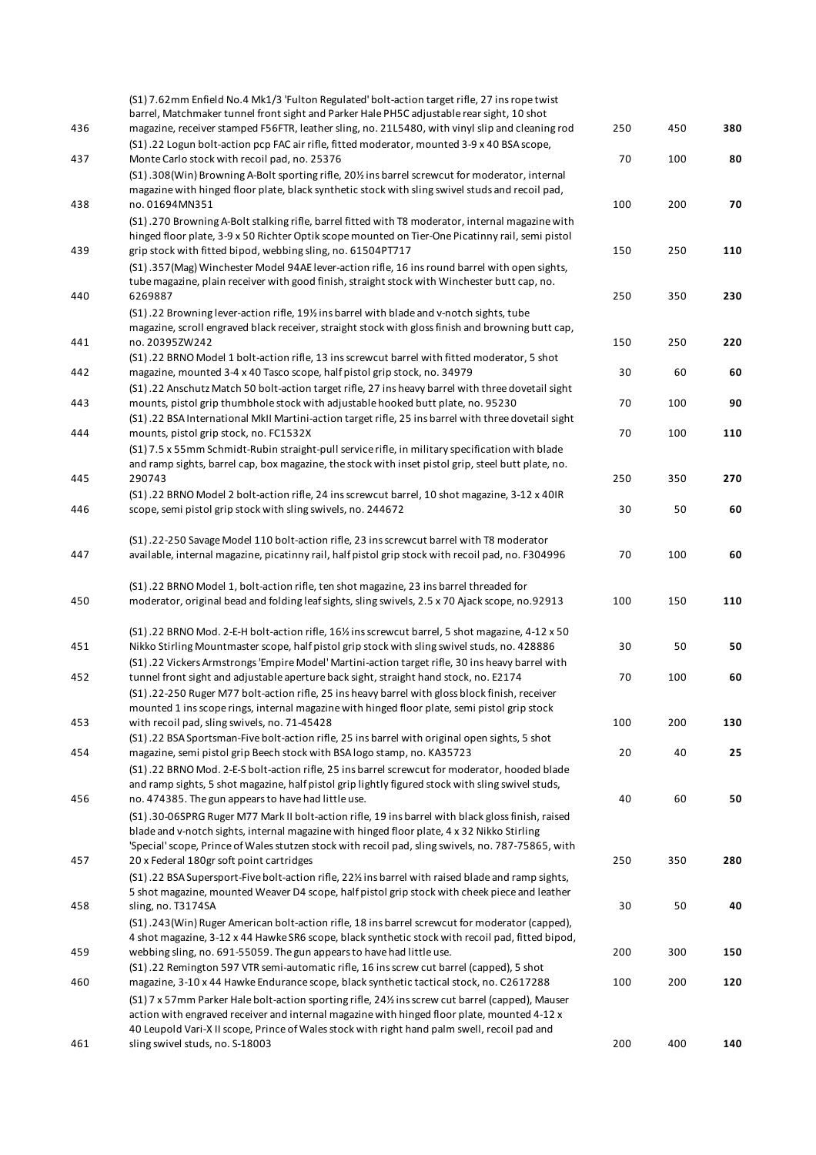|     | (S1) 7.62mm Enfield No.4 Mk1/3 'Fulton Regulated' bolt-action target rifle, 27 ins rope twist<br>barrel, Matchmaker tunnel front sight and Parker Hale PH5C adjustable rear sight, 10 shot                                                                          |     |     |     |
|-----|---------------------------------------------------------------------------------------------------------------------------------------------------------------------------------------------------------------------------------------------------------------------|-----|-----|-----|
| 436 | magazine, receiver stamped F56FTR, leather sling, no. 21L5480, with vinyl slip and cleaning rod                                                                                                                                                                     | 250 | 450 | 380 |
| 437 | (S1) .22 Logun bolt-action pcp FAC air rifle, fitted moderator, mounted 3-9 x 40 BSA scope,<br>Monte Carlo stock with recoil pad, no. 25376                                                                                                                         | 70  | 100 | 80  |
|     | (S1).308(Win) Browning A-Bolt sporting rifle, 20% ins barrel screwcut for moderator, internal<br>magazine with hinged floor plate, black synthetic stock with sling swivel studs and recoil pad,                                                                    |     |     |     |
| 438 | no.01694MN351                                                                                                                                                                                                                                                       | 100 | 200 | 70  |
| 439 | (S1).270 Browning A-Bolt stalking rifle, barrel fitted with T8 moderator, internal magazine with<br>hinged floor plate, 3-9 x 50 Richter Optik scope mounted on Tier-One Picatinny rail, semi pistol<br>grip stock with fitted bipod, webbing sling, no. 61504PT717 | 150 | 250 | 110 |
|     | (S1).357(Mag) Winchester Model 94AE lever-action rifle, 16 ins round barrel with open sights,<br>tube magazine, plain receiver with good finish, straight stock with Winchester butt cap, no.                                                                       |     |     |     |
| 440 | 6269887                                                                                                                                                                                                                                                             | 250 | 350 | 230 |
|     | (S1).22 Browning lever-action rifle, 19½ ins barrel with blade and v-notch sights, tube<br>magazine, scroll engraved black receiver, straight stock with gloss finish and browning butt cap,                                                                        |     |     |     |
| 441 | no. 20395ZW242                                                                                                                                                                                                                                                      | 150 | 250 | 220 |
|     | (S1).22 BRNO Model 1 bolt-action rifle, 13 ins screwcut barrel with fitted moderator, 5 shot                                                                                                                                                                        |     |     |     |
| 442 | magazine, mounted 3-4 x 40 Tasco scope, half pistol grip stock, no. 34979<br>(S1).22 Anschutz Match 50 bolt-action target rifle, 27 ins heavy barrel with three dovetail sight                                                                                      | 30  | 60  | 60  |
| 443 | mounts, pistol grip thumbhole stock with adjustable hooked butt plate, no. 95230                                                                                                                                                                                    | 70  | 100 | 90  |
| 444 | (S1).22 BSA International MkII Martini-action target rifle, 25 ins barrel with three dovetail sight<br>mounts, pistol grip stock, no. FC1532X                                                                                                                       | 70  | 100 | 110 |
|     | (S1) 7.5 x 55mm Schmidt-Rubin straight-pull service rifle, in military specification with blade                                                                                                                                                                     |     |     |     |
|     | and ramp sights, barrel cap, box magazine, the stock with inset pistol grip, steel butt plate, no.                                                                                                                                                                  |     |     |     |
| 445 | 290743                                                                                                                                                                                                                                                              | 250 | 350 | 270 |
|     | (S1) .22 BRNO Model 2 bolt-action rifle, 24 ins screwcut barrel, 10 shot magazine, 3-12 x 40IR                                                                                                                                                                      |     |     |     |
| 446 | scope, semi pistol grip stock with sling swivels, no. 244672                                                                                                                                                                                                        | 30  | 50  | 60  |
|     | (S1) .22-250 Savage Model 110 bolt-action rifle, 23 ins screwcut barrel with T8 moderator                                                                                                                                                                           |     |     |     |
| 447 | available, internal magazine, picatinny rail, half pistol grip stock with recoil pad, no. F304996                                                                                                                                                                   | 70  | 100 | 60  |
|     | (S1).22 BRNO Model 1, bolt-action rifle, ten shot magazine, 23 ins barrel threaded for                                                                                                                                                                              |     |     |     |
| 450 | moderator, original bead and folding leaf sights, sling swivels, 2.5 x 70 Ajack scope, no.92913                                                                                                                                                                     | 100 | 150 | 110 |
|     | (S1).22 BRNO Mod. 2-E-H bolt-action rifle, 16% ins screwcut barrel, 5 shot magazine, 4-12 x 50                                                                                                                                                                      |     |     |     |
| 451 | Nikko Stirling Mountmaster scope, half pistol grip stock with sling swivel studs, no. 428886                                                                                                                                                                        | 30  | 50  | 50  |
|     | (S1) .22 Vickers Armstrongs 'Empire Model' Martini-action target rifle, 30 ins heavy barrel with                                                                                                                                                                    |     |     |     |
| 452 | tunnel front sight and adjustable aperture back sight, straight hand stock, no. E2174                                                                                                                                                                               | 70  | 100 | 60  |
|     | (S1) .22-250 Ruger M77 bolt-action rifle, 25 ins heavy barrel with gloss block finish, receiver                                                                                                                                                                     |     |     |     |
|     | mounted 1 ins scope rings, internal magazine with hinged floor plate, semi pistol grip stock                                                                                                                                                                        |     |     |     |
| 453 | with recoil pad, sling swivels, no. 71-45428                                                                                                                                                                                                                        | 100 | 200 | 130 |
|     | (S1) .22 BSA Sportsman-Five bolt-action rifle, 25 ins barrel with original open sights, 5 shot                                                                                                                                                                      |     |     |     |
| 454 | magazine, semi pistol grip Beech stock with BSA logo stamp, no. KA35723                                                                                                                                                                                             | 20  | 40  | 25  |
|     | (S1) .22 BRNO Mod. 2-E-S bolt-action rifle, 25 ins barrel screwcut for moderator, hooded blade                                                                                                                                                                      |     |     |     |
|     | and ramp sights, 5 shot magazine, half pistol grip lightly figured stock with sling swivel studs,                                                                                                                                                                   |     |     |     |
| 456 | no. 474385. The gun appears to have had little use.                                                                                                                                                                                                                 | 40  | 60  | 50  |
|     | (S1).30-06SPRG Ruger M77 Mark II bolt-action rifle, 19 ins barrel with black gloss finish, raised                                                                                                                                                                   |     |     |     |
|     | blade and v-notch sights, internal magazine with hinged floor plate, 4 x 32 Nikko Stirling<br>'Special' scope, Prince of Wales stutzen stock with recoil pad, sling swivels, no. 787-75865, with                                                                    |     |     |     |
| 457 | 20 x Federal 180gr soft point cartridges                                                                                                                                                                                                                            | 250 | 350 | 280 |
|     | (S1) .22 BSA Supersport-Five bolt-action rifle, 22% ins barrel with raised blade and ramp sights,                                                                                                                                                                   |     |     |     |
|     | 5 shot magazine, mounted Weaver D4 scope, half pistol grip stock with cheek piece and leather                                                                                                                                                                       |     |     |     |
| 458 | sling, no. T3174SA                                                                                                                                                                                                                                                  | 30  | 50  | 40  |
|     | (S1).243(Win) Ruger American bolt-action rifle, 18 ins barrel screwcut for moderator (capped),                                                                                                                                                                      |     |     |     |
|     | 4 shot magazine, 3-12 x 44 Hawke SR6 scope, black synthetic stock with recoil pad, fitted bipod,                                                                                                                                                                    |     |     |     |
| 459 | webbing sling, no. 691-55059. The gun appears to have had little use.                                                                                                                                                                                               | 200 | 300 | 150 |
|     | (S1) .22 Remington 597 VTR semi-automatic rifle, 16 ins screw cut barrel (capped), 5 shot                                                                                                                                                                           |     |     |     |
| 460 | magazine, 3-10 x 44 Hawke Endurance scope, black synthetic tactical stock, no. C2617288                                                                                                                                                                             | 100 | 200 | 120 |
|     | (S1) 7 x 57mm Parker Hale bolt-action sporting rifle, 24% ins screw cut barrel (capped), Mauser                                                                                                                                                                     |     |     |     |
|     | action with engraved receiver and internal magazine with hinged floor plate, mounted 4-12 x                                                                                                                                                                         |     |     |     |
|     | 40 Leupold Vari-X II scope, Prince of Wales stock with right hand palm swell, recoil pad and                                                                                                                                                                        |     |     |     |
| 461 | sling swivel studs, no. S-18003                                                                                                                                                                                                                                     | 200 | 400 | 140 |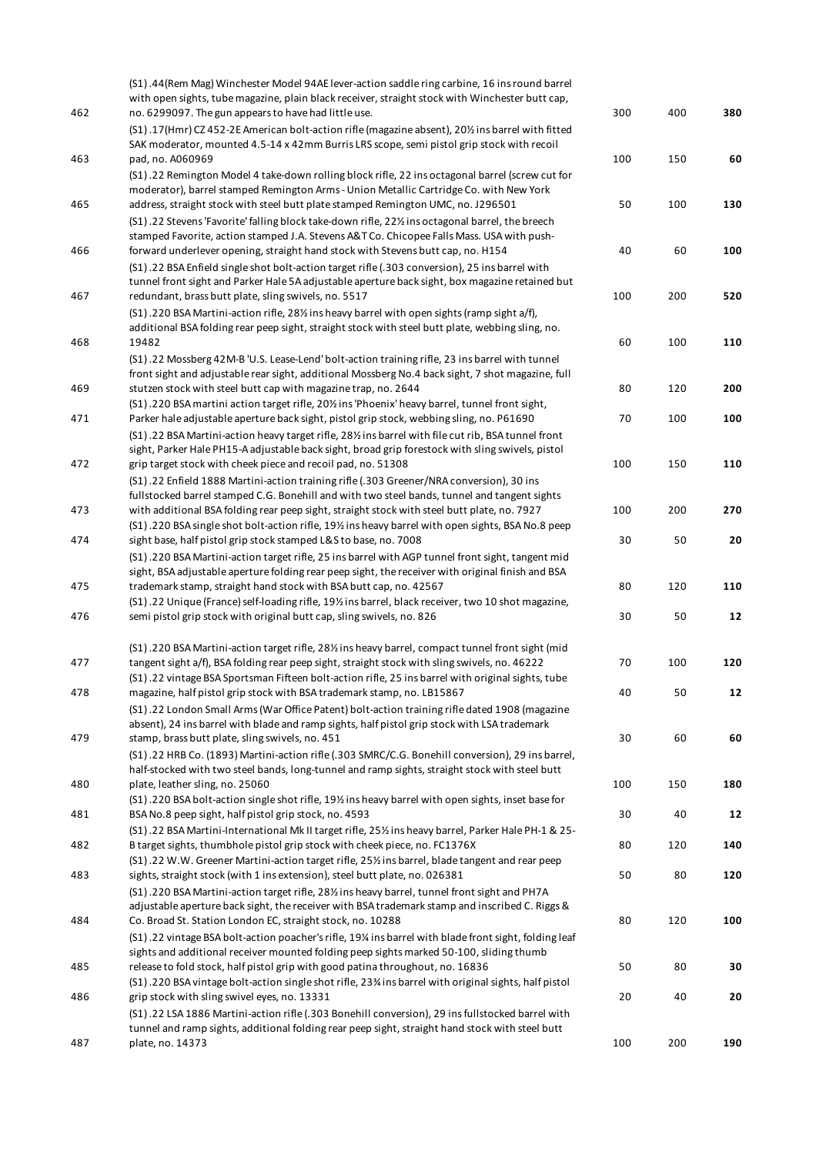| 462        | (S1).44(Rem Mag) Winchester Model 94AE lever-action saddle ring carbine, 16 ins round barrel<br>with open sights, tube magazine, plain black receiver, straight stock with Winchester butt cap,<br>no. 6299097. The gun appears to have had little use.<br>(S1).17(Hmr) CZ 452-2E American bolt-action rifle (magazine absent), 201/2 ins barrel with fitted | 300       | 400       | 380       |
|------------|--------------------------------------------------------------------------------------------------------------------------------------------------------------------------------------------------------------------------------------------------------------------------------------------------------------------------------------------------------------|-----------|-----------|-----------|
|            | SAK moderator, mounted 4.5-14 x 42mm Burris LRS scope, semi pistol grip stock with recoil<br>pad, no. A060969                                                                                                                                                                                                                                                | 100       | 150       | 60        |
| 463        | (S1).22 Remington Model 4 take-down rolling block rifle, 22 ins octagonal barrel (screw cut for<br>moderator), barrel stamped Remington Arms - Union Metallic Cartridge Co. with New York                                                                                                                                                                    |           |           |           |
| 465        | address, straight stock with steel butt plate stamped Remington UMC, no. J296501<br>(S1) .22 Stevens 'Favorite' falling block take-down rifle, 22% ins octagonal barrel, the breech                                                                                                                                                                          | 50        | 100       | 130       |
| 466        | stamped Favorite, action stamped J.A. Stevens A&TCo. Chicopee Falls Mass. USA with push-<br>forward underlever opening, straight hand stock with Stevens butt cap, no. H154                                                                                                                                                                                  | 40        | 60        | 100       |
| 467        | (S1) .22 BSA Enfield single shot bolt-action target rifle (.303 conversion), 25 ins barrel with<br>tunnel front sight and Parker Hale 5A adjustable aperture back sight, box magazine retained but<br>redundant, brass butt plate, sling swivels, no. 5517                                                                                                   | 100       | 200       | 520       |
|            | (S1).220 BSA Martini-action rifle, 28% ins heavy barrel with open sights (ramp sight a/f),<br>additional BSA folding rear peep sight, straight stock with steel butt plate, webbing sling, no.                                                                                                                                                               |           |           |           |
| 468        | 19482<br>(S1).22 Mossberg 42M-B 'U.S. Lease-Lend' bolt-action training rifle, 23 ins barrel with tunnel                                                                                                                                                                                                                                                      | 60        | 100       | 110       |
| 469        | front sight and adjustable rear sight, additional Mossberg No.4 back sight, 7 shot magazine, full<br>stutzen stock with steel butt cap with magazine trap, no. 2644<br>(S1).220 BSA martini action target rifle, 20% ins 'Phoenix' heavy barrel, tunnel front sight,                                                                                         | 80        | 120       | 200       |
| 471        | Parker hale adjustable aperture back sight, pistol grip stock, webbing sling, no. P61690<br>(S1) .22 BSA Martini-action heavy target rifle, 28% ins barrel with file cut rib, BSA tunnel front                                                                                                                                                               | 70        | 100       | 100       |
| 472        | sight, Parker Hale PH15-A adjustable back sight, broad grip forestock with sling swivels, pistol<br>grip target stock with cheek piece and recoil pad, no. 51308<br>(S1) .22 Enfield 1888 Martini-action training rifle (.303 Greener/NRA conversion), 30 ins                                                                                                | 100       | 150       | 110       |
| 473        | fullstocked barrel stamped C.G. Bonehill and with two steel bands, tunnel and tangent sights<br>with additional BSA folding rear peep sight, straight stock with steel butt plate, no. 7927                                                                                                                                                                  | 100       | 200       | 270       |
| 474        | (S1).220 BSA single shot bolt-action rifle, 19½ ins heavy barrel with open sights, BSA No.8 peep<br>sight base, half pistol grip stock stamped L&S to base, no. 7008<br>(S1) .220 BSA Martini-action target rifle, 25 ins barrel with AGP tunnel front sight, tangent mid                                                                                    | 30        | 50        | 20        |
| 475        | sight, BSA adjustable aperture folding rear peep sight, the receiver with original finish and BSA<br>trademark stamp, straight hand stock with BSA butt cap, no. 42567                                                                                                                                                                                       | 80        | 120       | 110       |
| 476        | (S1) .22 Unique (France) self-loading rifle, 19% ins barrel, black receiver, two 10 shot magazine,<br>semi pistol grip stock with original butt cap, sling swivels, no. 826                                                                                                                                                                                  | 30        | 50        | 12        |
| 477        | (S1) .220 BSA Martini-action target rifle, 28% ins heavy barrel, compact tunnel front sight (mid<br>tangent sight a/f), BSA folding rear peep sight, straight stock with sling swivels, no. 46222                                                                                                                                                            | 70        | 100       | 120       |
| 478        | (S1).22 vintage BSA Sportsman Fifteen bolt-action rifle, 25 ins barrel with original sights, tube<br>magazine, half pistol grip stock with BSA trademark stamp, no. LB15867<br>(S1).22 London Small Arms (War Office Patent) bolt-action training rifle dated 1908 (magazine                                                                                 | 40        | 50        | 12        |
| 479        | absent), 24 ins barrel with blade and ramp sights, half pistol grip stock with LSA trademark<br>stamp, brass butt plate, sling swivels, no. 451                                                                                                                                                                                                              | 30        | 60        | 60        |
|            | (S1).22 HRB Co. (1893) Martini-action rifle (.303 SMRC/C.G. Bonehill conversion), 29 ins barrel,<br>half-stocked with two steel bands, long-tunnel and ramp sights, straight stock with steel butt                                                                                                                                                           |           |           |           |
| 480<br>481 | plate, leather sling, no. 25060<br>(S1).220 BSA bolt-action single shot rifle, 191/2 ins heavy barrel with open sights, inset base for<br>BSA No.8 peep sight, half pistol grip stock, no. 4593                                                                                                                                                              | 100<br>30 | 150<br>40 | 180<br>12 |
| 482        | (S1).22 BSA Martini-International Mk II target rifle, 25% ins heavy barrel, Parker Hale PH-1 & 25-<br>B target sights, thumbhole pistol grip stock with cheek piece, no. FC1376X                                                                                                                                                                             | 80        | 120       | 140       |
| 483        | (S1).22 W.W. Greener Martini-action target rifle, 25% ins barrel, blade tangent and rear peep<br>sights, straight stock (with 1 ins extension), steel butt plate, no. 026381                                                                                                                                                                                 | 50        | 80        | 120       |
| 484        | (S1) .220 BSA Martini-action target rifle, 28% ins heavy barrel, tunnel front sight and PH7A<br>adjustable aperture back sight, the receiver with BSA trademark stamp and inscribed C. Riggs &<br>Co. Broad St. Station London EC, straight stock, no. 10288                                                                                                 | 80        | 120       | 100       |
| 485        | (S1) .22 vintage BSA bolt-action poacher's rifle, 19% ins barrel with blade front sight, folding leaf<br>sights and additional receiver mounted folding peep sights marked 50-100, sliding thumb                                                                                                                                                             | 50        | 80        | 30        |
|            | release to fold stock, half pistol grip with good patina throughout, no. 16836<br>(S1) .220 BSA vintage bolt-action single shot rifle, 23% ins barrel with original sights, half pistol                                                                                                                                                                      |           |           |           |
| 486        | grip stock with sling swivel eyes, no. 13331<br>(S1) .22 LSA 1886 Martini-action rifle (.303 Bonehill conversion), 29 ins fullstocked barrel with<br>tunnel and ramp sights, additional folding rear peep sight, straight hand stock with steel butt                                                                                                         | 20        | 40        | 20        |
| 487        | plate, no. 14373                                                                                                                                                                                                                                                                                                                                             | 100       | 200       | 190       |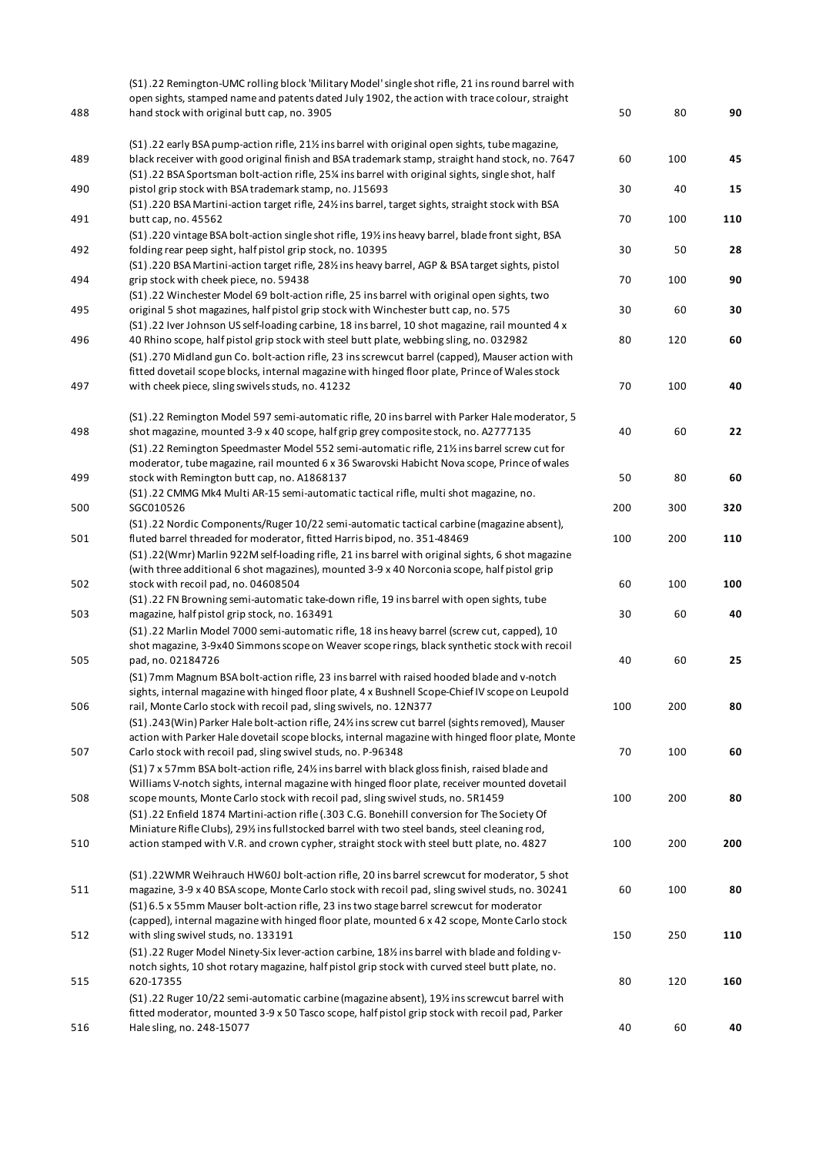|     | (S1).22 Remington-UMC rolling block 'Military Model' single shot rifle, 21 ins round barrel with                                                                                                                                                                                     |     |     |     |
|-----|--------------------------------------------------------------------------------------------------------------------------------------------------------------------------------------------------------------------------------------------------------------------------------------|-----|-----|-----|
|     | open sights, stamped name and patents dated July 1902, the action with trace colour, straight                                                                                                                                                                                        |     |     |     |
| 488 | hand stock with original butt cap, no. 3905                                                                                                                                                                                                                                          | 50  | 80  | 90  |
| 489 | (S1) .22 early BSA pump-action rifle, 21% ins barrel with original open sights, tube magazine,<br>black receiver with good original finish and BSA trademark stamp, straight hand stock, no. 7647                                                                                    | 60  | 100 | 45  |
| 490 | (S1).22 BSA Sportsman bolt-action rifle, 25% ins barrel with original sights, single shot, half<br>pistol grip stock with BSA trademark stamp, no. J15693                                                                                                                            | 30  | 40  | 15  |
| 491 | (S1) .220 BSA Martini-action target rifle, 241/2 ins barrel, target sights, straight stock with BSA<br>butt cap, no. 45562                                                                                                                                                           | 70  | 100 | 110 |
| 492 | (S1).220 vintage BSA bolt-action single shot rifle, 19% ins heavy barrel, blade front sight, BSA<br>folding rear peep sight, half pistol grip stock, no. 10395                                                                                                                       | 30  | 50  | 28  |
| 494 | (S1) .220 BSA Martini-action target rifle, 28% ins heavy barrel, AGP & BSA target sights, pistol<br>grip stock with cheek piece, no. 59438                                                                                                                                           | 70  | 100 | 90  |
| 495 | (S1).22 Winchester Model 69 bolt-action rifle, 25 ins barrel with original open sights, two<br>original 5 shot magazines, half pistol grip stock with Winchester butt cap, no. 575                                                                                                   | 30  | 60  | 30  |
| 496 | (S1).22 Iver Johnson US self-loading carbine, 18 ins barrel, 10 shot magazine, rail mounted 4 x<br>40 Rhino scope, half pistol grip stock with steel butt plate, webbing sling, no. 032982                                                                                           | 80  | 120 | 60  |
|     | (S1).270 Midland gun Co. bolt-action rifle, 23 ins screwcut barrel (capped), Mauser action with<br>fitted dovetail scope blocks, internal magazine with hinged floor plate, Prince of Wales stock                                                                                    |     |     |     |
| 497 | with cheek piece, sling swivels studs, no. 41232                                                                                                                                                                                                                                     | 70  | 100 | 40  |
| 498 | (S1).22 Remington Model 597 semi-automatic rifle, 20 ins barrel with Parker Hale moderator, 5<br>shot magazine, mounted 3-9 x 40 scope, half grip grey composite stock, no. A2777135<br>(S1).22 Remington Speedmaster Model 552 semi-automatic rifle, 211/2 ins barrel screw cut for | 40  | 60  | 22  |
| 499 | moderator, tube magazine, rail mounted 6 x 36 Swarovski Habicht Nova scope, Prince of wales<br>stock with Remington butt cap, no. A1868137                                                                                                                                           | 50  | 80  | 60  |
| 500 | (S1) .22 CMMG Mk4 Multi AR-15 semi-automatic tactical rifle, multi shot magazine, no.<br>SGC010526                                                                                                                                                                                   | 200 | 300 | 320 |
| 501 | (S1).22 Nordic Components/Ruger 10/22 semi-automatic tactical carbine (magazine absent),<br>fluted barrel threaded for moderator, fitted Harris bipod, no. 351-48469                                                                                                                 | 100 | 200 | 110 |
| 502 | (S1).22(Wmr) Marlin 922M self-loading rifle, 21 ins barrel with original sights, 6 shot magazine<br>(with three additional 6 shot magazines), mounted 3-9 x 40 Norconia scope, half pistol grip<br>stock with recoil pad, no. 04608504                                               | 60  | 100 | 100 |
| 503 | (S1).22 FN Browning semi-automatic take-down rifle, 19 ins barrel with open sights, tube<br>magazine, half pistol grip stock, no. 163491                                                                                                                                             | 30  | 60  | 40  |
|     | (S1).22 Marlin Model 7000 semi-automatic rifle, 18 ins heavy barrel (screw cut, capped), 10<br>shot magazine, 3-9x40 Simmons scope on Weaver scope rings, black synthetic stock with recoil                                                                                          |     |     |     |
| 505 | pad, no. 02184726<br>(S1) 7mm Magnum BSA bolt-action rifle, 23 ins barrel with raised hooded blade and v-notch                                                                                                                                                                       | 40  | 60  | 25  |
| 506 | sights, internal magazine with hinged floor plate, 4 x Bushnell Scope-Chief IV scope on Leupold<br>rail, Monte Carlo stock with recoil pad, sling swivels, no. 12N377                                                                                                                | 100 | 200 | 80  |
| 507 | (S1).243(Win) Parker Hale bolt-action rifle, 24% ins screw cut barrel (sights removed), Mauser<br>action with Parker Hale dovetail scope blocks, internal magazine with hinged floor plate, Monte<br>Carlo stock with recoil pad, sling swivel studs, no. P-96348                    | 70  | 100 | 60  |
|     | (S1) 7 x 57mm BSA bolt-action rifle, 24% ins barrel with black gloss finish, raised blade and<br>Williams V-notch sights, internal magazine with hinged floor plate, receiver mounted dovetail                                                                                       |     |     |     |
| 508 | scope mounts, Monte Carlo stock with recoil pad, sling swivel studs, no. 5R1459<br>(S1) .22 Enfield 1874 Martini-action rifle (.303 C.G. Bonehill conversion for The Society Of                                                                                                      | 100 | 200 | 80  |
| 510 | Miniature Rifle Clubs), 29% ins fullstocked barrel with two steel bands, steel cleaning rod,<br>action stamped with V.R. and crown cypher, straight stock with steel butt plate, no. 4827                                                                                            | 100 | 200 | 200 |
| 511 | (S1).22WMR Weihrauch HW60J bolt-action rifle, 20 ins barrel screwcut for moderator, 5 shot<br>magazine, 3-9 x 40 BSA scope, Monte Carlo stock with recoil pad, sling swivel studs, no. 30241                                                                                         | 60  | 100 | 80  |
| 512 | (S1) 6.5 x 55mm Mauser bolt-action rifle, 23 ins two stage barrel screwcut for moderator<br>(capped), internal magazine with hinged floor plate, mounted 6 x 42 scope, Monte Carlo stock<br>with sling swivel studs, no. 133191                                                      | 150 | 250 | 110 |
|     | (S1).22 Ruger Model Ninety-Six lever-action carbine, 18% ins barrel with blade and folding v-<br>notch sights, 10 shot rotary magazine, half pistol grip stock with curved steel butt plate, no.                                                                                     |     |     |     |
| 515 | 620-17355<br>(S1).22 Ruger 10/22 semi-automatic carbine (magazine absent), 191/2 ins screwcut barrel with                                                                                                                                                                            | 80  | 120 | 160 |
| 516 | fitted moderator, mounted 3-9 x 50 Tasco scope, half pistol grip stock with recoil pad, Parker<br>Hale sling, no. 248-15077                                                                                                                                                          | 40  | 60  | 40  |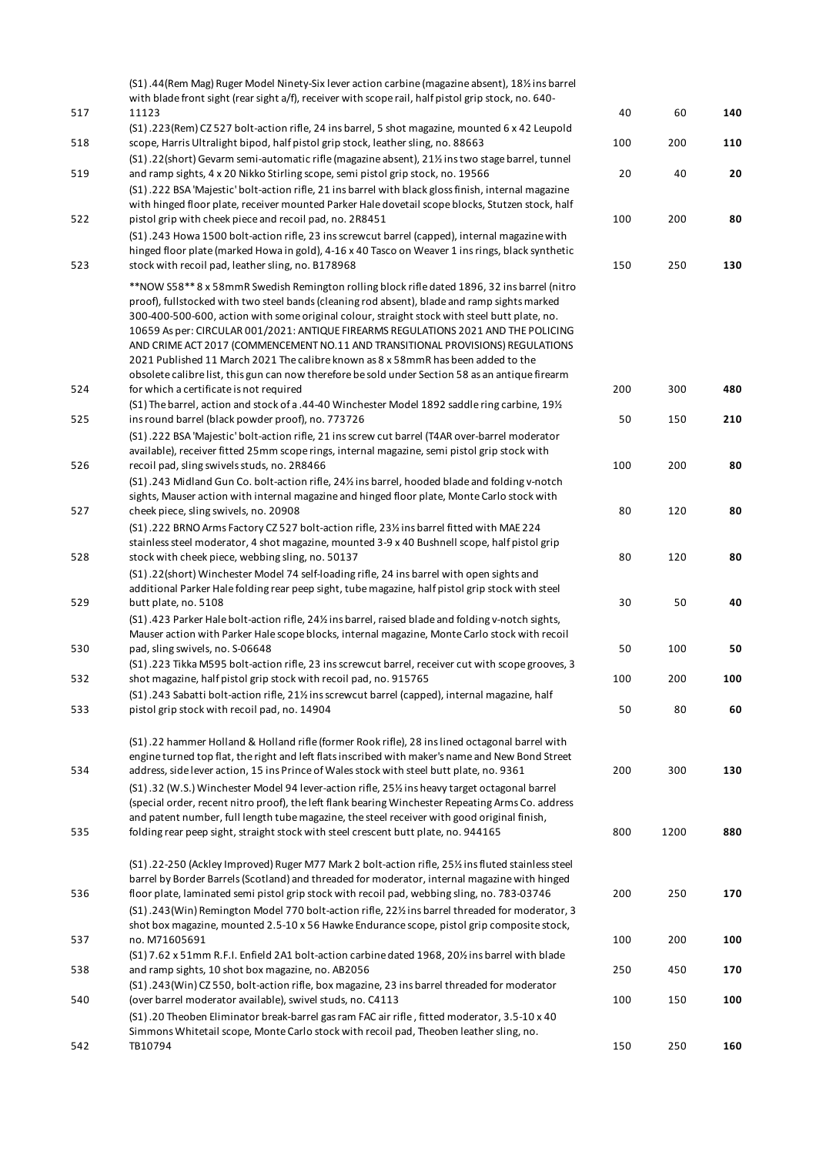|     | (S1).44 (Rem Mag) Ruger Model Ninety-Six lever action carbine (magazine absent), 181/2 ins barrel                                                                                                  |     |      |     |
|-----|----------------------------------------------------------------------------------------------------------------------------------------------------------------------------------------------------|-----|------|-----|
| 517 | with blade front sight (rear sight a/f), receiver with scope rail, half pistol grip stock, no. 640-<br>11123                                                                                       | 40  | 60   | 140 |
|     | (S1).223(Rem) CZ 527 bolt-action rifle, 24 ins barrel, 5 shot magazine, mounted 6 x 42 Leupold                                                                                                     |     |      |     |
| 518 | scope, Harris Ultralight bipod, half pistol grip stock, leather sling, no. 88663                                                                                                                   | 100 | 200  | 110 |
|     | (S1).22(short) Gevarm semi-automatic rifle (magazine absent), 21% ins two stage barrel, tunnel                                                                                                     |     |      |     |
| 519 | and ramp sights, 4 x 20 Nikko Stirling scope, semi pistol grip stock, no. 19566                                                                                                                    | 20  | 40   | 20  |
|     | (S1).222 BSA 'Majestic' bolt-action rifle, 21 ins barrel with black gloss finish, internal magazine                                                                                                |     |      |     |
|     | with hinged floor plate, receiver mounted Parker Hale dovetail scope blocks, Stutzen stock, half                                                                                                   |     |      |     |
| 522 | pistol grip with cheek piece and recoil pad, no. 2R8451                                                                                                                                            | 100 | 200  | 80  |
|     | (S1).243 Howa 1500 bolt-action rifle, 23 ins screwcut barrel (capped), internal magazine with<br>hinged floor plate (marked Howa in gold), 4-16 x 40 Tasco on Weaver 1 ins rings, black synthetic  |     |      |     |
| 523 | stock with recoil pad, leather sling, no. B178968                                                                                                                                                  | 150 | 250  | 130 |
|     |                                                                                                                                                                                                    |     |      |     |
|     | ** NOW S58** 8 x 58mmR Swedish Remington rolling block rifle dated 1896, 32 ins barrel (nitro                                                                                                      |     |      |     |
|     | proof), fullstocked with two steel bands (cleaning rod absent), blade and ramp sights marked<br>300-400-500-600, action with some original colour, straight stock with steel butt plate, no.       |     |      |     |
|     | 10659 As per: CIRCULAR 001/2021: ANTIQUE FIREARMS REGULATIONS 2021 AND THE POLICING                                                                                                                |     |      |     |
|     | AND CRIME ACT 2017 (COMMENCEMENT NO.11 AND TRANSITIONAL PROVISIONS) REGULATIONS                                                                                                                    |     |      |     |
|     | 2021 Published 11 March 2021 The calibre known as 8 x 58mmR has been added to the                                                                                                                  |     |      |     |
|     | obsolete calibre list, this gun can now therefore be sold under Section 58 as an antique firearm                                                                                                   |     |      |     |
| 524 | for which a certificate is not required                                                                                                                                                            | 200 | 300  | 480 |
|     | (S1) The barrel, action and stock of a .44-40 Winchester Model 1892 saddle ring carbine, 191/2                                                                                                     |     |      |     |
| 525 | ins round barrel (black powder proof), no. 773726                                                                                                                                                  | 50  | 150  | 210 |
|     | (S1) .222 BSA 'Majestic' bolt-action rifle, 21 ins screw cut barrel (T4AR over-barrel moderator<br>available), receiver fitted 25mm scope rings, internal magazine, semi pistol grip stock with    |     |      |     |
| 526 | recoil pad, sling swivels studs, no. 2R8466                                                                                                                                                        | 100 | 200  | 80  |
|     | (S1).243 Midland Gun Co. bolt-action rifle, 24% ins barrel, hooded blade and folding v-notch                                                                                                       |     |      |     |
|     | sights, Mauser action with internal magazine and hinged floor plate, Monte Carlo stock with                                                                                                        |     |      |     |
| 527 | cheek piece, sling swivels, no. 20908                                                                                                                                                              | 80  | 120  | 80  |
|     | (S1) .222 BRNO Arms Factory CZ 527 bolt-action rifle, 23% ins barrel fitted with MAE 224                                                                                                           |     |      |     |
|     | stainless steel moderator, 4 shot magazine, mounted 3-9 x 40 Bushnell scope, half pistol grip                                                                                                      |     |      |     |
| 528 | stock with cheek piece, webbing sling, no. 50137                                                                                                                                                   | 80  | 120  | 80  |
|     | (S1) .22(short) Winchester Model 74 self-loading rifle, 24 ins barrel with open sights and                                                                                                         |     |      |     |
|     | additional Parker Hale folding rear peep sight, tube magazine, half pistol grip stock with steel                                                                                                   |     |      |     |
| 529 | butt plate, no. 5108                                                                                                                                                                               | 30  | 50   | 40  |
|     | (S1) .423 Parker Hale bolt-action rifle, 24% ins barrel, raised blade and folding v-notch sights,<br>Mauser action with Parker Hale scope blocks, internal magazine, Monte Carlo stock with recoil |     |      |     |
| 530 | pad, sling swivels, no. S-06648                                                                                                                                                                    | 50  | 100  | 50  |
|     | (S1).223 Tikka M595 bolt-action rifle, 23 ins screwcut barrel, receiver cut with scope grooves, 3                                                                                                  |     |      |     |
| 532 | shot magazine, half pistol grip stock with recoil pad, no. 915765                                                                                                                                  | 100 | 200  | 100 |
|     | (S1).243 Sabatti bolt-action rifle, 21% ins screwcut barrel (capped), internal magazine, half                                                                                                      |     |      |     |
| 533 | pistol grip stock with recoil pad, no. 14904                                                                                                                                                       | 50  | 80   | 60  |
|     |                                                                                                                                                                                                    |     |      |     |
|     | (S1).22 hammer Holland & Holland rifle (former Rook rifle), 28 ins lined octagonal barrel with                                                                                                     |     |      |     |
|     | engine turned top flat, the right and left flats inscribed with maker's name and New Bond Street                                                                                                   |     |      |     |
| 534 | address, side lever action, 15 ins Prince of Wales stock with steel butt plate, no. 9361                                                                                                           | 200 | 300  | 130 |
|     | (S1).32 (W.S.) Winchester Model 94 lever-action rifle, 25% ins heavy target octagonal barrel                                                                                                       |     |      |     |
|     | (special order, recent nitro proof), the left flank bearing Winchester Repeating Arms Co. address<br>and patent number, full length tube magazine, the steel receiver with good original finish,   |     |      |     |
| 535 | folding rear peep sight, straight stock with steel crescent butt plate, no. 944165                                                                                                                 | 800 | 1200 | 880 |
|     |                                                                                                                                                                                                    |     |      |     |
|     | (S1).22-250 (Ackley Improved) Ruger M77 Mark 2 bolt-action rifle, 25% ins fluted stainless steel                                                                                                   |     |      |     |
|     | barrel by Border Barrels (Scotland) and threaded for moderator, internal magazine with hinged                                                                                                      |     |      |     |
| 536 | floor plate, laminated semi pistol grip stock with recoil pad, webbing sling, no. 783-03746                                                                                                        | 200 | 250  | 170 |
|     | (S1).243(Win) Remington Model 770 bolt-action rifle, 22% ins barrel threaded for moderator, 3                                                                                                      |     |      |     |
|     | shot box magazine, mounted 2.5-10 x 56 Hawke Endurance scope, pistol grip composite stock,                                                                                                         |     |      |     |
| 537 | no. M71605691                                                                                                                                                                                      | 100 | 200  | 100 |
| 538 | (S1) 7.62 x 51mm R.F.I. Enfield 2A1 bolt-action carbine dated 1968, 201/2 ins barrel with blade<br>and ramp sights, 10 shot box magazine, no. AB2056                                               | 250 | 450  | 170 |
|     | (S1).243(Win) CZ 550, bolt-action rifle, box magazine, 23 ins barrel threaded for moderator                                                                                                        |     |      |     |
| 540 | (over barrel moderator available), swivel studs, no. C4113                                                                                                                                         | 100 | 150  | 100 |
|     | (S1) .20 Theoben Eliminator break-barrel gas ram FAC air rifle, fitted moderator, 3.5-10 x 40                                                                                                      |     |      |     |
|     | Simmons Whitetail scope, Monte Carlo stock with recoil pad, Theoben leather sling, no.                                                                                                             |     |      |     |
| 542 | TB10794                                                                                                                                                                                            | 150 | 250  | 160 |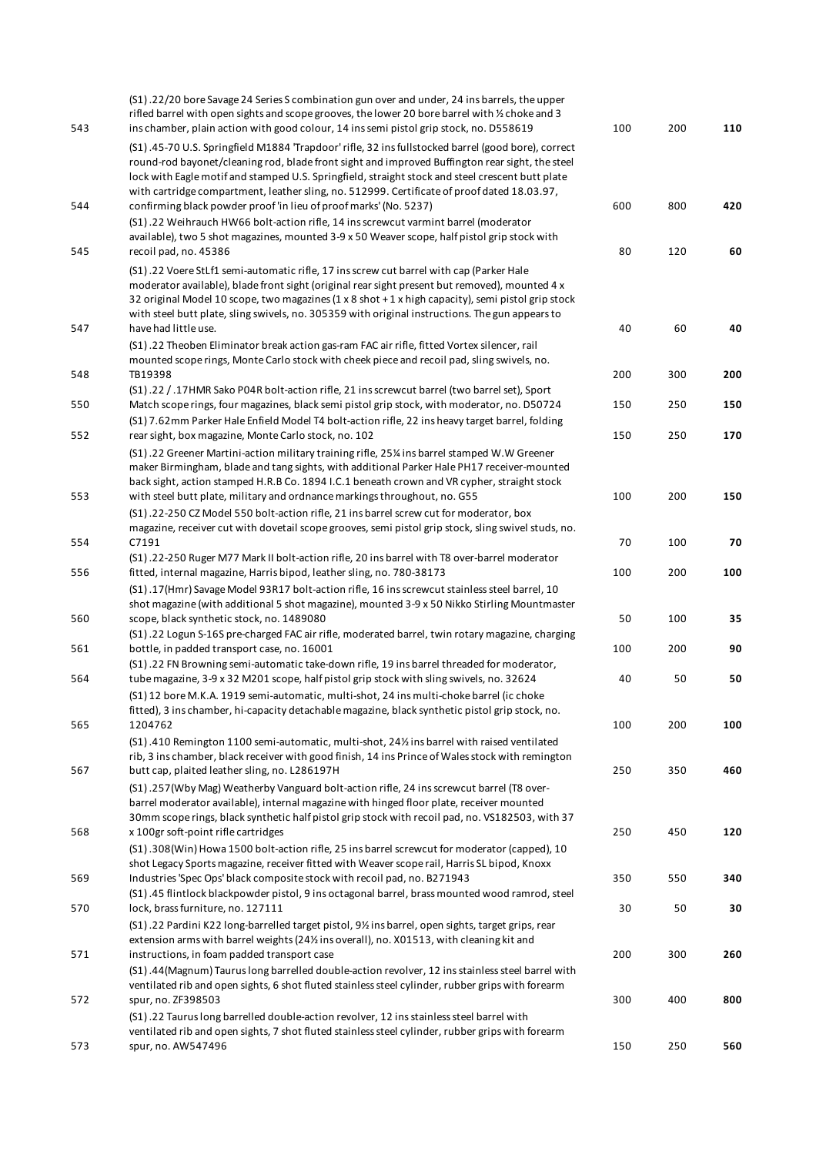| 543 | (S1).22/20 bore Savage 24 Series S combination gun over and under, 24 ins barrels, the upper<br>rifled barrel with open sights and scope grooves, the lower 20 bore barrel with 1/2 choke and 3<br>ins chamber, plain action with good colour, 14 ins semi pistol grip stock, no. D558619                                                                                                                                  | 100 | 200 | 110 |
|-----|----------------------------------------------------------------------------------------------------------------------------------------------------------------------------------------------------------------------------------------------------------------------------------------------------------------------------------------------------------------------------------------------------------------------------|-----|-----|-----|
|     | (S1).45-70 U.S. Springfield M1884 'Trapdoor' rifle, 32 ins fullstocked barrel (good bore), correct<br>round-rod bayonet/cleaning rod, blade front sight and improved Buffington rear sight, the steel<br>lock with Eagle motif and stamped U.S. Springfield, straight stock and steel crescent butt plate<br>with cartridge compartment, leather sling, no. 512999. Certificate of proof dated 18.03.97,                   |     |     |     |
| 544 | confirming black powder proof 'in lieu of proof marks' (No. 5237)<br>(S1).22 Weihrauch HW66 bolt-action rifle, 14 ins screwcut varmint barrel (moderator                                                                                                                                                                                                                                                                   | 600 | 800 | 420 |
| 545 | available), two 5 shot magazines, mounted 3-9 x 50 Weaver scope, half pistol grip stock with<br>recoil pad, no. 45386                                                                                                                                                                                                                                                                                                      | 80  | 120 | 60  |
| 547 | (S1).22 Voere StLf1 semi-automatic rifle, 17 ins screw cut barrel with cap (Parker Hale<br>moderator available), blade front sight (original rear sight present but removed), mounted 4 x<br>32 original Model 10 scope, two magazines (1 x 8 shot + 1 x high capacity), semi pistol grip stock<br>with steel butt plate, sling swivels, no. 305359 with original instructions. The gun appears to<br>have had little use. | 40  | 60  | 40  |
|     | (S1).22 Theoben Eliminator break action gas-ram FAC air rifle, fitted Vortex silencer, rail<br>mounted scope rings, Monte Carlo stock with cheek piece and recoil pad, sling swivels, no.                                                                                                                                                                                                                                  |     |     |     |
| 548 | TB19398<br>(S1).22 / .17HMR Sako P04R bolt-action rifle, 21 ins screwcut barrel (two barrel set), Sport                                                                                                                                                                                                                                                                                                                    | 200 | 300 | 200 |
| 550 | Match scope rings, four magazines, black semi pistol grip stock, with moderator, no. D50724<br>(S1) 7.62mm Parker Hale Enfield Model T4 bolt-action rifle, 22 ins heavy target barrel, folding                                                                                                                                                                                                                             | 150 | 250 | 150 |
| 552 | rear sight, box magazine, Monte Carlo stock, no. 102<br>(S1).22 Greener Martini-action military training rifle, 25 <sup>%</sup> ins barrel stamped W.W Greener<br>maker Birmingham, blade and tang sights, with additional Parker Hale PH17 receiver-mounted<br>back sight, action stamped H.R.B Co. 1894 I.C.1 beneath crown and VR cypher, straight stock                                                                | 150 | 250 | 170 |
| 553 | with steel butt plate, military and ordnance markings throughout, no. G55<br>(S1) .22-250 CZ Model 550 bolt-action rifle, 21 ins barrel screw cut for moderator, box                                                                                                                                                                                                                                                       | 100 | 200 | 150 |
| 554 | magazine, receiver cut with dovetail scope grooves, semi pistol grip stock, sling swivel studs, no.<br>C7191                                                                                                                                                                                                                                                                                                               | 70  | 100 | 70  |
| 556 | (S1) .22-250 Ruger M77 Mark II bolt-action rifle, 20 ins barrel with T8 over-barrel moderator<br>fitted, internal magazine, Harris bipod, leather sling, no. 780-38173                                                                                                                                                                                                                                                     | 100 | 200 | 100 |
| 560 | (S1).17(Hmr) Savage Model 93R17 bolt-action rifle, 16 ins screwcut stainless steel barrel, 10<br>shot magazine (with additional 5 shot magazine), mounted 3-9 x 50 Nikko Stirling Mountmaster<br>scope, black synthetic stock, no. 1489080                                                                                                                                                                                 | 50  | 100 | 35  |
| 561 | (S1) .22 Logun S-16S pre-charged FAC air rifle, moderated barrel, twin rotary magazine, charging<br>bottle, in padded transport case, no. 16001                                                                                                                                                                                                                                                                            | 100 | 200 | 90  |
| 564 | (S1) .22 FN Browning semi-automatic take-down rifle, 19 ins barrel threaded for moderator,<br>tube magazine, 3-9 x 32 M201 scope, half pistol grip stock with sling swivels, no. 32624                                                                                                                                                                                                                                     | 40  | 50  | 50  |
|     | (S1) 12 bore M.K.A. 1919 semi-automatic, multi-shot, 24 ins multi-choke barrel (ic choke<br>fitted), 3 ins chamber, hi-capacity detachable magazine, black synthetic pistol grip stock, no.                                                                                                                                                                                                                                |     |     |     |
| 565 | 1204762<br>(S1).410 Remington 1100 semi-automatic, multi-shot, 24% ins barrel with raised ventilated                                                                                                                                                                                                                                                                                                                       | 100 | 200 | 100 |
| 567 | rib, 3 ins chamber, black receiver with good finish, 14 ins Prince of Wales stock with remington<br>butt cap, plaited leather sling, no. L286197H                                                                                                                                                                                                                                                                          | 250 | 350 | 460 |
|     | (S1).257 (Wby Mag) Weatherby Vanguard bolt-action rifle, 24 ins screwcut barrel (T8 over-<br>barrel moderator available), internal magazine with hinged floor plate, receiver mounted<br>30mm scope rings, black synthetic half pistol grip stock with recoil pad, no. VS182503, with 37                                                                                                                                   |     |     |     |
| 568 | x 100gr soft-point rifle cartridges<br>(S1).308(Win) Howa 1500 bolt-action rifle, 25 ins barrel screwcut for moderator (capped), 10<br>shot Legacy Sports magazine, receiver fitted with Weaver scope rail, Harris SL bipod, Knoxx                                                                                                                                                                                         | 250 | 450 | 120 |
| 569 | Industries 'Spec Ops' black composite stock with recoil pad, no. B271943<br>(S1).45 flintlock blackpowder pistol, 9 ins octagonal barrel, brass mounted wood ramrod, steel                                                                                                                                                                                                                                                 | 350 | 550 | 340 |
| 570 | lock, brass furniture, no. 127111<br>(S1).22 Pardini K22 long-barrelled target pistol, 91/2 ins barrel, open sights, target grips, rear                                                                                                                                                                                                                                                                                    | 30  | 50  | 30  |
| 571 | extension arms with barrel weights (24% ins overall), no. X01513, with cleaning kit and<br>instructions, in foam padded transport case                                                                                                                                                                                                                                                                                     | 200 | 300 | 260 |
| 572 | (S1).44 (Magnum) Taurus long barrelled double-action revolver, 12 ins stainless steel barrel with<br>ventilated rib and open sights, 6 shot fluted stainless steel cylinder, rubber grips with forearm<br>spur, no. ZF398503                                                                                                                                                                                               | 300 | 400 | 800 |
|     | (S1) .22 Taurus long barrelled double-action revolver, 12 ins stainless steel barrel with<br>ventilated rib and open sights, 7 shot fluted stainless steel cylinder, rubber grips with forearm                                                                                                                                                                                                                             |     |     |     |
| 573 | spur, no. AW547496                                                                                                                                                                                                                                                                                                                                                                                                         | 150 | 250 | 560 |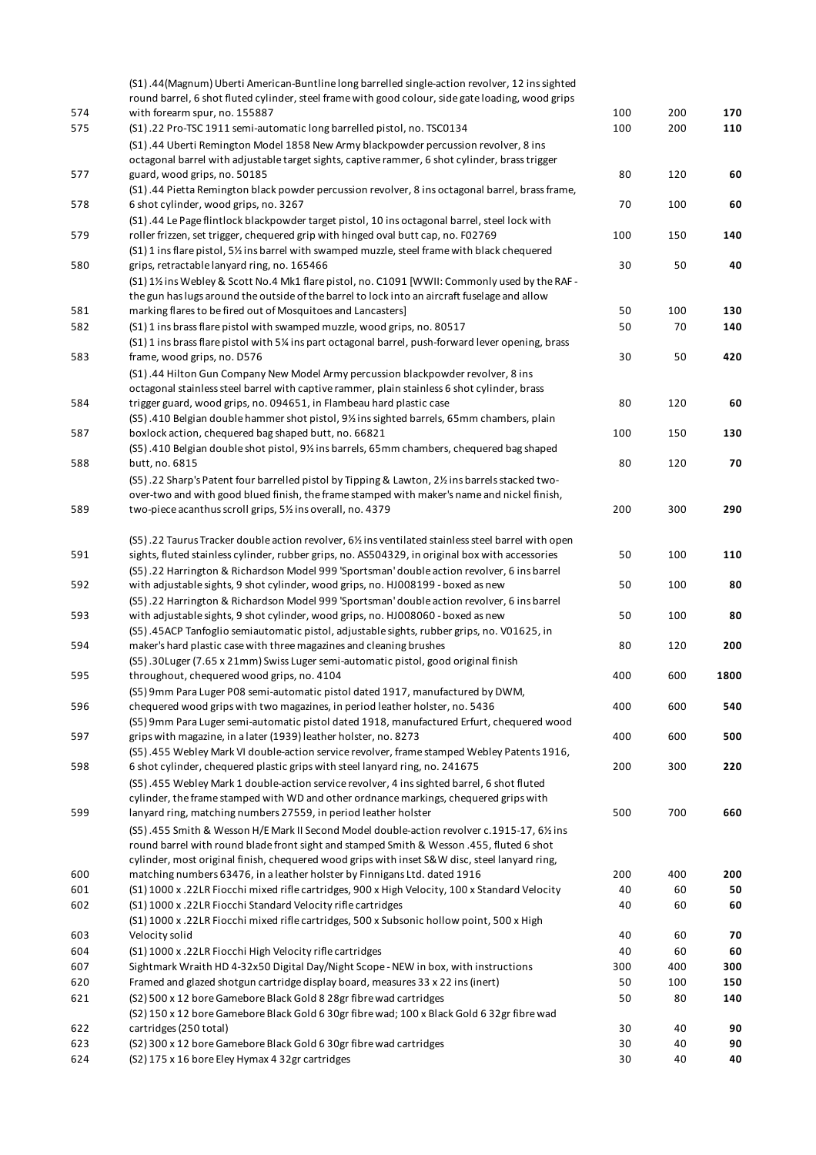|     | (S1).44(Magnum) Uberti American-Buntline long barrelled single-action revolver, 12 ins sighted                                                                                            |     |     |          |
|-----|-------------------------------------------------------------------------------------------------------------------------------------------------------------------------------------------|-----|-----|----------|
|     | round barrel, 6 shot fluted cylinder, steel frame with good colour, side gate loading, wood grips                                                                                         |     |     |          |
| 574 | with forearm spur, no. 155887                                                                                                                                                             | 100 | 200 | 170      |
| 575 | (S1).22 Pro-TSC 1911 semi-automatic long barrelled pistol, no. TSC0134                                                                                                                    | 100 | 200 | 110      |
|     | (S1).44 Uberti Remington Model 1858 New Army blackpowder percussion revolver, 8 ins                                                                                                       |     |     |          |
|     | octagonal barrel with adjustable target sights, captive rammer, 6 shot cylinder, brass trigger                                                                                            |     |     |          |
| 577 | guard, wood grips, no. 50185                                                                                                                                                              | 80  | 120 | 60       |
|     | (S1) .44 Pietta Remington black powder percussion revolver, 8 ins octagonal barrel, brass frame,                                                                                          |     |     |          |
| 578 | 6 shot cylinder, wood grips, no. 3267                                                                                                                                                     | 70  | 100 | 60       |
|     | (S1).44 Le Page flintlock blackpowder target pistol, 10 ins octagonal barrel, steel lock with                                                                                             |     |     |          |
| 579 | roller frizzen, set trigger, chequered grip with hinged oval butt cap, no. F02769                                                                                                         | 100 | 150 | 140      |
|     | (S1) 1 ins flare pistol, 5% ins barrel with swamped muzzle, steel frame with black chequered                                                                                              |     |     |          |
| 580 | grips, retractable lanyard ring, no. 165466                                                                                                                                               | 30  | 50  | 40       |
|     | (S1) 1½ ins Webley & Scott No.4 Mk1 flare pistol, no. C1091 [WWII: Commonly used by the RAF -                                                                                             |     |     |          |
|     | the gun has lugs around the outside of the barrel to lock into an aircraft fuselage and allow                                                                                             |     |     |          |
| 581 | marking flares to be fired out of Mosquitoes and Lancasters]                                                                                                                              | 50  | 100 | 130      |
| 582 | (S1) 1 ins brass flare pistol with swamped muzzle, wood grips, no. 80517                                                                                                                  | 50  | 70  | 140      |
|     | (S1) 1 ins brass flare pistol with 5% ins part octagonal barrel, push-forward lever opening, brass                                                                                        |     |     |          |
| 583 | frame, wood grips, no. D576                                                                                                                                                               | 30  | 50  | 420      |
|     | (S1).44 Hilton Gun Company New Model Army percussion blackpowder revolver, 8 ins                                                                                                          |     |     |          |
|     | octagonal stainless steel barrel with captive rammer, plain stainless 6 shot cylinder, brass                                                                                              |     |     |          |
| 584 | trigger guard, wood grips, no. 094651, in Flambeau hard plastic case                                                                                                                      | 80  | 120 | 60       |
|     | (S5).410 Belgian double hammer shot pistol, 9% ins sighted barrels, 65mm chambers, plain                                                                                                  |     |     |          |
| 587 | boxlock action, chequered bag shaped butt, no. 66821                                                                                                                                      | 100 | 150 | 130      |
|     | (S5).410 Belgian double shot pistol, 9% ins barrels, 65mm chambers, chequered bag shaped                                                                                                  |     |     |          |
| 588 | butt, no. 6815                                                                                                                                                                            | 80  | 120 | 70       |
|     | (S5).22 Sharp's Patent four barrelled pistol by Tipping & Lawton, 2% ins barrels stacked two-                                                                                             |     |     |          |
|     | over-two and with good blued finish, the frame stamped with maker's name and nickel finish,                                                                                               |     |     |          |
| 589 | two-piece acanthus scroll grips, 5% ins overall, no. 4379                                                                                                                                 | 200 | 300 | 290      |
|     |                                                                                                                                                                                           |     |     |          |
|     | (S5) .22 Taurus Tracker double action revolver, 6½ ins ventilated stainless steel barrel with open                                                                                        |     |     |          |
| 591 | sights, fluted stainless cylinder, rubber grips, no. AS504329, in original box with accessories                                                                                           | 50  | 100 | 110      |
|     | (S5).22 Harrington & Richardson Model 999 'Sportsman' double action revolver, 6 ins barrel                                                                                                |     |     |          |
| 592 | with adjustable sights, 9 shot cylinder, wood grips, no. HJ008199 - boxed as new                                                                                                          | 50  | 100 | 80       |
|     | (S5).22 Harrington & Richardson Model 999 'Sportsman' double action revolver, 6 ins barrel                                                                                                |     |     |          |
| 593 | with adjustable sights, 9 shot cylinder, wood grips, no. HJ008060 - boxed as new                                                                                                          | 50  | 100 | 80       |
|     | (S5).45ACP Tanfoglio semiautomatic pistol, adjustable sights, rubber grips, no. V01625, in                                                                                                |     |     |          |
| 594 | maker's hard plastic case with three magazines and cleaning brushes                                                                                                                       | 80  | 120 | 200      |
|     | (S5).30Luger (7.65 x 21mm) Swiss Luger semi-automatic pistol, good original finish                                                                                                        |     |     |          |
| 595 | throughout, chequered wood grips, no. 4104                                                                                                                                                | 400 | 600 | 1800     |
|     | (S5) 9mm Para Luger P08 semi-automatic pistol dated 1917, manufactured by DWM,<br>chequered wood grips with two magazines, in period leather holster, no. 5436                            | 400 | 600 | 540      |
| 596 |                                                                                                                                                                                           |     |     |          |
| 597 | (S5) 9mm Para Luger semi-automatic pistol dated 1918, manufactured Erfurt, chequered wood<br>grips with magazine, in a later (1939) leather holster, no. 8273                             | 400 | 600 | 500      |
|     |                                                                                                                                                                                           |     |     |          |
| 598 | (S5).455 Webley Mark VI double-action service revolver, frame stamped Webley Patents 1916,<br>6 shot cylinder, chequered plastic grips with steel lanyard ring, no. 241675                | 200 | 300 | 220      |
|     | (S5).455 Webley Mark 1 double-action service revolver, 4 ins sighted barrel, 6 shot fluted                                                                                                |     |     |          |
|     | cylinder, the frame stamped with WD and other ordnance markings, chequered grips with                                                                                                     |     |     |          |
| 599 | lanyard ring, matching numbers 27559, in period leather holster                                                                                                                           | 500 | 700 | 660      |
|     |                                                                                                                                                                                           |     |     |          |
|     | (S5).455 Smith & Wesson H/E Mark II Second Model double-action revolver c.1915-17, 6% ins                                                                                                 |     |     |          |
|     | round barrel with round blade front sight and stamped Smith & Wesson .455, fluted 6 shot<br>cylinder, most original finish, chequered wood grips with inset S&W disc, steel lanyard ring, |     |     |          |
| 600 | matching numbers 63476, in a leather holster by Finnigans Ltd. dated 1916                                                                                                                 | 200 | 400 | 200      |
| 601 | (S1) 1000 x .22LR Fiocchi mixed rifle cartridges, 900 x High Velocity, 100 x Standard Velocity                                                                                            | 40  | 60  | 50       |
| 602 | (S1) 1000 x .22LR Fiocchi Standard Velocity rifle cartridges                                                                                                                              | 40  | 60  | 60       |
|     | (S1) 1000 x .22LR Fiocchi mixed rifle cartridges, 500 x Subsonic hollow point, 500 x High                                                                                                 |     |     |          |
| 603 |                                                                                                                                                                                           | 40  | 60  | 70       |
|     | Velocity solid                                                                                                                                                                            |     |     |          |
| 604 | (S1) 1000 x .22LR Fiocchi High Velocity rifle cartridges                                                                                                                                  | 40  | 60  | 60       |
| 607 | Sightmark Wraith HD 4-32x50 Digital Day/Night Scope - NEW in box, with instructions                                                                                                       | 300 | 400 | 300      |
| 620 | Framed and glazed shotgun cartridge display board, measures 33 x 22 ins (inert)                                                                                                           | 50  | 100 | 150      |
| 621 | (S2) 500 x 12 bore Gamebore Black Gold 8 28gr fibre wad cartridges                                                                                                                        | 50  | 80  | 140      |
|     | (S2) 150 x 12 bore Gamebore Black Gold 6 30gr fibre wad; 100 x Black Gold 6 32gr fibre wad                                                                                                |     |     |          |
| 622 | cartridges (250 total)                                                                                                                                                                    | 30  | 40  | 90<br>90 |
| 623 | (S2) 300 x 12 bore Gamebore Black Gold 6 30gr fibre wad cartridges                                                                                                                        | 30  | 40  |          |
| 624 | (S2) 175 x 16 bore Eley Hymax 4 32gr cartridges                                                                                                                                           | 30  | 40  | 40       |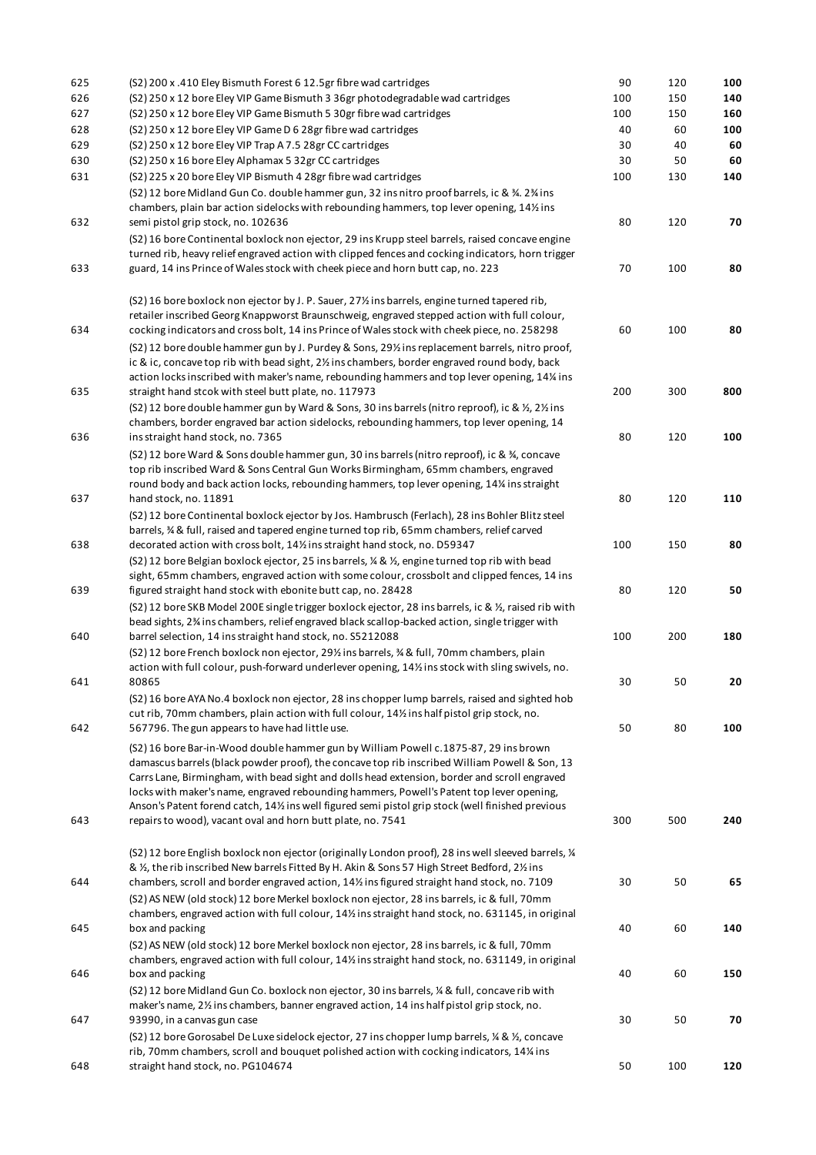| 625 | (S2) 200 x .410 Eley Bismuth Forest 6 12.5gr fibre wad cartridges                                                                                                                           | 90  | 120 | 100 |
|-----|---------------------------------------------------------------------------------------------------------------------------------------------------------------------------------------------|-----|-----|-----|
| 626 | (S2) 250 x 12 bore Eley VIP Game Bismuth 3 36gr photodegradable wad cartridges                                                                                                              | 100 | 150 | 140 |
| 627 | (S2) 250 x 12 bore Eley VIP Game Bismuth 5 30gr fibre wad cartridges                                                                                                                        | 100 | 150 | 160 |
| 628 | (S2) 250 x 12 bore Eley VIP Game D 6 28gr fibre wad cartridges                                                                                                                              | 40  | 60  | 100 |
| 629 | (S2) 250 x 12 bore Eley VIP Trap A 7.5 28gr CC cartridges                                                                                                                                   | 30  | 40  | 60  |
| 630 | (S2) 250 x 16 bore Eley Alphamax 5 32gr CC cartridges                                                                                                                                       | 30  | 50  | 60  |
| 631 | (S2) 225 x 20 bore Eley VIP Bismuth 4 28gr fibre wad cartridges                                                                                                                             | 100 | 130 | 140 |
|     | (S2) 12 bore Midland Gun Co. double hammer gun, 32 ins nitro proof barrels, ic & 34. 234 ins                                                                                                |     |     |     |
|     | chambers, plain bar action sidelocks with rebounding hammers, top lever opening, 14% ins                                                                                                    |     |     |     |
| 632 | semi pistol grip stock, no. 102636                                                                                                                                                          | 80  | 120 | 70  |
|     | (S2) 16 bore Continental boxlock non ejector, 29 ins Krupp steel barrels, raised concave engine                                                                                             |     |     |     |
|     | turned rib, heavy relief engraved action with clipped fences and cocking indicators, horn trigger<br>guard, 14 ins Prince of Wales stock with cheek piece and horn butt cap, no. 223        | 70  |     | 80  |
| 633 |                                                                                                                                                                                             |     | 100 |     |
|     |                                                                                                                                                                                             |     |     |     |
|     | (S2) 16 bore boxlock non ejector by J. P. Sauer, 27% ins barrels, engine turned tapered rib,<br>retailer inscribed Georg Knappworst Braunschweig, engraved stepped action with full colour, |     |     |     |
| 634 | cocking indicators and cross bolt, 14 ins Prince of Wales stock with cheek piece, no. 258298                                                                                                | 60  | 100 | 80  |
|     | (S2) 12 bore double hammer gun by J. Purdey & Sons, 29% ins replacement barrels, nitro proof,                                                                                               |     |     |     |
|     | ic & ic, concave top rib with bead sight, 2% ins chambers, border engraved round body, back                                                                                                 |     |     |     |
|     | action locks inscribed with maker's name, rebounding hammers and top lever opening, 14% ins                                                                                                 |     |     |     |
| 635 | straight hand stcok with steel butt plate, no. 117973                                                                                                                                       | 200 | 300 | 800 |
|     | (S2) 12 bore double hammer gun by Ward & Sons, 30 ins barrels (nitro reproof), ic & 1/2, 21/2 ins                                                                                           |     |     |     |
|     | chambers, border engraved bar action sidelocks, rebounding hammers, top lever opening, 14                                                                                                   |     |     |     |
| 636 | ins straight hand stock, no. 7365                                                                                                                                                           | 80  | 120 | 100 |
|     | (S2) 12 bore Ward & Sons double hammer gun, 30 ins barrels (nitro reproof), ic & %, concave                                                                                                 |     |     |     |
|     | top rib inscribed Ward & Sons Central Gun Works Birmingham, 65mm chambers, engraved                                                                                                         |     |     |     |
|     | round body and back action locks, rebounding hammers, top lever opening, 14% ins straight                                                                                                   |     |     |     |
| 637 | hand stock, no. 11891                                                                                                                                                                       | 80  | 120 | 110 |
|     | (S2) 12 bore Continental boxlock ejector by Jos. Hambrusch (Ferlach), 28 ins Bohler Blitz steel                                                                                             |     |     |     |
|     | barrels, % & full, raised and tapered engine turned top rib, 65mm chambers, relief carved                                                                                                   |     |     |     |
| 638 | decorated action with cross bolt, 141/2 ins straight hand stock, no. D59347                                                                                                                 | 100 | 150 | 80  |
|     | (S2) 12 bore Belgian boxlock ejector, 25 ins barrels, ¼ & ½, engine turned top rib with bead                                                                                                |     |     |     |
| 639 | sight, 65mm chambers, engraved action with some colour, crossbolt and clipped fences, 14 ins<br>figured straight hand stock with ebonite butt cap, no. 28428                                | 80  | 120 | 50  |
|     | (S2) 12 bore SKB Model 200E single trigger boxlock ejector, 28 ins barrels, ic & 1/2, raised rib with                                                                                       |     |     |     |
|     | bead sights, 2% ins chambers, relief engraved black scallop-backed action, single trigger with                                                                                              |     |     |     |
| 640 | barrel selection, 14 ins straight hand stock, no. S5212088                                                                                                                                  | 100 | 200 | 180 |
|     | (S2) 12 bore French boxlock non ejector, 29% ins barrels, % & full, 70mm chambers, plain                                                                                                    |     |     |     |
|     | action with full colour, push-forward underlever opening, 14% ins stock with sling swivels, no.                                                                                             |     |     |     |
| 641 | 80865                                                                                                                                                                                       | 30  | 50  | 20  |
|     | (S2) 16 bore AYA No.4 boxlock non ejector, 28 ins chopper lump barrels, raised and sighted hob                                                                                              |     |     |     |
|     | cut rib, 70mm chambers, plain action with full colour, 14% ins half pistol grip stock, no.                                                                                                  |     |     |     |
| 642 | 567796. The gun appears to have had little use.                                                                                                                                             | 50  | 80  | 100 |
|     | (S2) 16 bore Bar-in-Wood double hammer gun by William Powell c.1875-87, 29 ins brown                                                                                                        |     |     |     |
|     | damascus barrels (black powder proof), the concave top rib inscribed William Powell & Son, 13                                                                                               |     |     |     |
|     | Carrs Lane, Birmingham, with bead sight and dolls head extension, border and scroll engraved                                                                                                |     |     |     |
|     | locks with maker's name, engraved rebounding hammers, Powell's Patent top lever opening,                                                                                                    |     |     |     |
| 643 | Anson's Patent forend catch, 141/2 ins well figured semi pistol grip stock (well finished previous<br>repairs to wood), vacant oval and horn butt plate, no. 7541                           | 300 | 500 | 240 |
|     |                                                                                                                                                                                             |     |     |     |
|     | (S2) 12 bore English boxlock non ejector (originally London proof), 28 ins well sleeved barrels, 1/4                                                                                        |     |     |     |
|     | & 1/2, the rib inscribed New barrels Fitted By H. Akin & Sons 57 High Street Bedford, 21/2 ins                                                                                              |     |     |     |
| 644 | chambers, scroll and border engraved action, 14% ins figured straight hand stock, no. 7109                                                                                                  | 30  | 50  | 65  |
|     | (S2) AS NEW (old stock) 12 bore Merkel boxlock non ejector, 28 ins barrels, ic & full, 70mm                                                                                                 |     |     |     |
|     | chambers, engraved action with full colour, 14% ins straight hand stock, no. 631145, in original                                                                                            |     |     |     |
| 645 | box and packing                                                                                                                                                                             | 40  | 60  | 140 |
|     | (S2) AS NEW (old stock) 12 bore Merkel boxlock non ejector, 28 ins barrels, ic & full, 70mm                                                                                                 |     |     |     |
|     | chambers, engraved action with full colour, 14% ins straight hand stock, no. 631149, in original                                                                                            |     |     |     |
| 646 | box and packing                                                                                                                                                                             | 40  | 60  | 150 |
|     | (S2) 12 bore Midland Gun Co. boxlock non ejector, 30 ins barrels, 1/4 & full, concave rib with                                                                                              |     |     |     |
|     | maker's name, 21/ <sub>2</sub> ins chambers, banner engraved action, 14 ins half pistol grip stock, no.                                                                                     |     |     |     |
| 647 | 93990, in a canvas gun case                                                                                                                                                                 | 30  | 50  | 70  |
|     | (S2) 12 bore Gorosabel De Luxe sidelock ejector, 27 ins chopper lump barrels, ¼ & ½, concave                                                                                                |     |     |     |
| 648 | rib, 70mm chambers, scroll and bouquet polished action with cocking indicators, 14% ins<br>straight hand stock, no. PG104674                                                                | 50  | 100 | 120 |
|     |                                                                                                                                                                                             |     |     |     |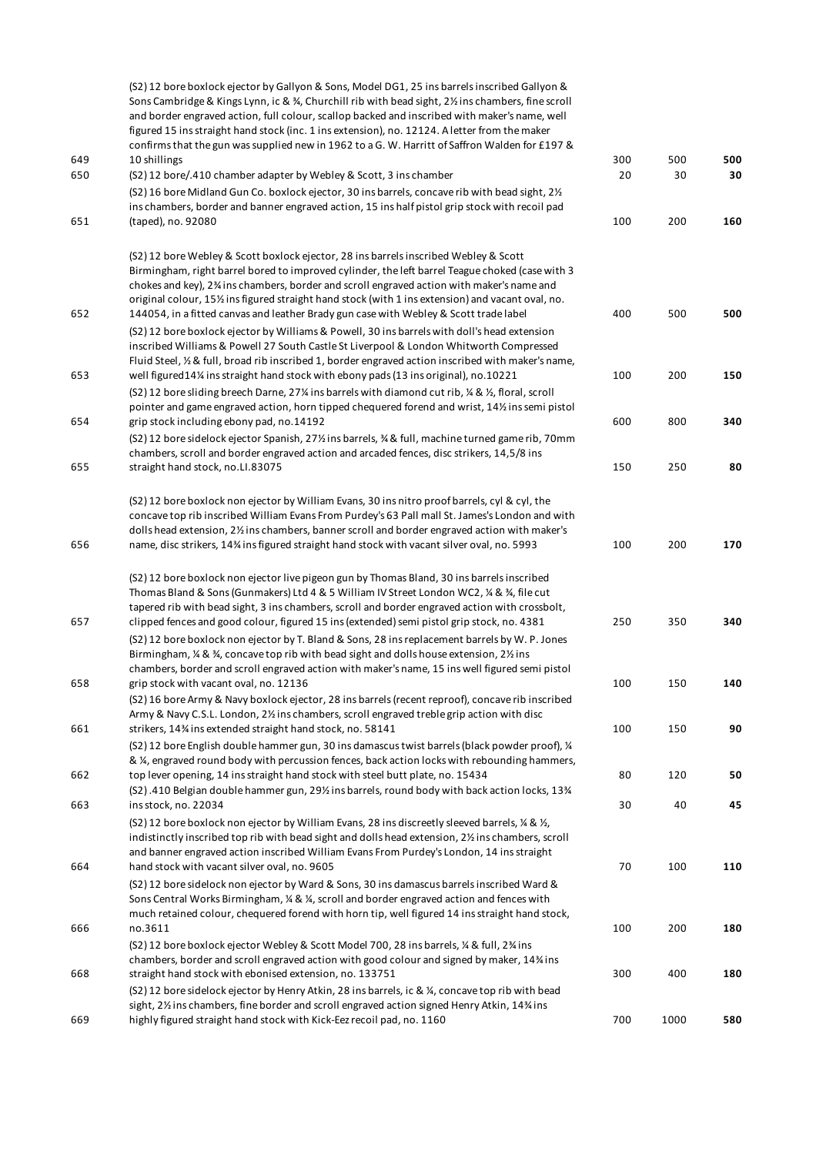|     | (S2) 12 bore boxlock ejector by Gallyon & Sons, Model DG1, 25 ins barrels inscribed Gallyon &<br>Sons Cambridge & Kings Lynn, ic & 34, Churchill rib with bead sight, 21/2 ins chambers, fine scroll<br>and border engraved action, full colour, scallop backed and inscribed with maker's name, well<br>figured 15 ins straight hand stock (inc. 1 ins extension), no. 12124. A letter from the maker<br>confirms that the gun was supplied new in 1962 to a G. W. Harritt of Saffron Walden for £197 &    |     |      |     |
|-----|-------------------------------------------------------------------------------------------------------------------------------------------------------------------------------------------------------------------------------------------------------------------------------------------------------------------------------------------------------------------------------------------------------------------------------------------------------------------------------------------------------------|-----|------|-----|
| 649 | 10 shillings                                                                                                                                                                                                                                                                                                                                                                                                                                                                                                | 300 | 500  | 500 |
| 650 | (S2) 12 bore/.410 chamber adapter by Webley & Scott, 3 ins chamber                                                                                                                                                                                                                                                                                                                                                                                                                                          | 20  | 30   | 30  |
|     | (S2) 16 bore Midland Gun Co. boxlock ejector, 30 ins barrels, concave rib with bead sight, 21/2<br>ins chambers, border and banner engraved action, 15 ins half pistol grip stock with recoil pad                                                                                                                                                                                                                                                                                                           |     |      |     |
| 651 | (taped), no. 92080                                                                                                                                                                                                                                                                                                                                                                                                                                                                                          | 100 | 200  | 160 |
| 652 | (S2) 12 bore Webley & Scott boxlock ejector, 28 ins barrels inscribed Webley & Scott<br>Birmingham, right barrel bored to improved cylinder, the left barrel Teague choked (case with 3<br>chokes and key), 2 <sup>3</sup> ins chambers, border and scroll engraved action with maker's name and<br>original colour, 151/ <sub>2</sub> ins figured straight hand stock (with 1 ins extension) and vacant oval, no.<br>144054, in a fitted canvas and leather Brady gun case with Webley & Scott trade label | 400 | 500  | 500 |
| 653 | (S2) 12 bore boxlock ejector by Williams & Powell, 30 ins barrels with doll's head extension<br>inscribed Williams & Powell 27 South Castle St Liverpool & London Whitworth Compressed<br>Fluid Steel, 1/2 & full, broad rib inscribed 1, border engraved action inscribed with maker's name,<br>well figured 14% ins straight hand stock with ebony pads (13 ins original), no.10221                                                                                                                       | 100 | 200  | 150 |
|     | (S2) 12 bore sliding breech Darne, 27% ins barrels with diamond cut rib, % & %, floral, scroll                                                                                                                                                                                                                                                                                                                                                                                                              |     |      |     |
| 654 | pointer and game engraved action, horn tipped chequered forend and wrist, 14½ ins semi pistol<br>grip stock including ebony pad, no.14192                                                                                                                                                                                                                                                                                                                                                                   | 600 | 800  | 340 |
|     | (S2) 12 bore sidelock ejector Spanish, 27% ins barrels, % & full, machine turned game rib, 70mm<br>chambers, scroll and border engraved action and arcaded fences, disc strikers, 14,5/8 ins                                                                                                                                                                                                                                                                                                                |     |      |     |
| 655 | straight hand stock, no.LI.83075                                                                                                                                                                                                                                                                                                                                                                                                                                                                            | 150 | 250  | 80  |
|     | (S2) 12 bore boxlock non ejector by William Evans, 30 ins nitro proof barrels, cyl & cyl, the<br>concave top rib inscribed William Evans From Purdey's 63 Pall mall St. James's London and with<br>dolls head extension, 2% ins chambers, banner scroll and border engraved action with maker's                                                                                                                                                                                                             |     |      |     |
| 656 | name, disc strikers, 14% ins figured straight hand stock with vacant silver oval, no. 5993                                                                                                                                                                                                                                                                                                                                                                                                                  | 100 | 200  | 170 |
| 657 | (S2) 12 bore boxlock non ejector live pigeon gun by Thomas Bland, 30 ins barrels inscribed<br>Thomas Bland & Sons (Gunmakers) Ltd 4 & 5 William IV Street London WC2, 1/4 & 3/4, file cut<br>tapered rib with bead sight, 3 ins chambers, scroll and border engraved action with crossbolt,<br>clipped fences and good colour, figured 15 ins (extended) semi pistol grip stock, no. 4381                                                                                                                   | 250 | 350  | 340 |
|     | (S2) 12 bore boxlock non ejector by T. Bland & Sons, 28 ins replacement barrels by W. P. Jones<br>Birmingham, $\frac{1}{4}$ & $\frac{3}{4}$ , concave top rib with bead sight and dolls house extension, 2 $\frac{1}{2}$ ins<br>chambers, border and scroll engraved action with maker's name, 15 ins well figured semi pistol                                                                                                                                                                              |     |      |     |
| 658 | grip stock with vacant oval, no. 12136<br>(S2) 16 bore Army & Navy boxlock ejector, 28 ins barrels (recent reproof), concave rib inscribed                                                                                                                                                                                                                                                                                                                                                                  | 100 | 150  | 140 |
| 661 | Army & Navy C.S.L. London, 2½ ins chambers, scroll engraved treble grip action with disc<br>strikers, 14% ins extended straight hand stock, no. 58141                                                                                                                                                                                                                                                                                                                                                       | 100 | 150  | 90  |
| 662 | (S2) 12 bore English double hammer gun, 30 ins damascus twist barrels (black powder proof), 1/4<br>& ¼, engraved round body with percussion fences, back action locks with rebounding hammers,<br>top lever opening, 14 ins straight hand stock with steel butt plate, no. 15434                                                                                                                                                                                                                            | 80  | 120  | 50  |
| 663 | (S2).410 Belgian double hammer gun, 29% ins barrels, round body with back action locks, 13%<br>ins stock, no. 22034                                                                                                                                                                                                                                                                                                                                                                                         | 30  | 40   | 45  |
| 664 | (S2) 12 bore boxlock non ejector by William Evans, 28 ins discreetly sleeved barrels, $\frac{1}{4}$ & $\frac{1}{2}$ ,<br>indistinctly inscribed top rib with bead sight and dolls head extension, 21/2 ins chambers, scroll<br>and banner engraved action inscribed William Evans From Purdey's London, 14 ins straight<br>hand stock with vacant silver oval, no. 9605                                                                                                                                     | 70  | 100  | 110 |
| 666 | (S2) 12 bore sidelock non ejector by Ward & Sons, 30 ins damascus barrels inscribed Ward &<br>Sons Central Works Birmingham, $\frac{1}{2}$ & $\frac{1}{4}$ , scroll and border engraved action and fences with<br>much retained colour, chequered forend with horn tip, well figured 14 ins straight hand stock,<br>no.3611                                                                                                                                                                                 | 100 | 200  | 180 |
|     | (S2) 12 bore boxlock ejector Webley & Scott Model 700, 28 ins barrels, % & full, 2% ins<br>chambers, border and scroll engraved action with good colour and signed by maker, 14% ins                                                                                                                                                                                                                                                                                                                        |     |      |     |
| 668 | straight hand stock with ebonised extension, no. 133751<br>(S2) 12 bore sidelock ejector by Henry Atkin, 28 ins barrels, ic & 1/2, concave top rib with bead<br>sight, 2% ins chambers, fine border and scroll engraved action signed Henry Atkin, 14% ins                                                                                                                                                                                                                                                  | 300 | 400  | 180 |
| 669 | highly figured straight hand stock with Kick-Eez recoil pad, no. 1160                                                                                                                                                                                                                                                                                                                                                                                                                                       | 700 | 1000 | 580 |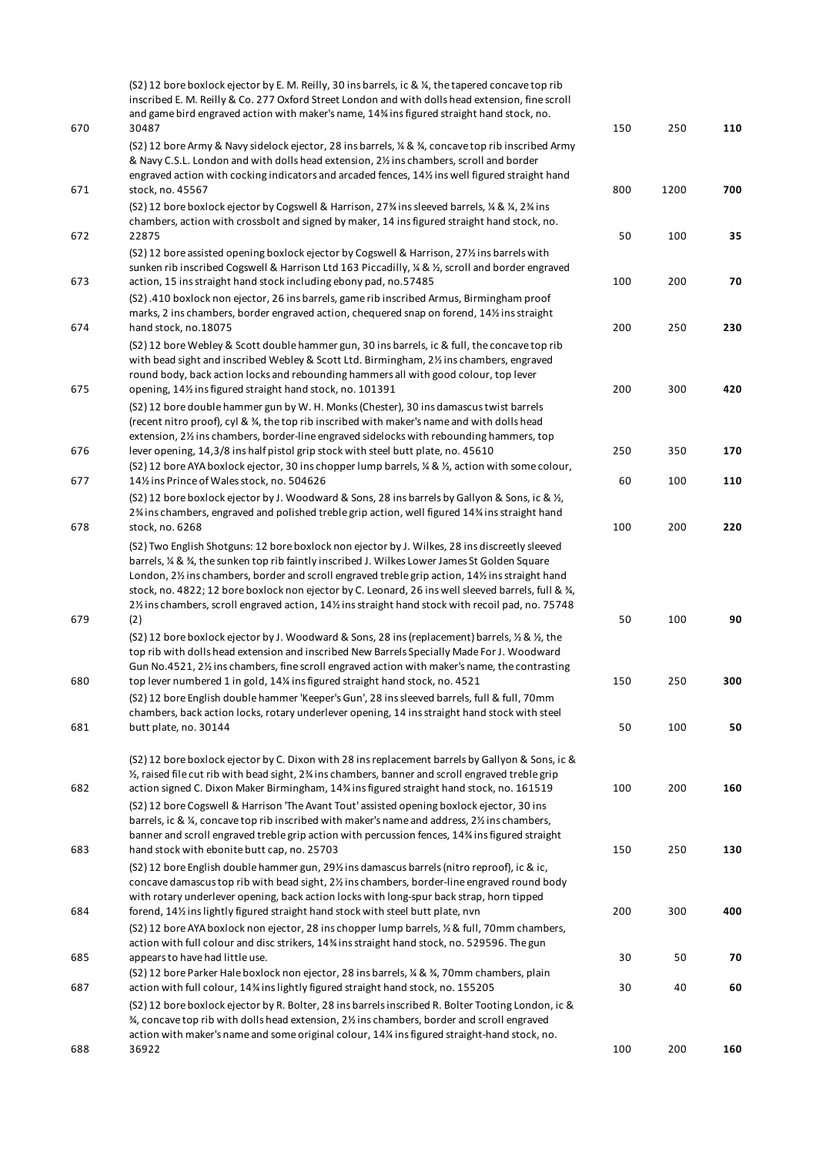|     | (S2) 12 bore boxlock ejector by E. M. Reilly, 30 ins barrels, ic & ¼, the tapered concave top rib<br>inscribed E. M. Reilly & Co. 277 Oxford Street London and with dolls head extension, fine scroll<br>and game bird engraved action with maker's name, 14% ins figured straight hand stock, no.                                                                                                                                                                                                           |     |      |     |
|-----|--------------------------------------------------------------------------------------------------------------------------------------------------------------------------------------------------------------------------------------------------------------------------------------------------------------------------------------------------------------------------------------------------------------------------------------------------------------------------------------------------------------|-----|------|-----|
| 670 | 30487<br>(S2) 12 bore Army & Navy sidelock ejector, 28 ins barrels, ¼ & ¾, concave top rib inscribed Army<br>& Navy C.S.L. London and with dolls head extension, 2% ins chambers, scroll and border                                                                                                                                                                                                                                                                                                          | 150 | 250  | 110 |
| 671 | engraved action with cocking indicators and arcaded fences, 14% ins well figured straight hand<br>stock, no. 45567                                                                                                                                                                                                                                                                                                                                                                                           | 800 | 1200 | 700 |
| 672 | (S2) 12 bore boxlock ejector by Cogswell & Harrison, 27% ins sleeved barrels, 1/4 & 1/4, 2% ins<br>chambers, action with crossbolt and signed by maker, 14 ins figured straight hand stock, no.<br>22875                                                                                                                                                                                                                                                                                                     | 50  | 100  | 35  |
| 673 | (S2) 12 bore assisted opening boxlock ejector by Cogswell & Harrison, 271/2 ins barrels with<br>sunken rib inscribed Cogswell & Harrison Ltd 163 Piccadilly, 1/4 & 1/2, scroll and border engraved<br>action, 15 ins straight hand stock including ebony pad, no.57485                                                                                                                                                                                                                                       | 100 | 200  | 70  |
| 674 | (S2).410 boxlock non ejector, 26 ins barrels, game rib inscribed Armus, Birmingham proof<br>marks, 2 ins chambers, border engraved action, chequered snap on forend, 141/2 ins straight<br>hand stock, no.18075                                                                                                                                                                                                                                                                                              | 200 | 250  | 230 |
|     | (S2) 12 bore Webley & Scott double hammer gun, 30 ins barrels, ic & full, the concave top rib<br>with bead sight and inscribed Webley & Scott Ltd. Birmingham, 21/2 ins chambers, engraved<br>round body, back action locks and rebounding hammers all with good colour, top lever                                                                                                                                                                                                                           |     |      |     |
| 675 | opening, 141/ <sub>2</sub> ins figured straight hand stock, no. 101391<br>(S2) 12 bore double hammer gun by W. H. Monks (Chester), 30 ins damascus twist barrels<br>(recent nitro proof), cyl & 3⁄4, the top rib inscribed with maker's name and with dolls head                                                                                                                                                                                                                                             | 200 | 300  | 420 |
| 676 | extension, 2% ins chambers, border-line engraved sidelocks with rebounding hammers, top<br>lever opening, 14,3/8 ins half pistol grip stock with steel butt plate, no. 45610<br>(S2) 12 bore AYA boxlock ejector, 30 ins chopper lump barrels, 1/2 & 1/2, action with some colour,                                                                                                                                                                                                                           | 250 | 350  | 170 |
| 677 | 141/2 ins Prince of Wales stock, no. 504626<br>(S2) 12 bore boxlock ejector by J. Woodward & Sons, 28 ins barrels by Gallyon & Sons, ic & 1/2,<br>2% ins chambers, engraved and polished treble grip action, well figured 14% ins straight hand                                                                                                                                                                                                                                                              | 60  | 100  | 110 |
| 678 | stock, no. 6268                                                                                                                                                                                                                                                                                                                                                                                                                                                                                              | 100 | 200  | 220 |
|     | (S2) Two English Shotguns: 12 bore boxlock non ejector by J. Wilkes, 28 ins discreetly sleeved<br>barrels, ¼ & ¾, the sunken top rib faintly inscribed J. Wilkes Lower James St Golden Square<br>London, 2% ins chambers, border and scroll engraved treble grip action, 14% ins straight hand<br>stock, no. 4822; 12 bore boxlock non ejector by C. Leonard, 26 ins well sleeved barrels, full & 34,<br>21/2 ins chambers, scroll engraved action, 141/2 ins straight hand stock with recoil pad, no. 75748 |     |      |     |
| 679 | (2)<br>(S2) 12 bore boxlock ejector by J. Woodward & Sons, 28 ins (replacement) barrels, $\frac{1}{2}$ & $\frac{1}{2}$ , the<br>top rib with dolls head extension and inscribed New Barrels Specially Made For J. Woodward<br>Gun No.4521, 2% ins chambers, fine scroll engraved action with maker's name, the contrasting                                                                                                                                                                                   | 50  | 100  | 90  |
| 680 | top lever numbered 1 in gold, 14% ins figured straight hand stock, no. 4521<br>(S2) 12 bore English double hammer 'Keeper's Gun', 28 ins sleeved barrels, full & full, 70mm                                                                                                                                                                                                                                                                                                                                  | 150 | 250  | 300 |
| 681 | chambers, back action locks, rotary underlever opening, 14 ins straight hand stock with steel<br>butt plate, no. 30144                                                                                                                                                                                                                                                                                                                                                                                       | 50  | 100  | 50  |
| 682 | (S2) 12 bore boxlock ejector by C. Dixon with 28 ins replacement barrels by Gallyon & Sons, ic &<br>$\frac{1}{2}$ , raised file cut rib with bead sight, 2% ins chambers, banner and scroll engraved treble grip<br>action signed C. Dixon Maker Birmingham, 14% ins figured straight hand stock, no. 161519                                                                                                                                                                                                 | 100 | 200  | 160 |
|     | (S2) 12 bore Cogswell & Harrison 'The Avant Tout' assisted opening boxlock ejector, 30 ins<br>barrels, ic & ¼, concave top rib inscribed with maker's name and address, 2½ ins chambers,<br>banner and scroll engraved treble grip action with percussion fences, 14% ins figured straight                                                                                                                                                                                                                   |     |      |     |
| 683 | hand stock with ebonite butt cap, no. 25703<br>(S2) 12 bore English double hammer gun, 29% ins damascus barrels (nitro reproof), ic & ic,<br>concave damascus top rib with bead sight, 2% ins chambers, border-line engraved round body                                                                                                                                                                                                                                                                      | 150 | 250  | 130 |
| 684 | with rotary underlever opening, back action locks with long-spur back strap, horn tipped<br>forend, 14% inslightly figured straight hand stock with steel butt plate, nvn<br>(S2) 12 bore AYA boxlock non ejector, 28 ins chopper lump barrels, 1/2 & full, 70 mm chambers,                                                                                                                                                                                                                                  | 200 | 300  | 400 |
| 685 | action with full colour and disc strikers, 14% ins straight hand stock, no. 529596. The gun<br>appears to have had little use.                                                                                                                                                                                                                                                                                                                                                                               | 30  | 50   | 70  |
| 687 | (S2) 12 bore Parker Hale boxlock non ejector, 28 ins barrels, 1/4 & $\frac{3}{4}$ , 70mm chambers, plain<br>action with full colour, 14% ins lightly figured straight hand stock, no. 155205<br>(S2) 12 bore boxlock ejector by R. Bolter, 28 ins barrels inscribed R. Bolter Tooting London, ic &                                                                                                                                                                                                           | 30  | 40   | 60  |
|     | 3⁄4, concave top rib with dolls head extension, 21/2 ins chambers, border and scroll engraved<br>action with maker's name and some original colour, 14% ins figured straight-hand stock, no.                                                                                                                                                                                                                                                                                                                 |     |      |     |
| 688 | 36922                                                                                                                                                                                                                                                                                                                                                                                                                                                                                                        | 100 | 200  | 160 |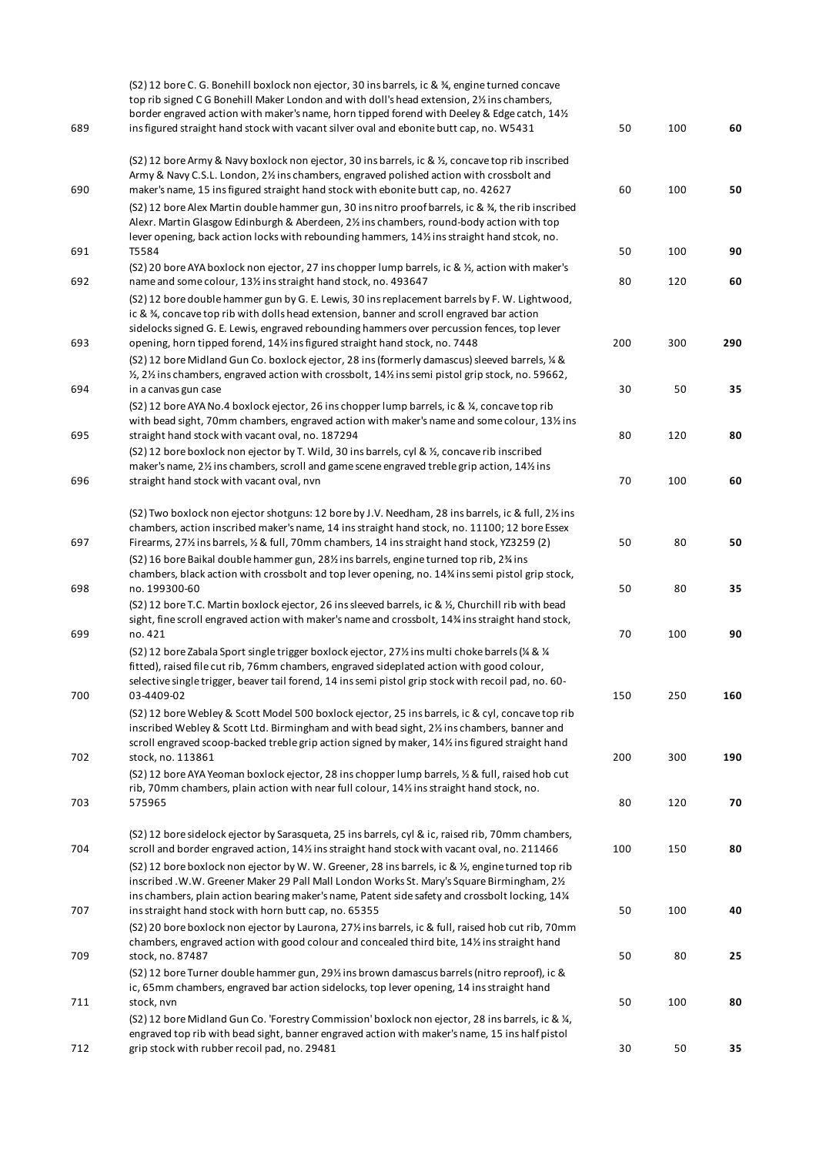| 689 | (S2) 12 bore C. G. Bonehill boxlock non ejector, 30 ins barrels, ic & 3/4, engine turned concave<br>top rib signed CG Bonehill Maker London and with doll's head extension, 2% ins chambers,<br>border engraved action with maker's name, horn tipped forend with Deeley & Edge catch, 141/2<br>ins figured straight hand stock with vacant silver oval and ebonite butt cap, no. W5431 | 50  | 100 | 60  |
|-----|-----------------------------------------------------------------------------------------------------------------------------------------------------------------------------------------------------------------------------------------------------------------------------------------------------------------------------------------------------------------------------------------|-----|-----|-----|
|     | (S2) 12 bore Army & Navy boxlock non ejector, 30 ins barrels, ic & 1/2, concave top rib inscribed                                                                                                                                                                                                                                                                                       |     |     |     |
| 690 | Army & Navy C.S.L. London, 21/2 ins chambers, engraved polished action with crossbolt and<br>maker's name, 15 ins figured straight hand stock with ebonite butt cap, no. 42627                                                                                                                                                                                                          | 60  | 100 | 50  |
|     | (S2) 12 bore Alex Martin double hammer gun, 30 ins nitro proof barrels, ic & 34, the rib inscribed<br>Alexr. Martin Glasgow Edinburgh & Aberdeen, 2% ins chambers, round-body action with top<br>lever opening, back action locks with rebounding hammers, 14% ins straight hand stcok, no.                                                                                             |     |     |     |
| 691 | T5584                                                                                                                                                                                                                                                                                                                                                                                   | 50  | 100 | 90  |
| 692 | (S2) 20 bore AYA boxlock non ejector, 27 ins chopper lump barrels, ic & 1/2, action with maker's<br>name and some colour, 131/2 ins straight hand stock, no. 493647                                                                                                                                                                                                                     | 80  | 120 | 60  |
| 693 | (S2) 12 bore double hammer gun by G. E. Lewis, 30 ins replacement barrels by F. W. Lightwood,<br>ic & %, concave top rib with dolls head extension, banner and scroll engraved bar action<br>sidelocks signed G. E. Lewis, engraved rebounding hammers over percussion fences, top lever<br>opening, horn tipped forend, 141/2 ins figured straight hand stock, no. 7448                | 200 | 300 | 290 |
|     | (S2) 12 bore Midland Gun Co. boxlock ejector, 28 ins (formerly damascus) sleeved barrels, 1/4 &<br>1/2 2 ins chambers, engraved action with crossbolt, 14% ins semi pistol grip stock, no. 59662,                                                                                                                                                                                       |     |     |     |
| 694 | in a canvas gun case<br>(S2) 12 bore AYA No.4 boxlock ejector, 26 ins chopper lump barrels, ic & 1/ <sub>4</sub> , concave top rib<br>with bead sight, 70mm chambers, engraved action with maker's name and some colour, 13% ins                                                                                                                                                        | 30  | 50  | 35  |
| 695 | straight hand stock with vacant oval, no. 187294<br>(S2) 12 bore boxlock non ejector by T. Wild, 30 ins barrels, cyl & 1/2, concave rib inscribed<br>maker's name, 2% ins chambers, scroll and game scene engraved treble grip action, 14% ins                                                                                                                                          | 80  | 120 | 80  |
| 696 | straight hand stock with vacant oval, nvn                                                                                                                                                                                                                                                                                                                                               | 70  | 100 | 60  |
| 697 | (S2) Two boxlock non ejector shotguns: 12 bore by J.V. Needham, 28 ins barrels, ic & full, 2% ins<br>chambers, action inscribed maker's name, 14 ins straight hand stock, no. 11100; 12 bore Essex<br>Firearms, 27% ins barrels, % & full, 70mm chambers, 14 ins straight hand stock, YZ3259 (2)                                                                                        | 50  | 80  | 50  |
| 698 | (S2) 16 bore Baikal double hammer gun, 281/2 ins barrels, engine turned top rib, 2 <sup>3</sup> /4 ins<br>chambers, black action with crossbolt and top lever opening, no. 14% ins semi pistol grip stock,<br>no. 199300-60                                                                                                                                                             | 50  | 80  | 35  |
| 699 | (S2) 12 bore T.C. Martin boxlock ejector, 26 ins sleeved barrels, ic & 1/2, Churchill rib with bead<br>sight, fine scroll engraved action with maker's name and crossbolt, 14% ins straight hand stock,<br>no. 421                                                                                                                                                                      | 70  | 100 | 90  |
|     | (S2) 12 bore Zabala Sport single trigger boxlock ejector, 27% ins multi choke barrels (% & %<br>fitted), raised file cut rib, 76mm chambers, engraved sideplated action with good colour,<br>selective single trigger, beaver tail forend, 14 ins semi pistol grip stock with recoil pad, no. 60-                                                                                       |     |     |     |
| 700 | 03-4409-02<br>(S2) 12 bore Webley & Scott Model 500 boxlock ejector, 25 ins barrels, ic & cyl, concave top rib<br>inscribed Webley & Scott Ltd. Birmingham and with bead sight, 21/2 ins chambers, banner and<br>scroll engraved scoop-backed treble grip action signed by maker, 14% ins figured straight hand                                                                         | 150 | 250 | 160 |
| 702 | stock, no. 113861<br>(S2) 12 bore AYA Yeoman boxlock ejector, 28 ins chopper lump barrels, $\frac{1}{2}$ & full, raised hob cut<br>rib, 70mm chambers, plain action with near full colour, 14% ins straight hand stock, no.                                                                                                                                                             | 200 | 300 | 190 |
| 703 | 575965                                                                                                                                                                                                                                                                                                                                                                                  | 80  | 120 | 70  |
| 704 | (S2) 12 bore sidelock ejector by Sarasqueta, 25 ins barrels, cyl & ic, raised rib, 70mm chambers,<br>scroll and border engraved action, 14% ins straight hand stock with vacant oval, no. 211466                                                                                                                                                                                        | 100 | 150 | 80  |
| 707 | (S2) 12 bore boxlock non ejector by W. W. Greener, 28 ins barrels, ic & 1/2, engine turned top rib<br>inscribed .W.W. Greener Maker 29 Pall Mall London Works St. Mary's Square Birmingham, 21/2<br>ins chambers, plain action bearing maker's name, Patent side safety and crossbolt locking, 14¼<br>ins straight hand stock with horn butt cap, no. 65355                             | 50  | 100 | 40  |
|     | (S2) 20 bore boxlock non ejector by Laurona, 27% ins barrels, ic & full, raised hob cut rib, 70mm<br>chambers, engraved action with good colour and concealed third bite, 141/2 ins straight hand                                                                                                                                                                                       |     |     |     |
| 709 | stock, no. 87487<br>(S2) 12 bore Turner double hammer gun, 29% ins brown damascus barrels (nitro reproof), ic &<br>ic, 65mm chambers, engraved bar action sidelocks, top lever opening, 14 ins straight hand                                                                                                                                                                            | 50  | 80  | 25  |
| 711 | stock, nvn<br>(S2) 12 bore Midland Gun Co. 'Forestry Commission' boxlock non ejector, 28 ins barrels, ic & 1/2,<br>engraved top rib with bead sight, banner engraved action with maker's name, 15 ins half pistol                                                                                                                                                                       | 50  | 100 | 80  |
| 712 | grip stock with rubber recoil pad, no. 29481                                                                                                                                                                                                                                                                                                                                            | 30  | 50  | 35  |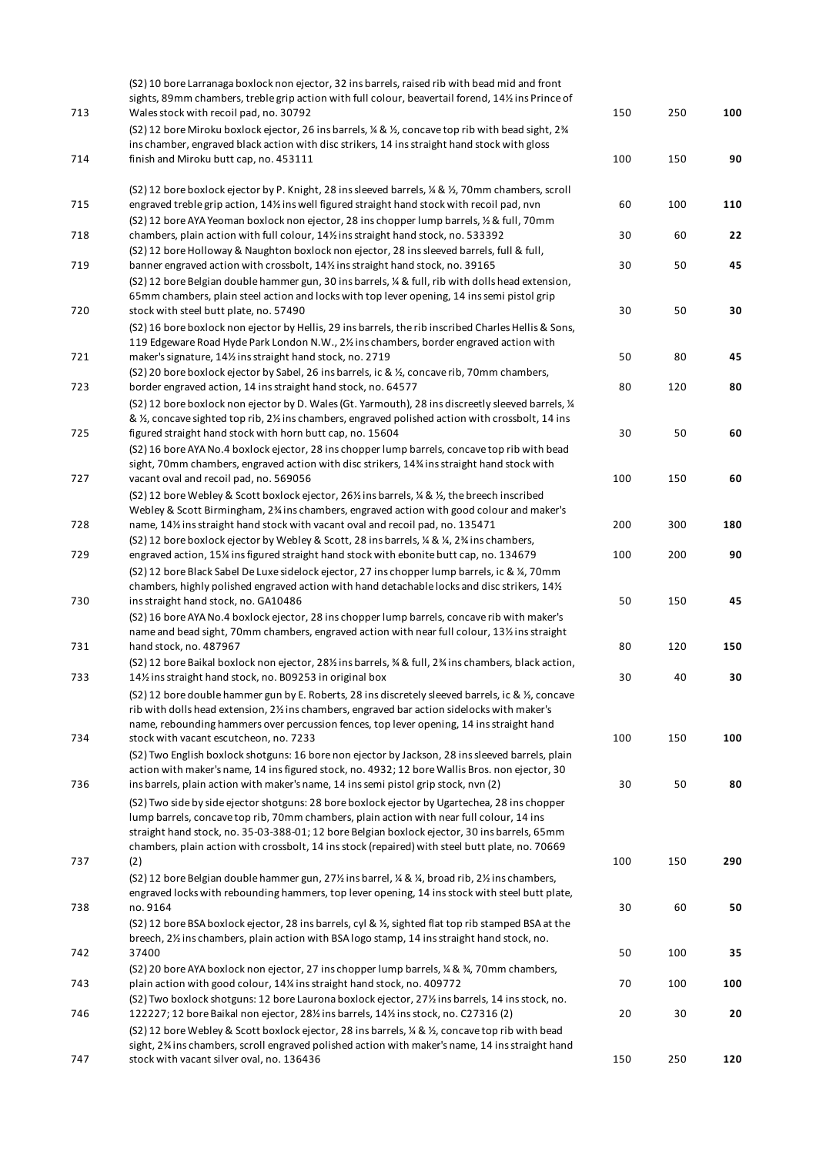| 713 | (S2) 10 bore Larranaga boxlock non ejector, 32 ins barrels, raised rib with bead mid and front<br>sights, 89mm chambers, treble grip action with full colour, beavertail forend, 14% ins Prince of<br>Wales stock with recoil pad, no. 30792 | 150 | 250 | 100 |
|-----|----------------------------------------------------------------------------------------------------------------------------------------------------------------------------------------------------------------------------------------------|-----|-----|-----|
|     | (S2) 12 bore Miroku boxlock ejector, 26 ins barrels, ¼ & ½, concave top rib with bead sight, 2¾<br>ins chamber, engraved black action with disc strikers, 14 ins straight hand stock with gloss                                              |     |     |     |
| 714 | finish and Miroku butt cap, no. 453111                                                                                                                                                                                                       | 100 | 150 | 90  |
|     | (S2) 12 bore boxlock ejector by P. Knight, 28 ins sleeved barrels, ¼ & ½, 70mm chambers, scroll                                                                                                                                              |     |     |     |
| 715 | engraved treble grip action, 14% ins well figured straight hand stock with recoil pad, nvn<br>(S2) 12 bore AYA Yeoman boxlock non ejector, 28 ins chopper lump barrels, 1/2 & full, 70mm                                                     | 60  | 100 | 110 |
| 718 | chambers, plain action with full colour, 14% ins straight hand stock, no. 533392                                                                                                                                                             | 30  | 60  | 22  |
| 719 | (S2) 12 bore Holloway & Naughton boxlock non ejector, 28 ins sleeved barrels, full & full,<br>banner engraved action with crossbolt, 14% ins straight hand stock, no. 39165                                                                  | 30  | 50  | 45  |
|     | (S2) 12 bore Belgian double hammer gun, 30 ins barrels, ¼ & full, rib with dolls head extension,<br>65mm chambers, plain steel action and locks with top lever opening, 14 ins semi pistol grip                                              |     |     |     |
| 720 | stock with steel butt plate, no. 57490                                                                                                                                                                                                       | 30  | 50  | 30  |
|     | (S2) 16 bore boxlock non ejector by Hellis, 29 ins barrels, the rib inscribed Charles Hellis & Sons,<br>119 Edgeware Road Hyde Park London N.W., 2% ins chambers, border engraved action with                                                |     |     |     |
| 721 | maker's signature, 141/2 ins straight hand stock, no. 2719                                                                                                                                                                                   | 50  | 80  | 45  |
| 723 | (S2) 20 bore boxlock ejector by Sabel, 26 ins barrels, ic & ½, concave rib, 70mm chambers,<br>border engraved action, 14 ins straight hand stock, no. 64577                                                                                  | 80  | 120 | 80  |
|     | (S2) 12 bore boxlock non ejector by D. Wales (Gt. Yarmouth), 28 ins discreetly sleeved barrels, 1/4<br>& 1/2, concave sighted top rib, 21/2 ins chambers, engraved polished action with crossbolt, 14 ins                                    |     |     |     |
| 725 | figured straight hand stock with horn butt cap, no. 15604                                                                                                                                                                                    | 30  | 50  | 60  |
|     | (S2) 16 bore AYA No.4 boxlock ejector, 28 ins chopper lump barrels, concave top rib with bead                                                                                                                                                |     |     |     |
|     | sight, 70mm chambers, engraved action with disc strikers, 14% ins straight hand stock with                                                                                                                                                   |     |     |     |
| 727 | vacant oval and recoil pad, no. 569056<br>(S2) 12 bore Webley & Scott boxlock ejector, 26% ins barrels, % & %, the breech inscribed                                                                                                          | 100 | 150 | 60  |
|     | Webley & Scott Birmingham, 2 <sup>3</sup> / <sub>4</sub> ins chambers, engraved action with good colour and maker's                                                                                                                          |     |     |     |
| 728 | name, 14% ins straight hand stock with vacant oval and recoil pad, no. 135471                                                                                                                                                                | 200 | 300 | 180 |
|     | (S2) 12 bore boxlock ejector by Webley & Scott, 28 ins barrels, $\frac{1}{4}$ & $\frac{1}{4}$ , 2% ins chambers,                                                                                                                             |     |     |     |
| 729 | engraved action, 15% ins figured straight hand stock with ebonite butt cap, no. 134679                                                                                                                                                       | 100 | 200 | 90  |
|     | (S2) 12 bore Black Sabel De Luxe sidelock ejector, 27 ins chopper lump barrels, ic & 1/4, 70mm<br>chambers, highly polished engraved action with hand detachable locks and disc strikers, 141/2                                              |     |     |     |
| 730 | ins straight hand stock, no. GA10486                                                                                                                                                                                                         | 50  | 150 | 45  |
|     | (S2) 16 bore AYA No.4 boxlock ejector, 28 ins chopper lump barrels, concave rib with maker's                                                                                                                                                 |     |     |     |
| 731 | name and bead sight, 70mm chambers, engraved action with near full colour, 131/2 ins straight<br>hand stock, no. 487967                                                                                                                      | 80  | 120 | 150 |
|     | (S2) 12 bore Baikal boxlock non ejector, 281/2 ins barrels, % & full, 2% ins chambers, black action,                                                                                                                                         |     |     |     |
| 733 | 14% ins straight hand stock, no. B09253 in original box                                                                                                                                                                                      | 30  | 40  | 30  |
|     | (S2) 12 bore double hammer gun by E. Roberts, 28 ins discretely sleeved barrels, ic & 1/2, concave                                                                                                                                           |     |     |     |
|     | rib with dolls head extension, 2½ ins chambers, engraved bar action sidelocks with maker's                                                                                                                                                   |     |     |     |
| 734 | name, rebounding hammers over percussion fences, top lever opening, 14 ins straight hand<br>stock with vacant escutcheon, no. 7233                                                                                                           | 100 | 150 | 100 |
|     | (S2) Two English boxlock shotguns: 16 bore non ejector by Jackson, 28 ins sleeved barrels, plain                                                                                                                                             |     |     |     |
|     | action with maker's name, 14 ins figured stock, no. 4932; 12 bore Wallis Bros. non ejector, 30                                                                                                                                               |     |     |     |
| 736 | ins barrels, plain action with maker's name, 14 ins semi pistol grip stock, nvn (2)                                                                                                                                                          | 30  | 50  | 80  |
|     | (S2) Two side by side ejector shotguns: 28 bore boxlock ejector by Ugartechea, 28 ins chopper<br>lump barrels, concave top rib, 70mm chambers, plain action with near full colour, 14 ins                                                    |     |     |     |
|     | straight hand stock, no. 35-03-388-01; 12 bore Belgian boxlock ejector, 30 ins barrels, 65mm                                                                                                                                                 |     |     |     |
|     | chambers, plain action with crossbolt, 14 ins stock (repaired) with steel butt plate, no. 70669                                                                                                                                              |     |     |     |
| 737 | (2)                                                                                                                                                                                                                                          | 100 | 150 | 290 |
|     | (S2) 12 bore Belgian double hammer gun, 27% ins barrel, % & %, broad rib, 2% ins chambers,                                                                                                                                                   |     |     |     |
| 738 | engraved locks with rebounding hammers, top lever opening, 14 ins stock with steel butt plate,<br>no. 9164                                                                                                                                   | 30  | 60  | 50  |
|     | (S2) 12 bore BSA boxlock ejector, 28 ins barrels, cyl & ½, sighted flat top rib stamped BSA at the                                                                                                                                           |     |     |     |
|     | breech, 21/2 ins chambers, plain action with BSA logo stamp, 14 ins straight hand stock, no.                                                                                                                                                 |     |     |     |
| 742 | 37400                                                                                                                                                                                                                                        | 50  | 100 | 35  |
| 743 | (S2) 20 bore AYA boxlock non ejector, 27 ins chopper lump barrels, ¼ & ¾, 70mm chambers,<br>plain action with good colour, 14% ins straight hand stock, no. 409772                                                                           | 70  | 100 | 100 |
|     | (S2) Two boxlock shotguns: 12 bore Laurona boxlock ejector, 271/2 ins barrels, 14 ins stock, no.                                                                                                                                             |     |     |     |
| 746 | 122227; 12 bore Baikal non ejector, 281/2 ins barrels, 141/2 ins stock, no. C27316 (2)                                                                                                                                                       | 20  | 30  | 20  |
|     | (S2) 12 bore Webley & Scott boxlock ejector, 28 ins barrels, ¼ & ½, concave top rib with bead                                                                                                                                                |     |     |     |
|     | sight, 2% ins chambers, scroll engraved polished action with maker's name, 14 ins straight hand                                                                                                                                              |     |     |     |
| 747 | stock with vacant silver oval, no. 136436                                                                                                                                                                                                    | 150 | 250 | 120 |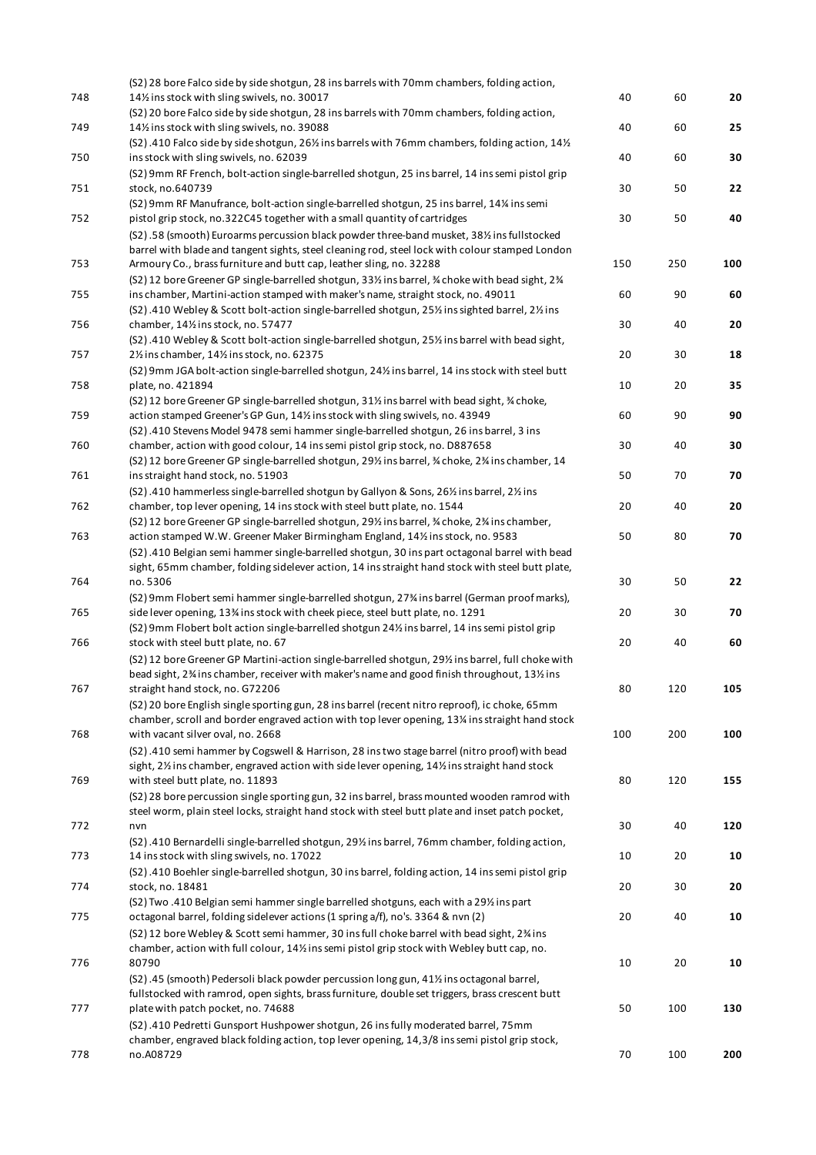|     | (S2) 28 bore Falco side by side shotgun, 28 ins barrels with 70mm chambers, folding action,                                                                                                      |     |     |     |
|-----|--------------------------------------------------------------------------------------------------------------------------------------------------------------------------------------------------|-----|-----|-----|
| 748 | 14% ins stock with sling swivels, no. 30017                                                                                                                                                      | 40  | 60  | 20  |
|     | (S2) 20 bore Falco side by side shotgun, 28 ins barrels with 70mm chambers, folding action,                                                                                                      |     |     |     |
| 749 | 141% ins stock with sling swivels, no. 39088                                                                                                                                                     | 40  | 60  | 25  |
| 750 | (S2).410 Falco side by side shotgun, 26% ins barrels with 76mm chambers, folding action, 14%<br>ins stock with sling swivels, no. 62039                                                          | 40  | 60  | 30  |
|     | (S2) 9mm RF French, bolt-action single-barrelled shotgun, 25 ins barrel, 14 ins semi pistol grip                                                                                                 |     |     |     |
| 751 | stock, no.640739                                                                                                                                                                                 | 30  | 50  | 22  |
|     | (S2) 9mm RF Manufrance, bolt-action single-barrelled shotgun, 25 ins barrel, 14% ins semi                                                                                                        |     |     |     |
| 752 | pistol grip stock, no.322C45 together with a small quantity of cartridges                                                                                                                        | 30  | 50  | 40  |
|     | (S2).58 (smooth) Euroarms percussion black powder three-band musket, 381/2 ins fullstocked                                                                                                       |     |     |     |
|     | barrel with blade and tangent sights, steel cleaning rod, steel lock with colour stamped London                                                                                                  |     |     |     |
| 753 | Armoury Co., brass furniture and butt cap, leather sling, no. 32288                                                                                                                              | 150 | 250 | 100 |
|     | (S2) 12 bore Greener GP single-barrelled shotgun, 33% ins barrel, % choke with bead sight, 2%                                                                                                    |     |     |     |
| 755 | ins chamber, Martini-action stamped with maker's name, straight stock, no. 49011                                                                                                                 | 60  | 90  | 60  |
|     | (S2).410 Webley & Scott bolt-action single-barrelled shotgun, 25% ins sighted barrel, 2% ins                                                                                                     |     |     |     |
| 756 | chamber, 141/2 ins stock, no. 57477                                                                                                                                                              | 30  | 40  | 20  |
|     | (S2).410 Webley & Scott bolt-action single-barrelled shotgun, 25% ins barrel with bead sight,                                                                                                    |     |     |     |
| 757 | 21/ <sub>2</sub> ins chamber, 141/ <sub>2</sub> ins stock, no. 62375                                                                                                                             | 20  | 30  | 18  |
|     | (S2) 9mm JGA bolt-action single-barrelled shotgun, 241/2 ins barrel, 14 ins stock with steel butt                                                                                                |     |     |     |
| 758 | plate, no. 421894                                                                                                                                                                                | 10  | 20  | 35  |
|     | (S2) 12 bore Greener GP single-barrelled shotgun, 31% ins barrel with bead sight, % choke,                                                                                                       |     |     |     |
| 759 | action stamped Greener's GP Gun, 14% ins stock with sling swivels, no. 43949                                                                                                                     | 60  | 90  | 90  |
|     | (S2).410 Stevens Model 9478 semi hammer single-barrelled shotgun, 26 ins barrel, 3 ins                                                                                                           |     |     |     |
| 760 | chamber, action with good colour, 14 ins semi pistol grip stock, no. D887658                                                                                                                     | 30  | 40  | 30  |
|     | (S2) 12 bore Greener GP single-barrelled shotgun, 291/2 ins barrel, 3/4 choke, 23/4 ins chamber, 14                                                                                              |     |     |     |
| 761 | ins straight hand stock, no. 51903                                                                                                                                                               | 50  | 70  | 70  |
|     | (S2).410 hammerless single-barrelled shotgun by Gallyon & Sons, 261/2 ins barrel, 21/2 ins                                                                                                       |     |     |     |
| 762 | chamber, top lever opening, 14 ins stock with steel butt plate, no. 1544                                                                                                                         | 20  | 40  | 20  |
|     | (S2) 12 bore Greener GP single-barrelled shotgun, 29% ins barrel, % choke, 2% ins chamber,                                                                                                       |     |     |     |
| 763 | action stamped W.W. Greener Maker Birmingham England, 14% ins stock, no. 9583                                                                                                                    | 50  | 80  | 70  |
|     | (S2).410 Belgian semi hammer single-barrelled shotgun, 30 ins part octagonal barrel with bead                                                                                                    |     |     |     |
|     | sight, 65mm chamber, folding sidelever action, 14 ins straight hand stock with steel butt plate,                                                                                                 |     |     |     |
| 764 | no. 5306                                                                                                                                                                                         | 30  | 50  | 22  |
|     | (S2) 9mm Flobert semi hammer single-barrelled shotgun, 27% ins barrel (German proof marks),                                                                                                      |     |     |     |
| 765 | side lever opening, 13% ins stock with cheek piece, steel butt plate, no. 1291                                                                                                                   | 20  | 30  | 70  |
|     | (S2) 9mm Flobert bolt action single-barrelled shotgun 24% ins barrel, 14 ins semi pistol grip                                                                                                    |     |     |     |
| 766 | stock with steel butt plate, no. 67                                                                                                                                                              | 20  | 40  | 60  |
|     | (S2) 12 bore Greener GP Martini-action single-barrelled shotgun, 29% ins barrel, full choke with                                                                                                 |     |     |     |
| 767 | bead sight, 2% ins chamber, receiver with maker's name and good finish throughout, 13% ins                                                                                                       | 80  | 120 | 105 |
|     | straight hand stock, no. G72206                                                                                                                                                                  |     |     |     |
|     | (S2) 20 bore English single sporting gun, 28 ins barrel (recent nitro reproof), ic choke, 65mm<br>chamber, scroll and border engraved action with top lever opening, 13% ins straight hand stock |     |     |     |
| 768 | with vacant silver oval, no. 2668                                                                                                                                                                | 100 | 200 | 100 |
|     |                                                                                                                                                                                                  |     |     |     |
|     | (S2).410 semi hammer by Cogswell & Harrison, 28 ins two stage barrel (nitro proof) with bead<br>sight, 2% ins chamber, engraved action with side lever opening, 14% ins straight hand stock      |     |     |     |
| 769 | with steel butt plate, no. 11893                                                                                                                                                                 | 80  | 120 | 155 |
|     | (S2) 28 bore percussion single sporting gun, 32 ins barrel, brass mounted wooden ramrod with                                                                                                     |     |     |     |
|     | steel worm, plain steel locks, straight hand stock with steel butt plate and inset patch pocket,                                                                                                 |     |     |     |
| 772 | nvn                                                                                                                                                                                              | 30  | 40  | 120 |
|     | (S2).410 Bernardelli single-barrelled shotgun, 29% ins barrel, 76mm chamber, folding action,                                                                                                     |     |     |     |
| 773 | 14 ins stock with sling swivels, no. 17022                                                                                                                                                       | 10  | 20  | 10  |
|     | (S2).410 Boehler single-barrelled shotgun, 30 ins barrel, folding action, 14 ins semi pistol grip                                                                                                |     |     |     |
| 774 | stock, no. 18481                                                                                                                                                                                 | 20  | 30  | 20  |
|     | (S2) Two .410 Belgian semi hammer single barrelled shotguns, each with a 29% ins part                                                                                                            |     |     |     |
| 775 | octagonal barrel, folding sidelever actions (1 spring a/f), no's. 3364 & nvn (2)                                                                                                                 | 20  | 40  | 10  |
|     | (S2) 12 bore Webley & Scott semi hammer, 30 ins full choke barrel with bead sight, 2% ins                                                                                                        |     |     |     |
|     | chamber, action with full colour, 14% ins semi pistol grip stock with Webley butt cap, no.                                                                                                       |     |     |     |
| 776 | 80790                                                                                                                                                                                            | 10  | 20  | 10  |
|     | (S2).45 (smooth) Pedersoli black powder percussion long gun, 41% ins octagonal barrel,                                                                                                           |     |     |     |
|     | fullstocked with ramrod, open sights, brass furniture, double set triggers, brass crescent butt                                                                                                  |     |     |     |
| 777 | plate with patch pocket, no. 74688                                                                                                                                                               | 50  | 100 | 130 |
|     | (S2).410 Pedretti Gunsport Hushpower shotgun, 26 ins fully moderated barrel, 75mm                                                                                                                |     |     |     |
|     | chamber, engraved black folding action, top lever opening, 14,3/8 ins semi pistol grip stock,                                                                                                    |     |     |     |
| 778 | no.A08729                                                                                                                                                                                        | 70  | 100 | 200 |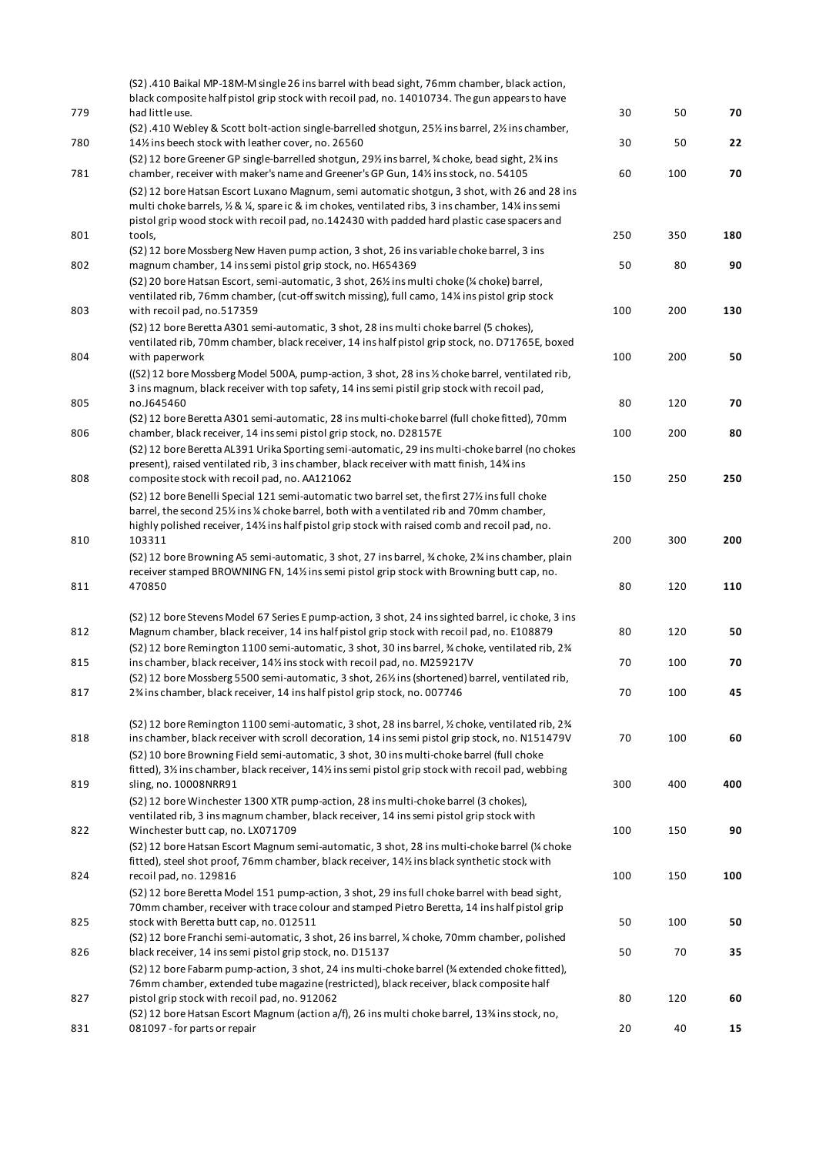| 779 | (S2).410 Baikal MP-18M-M single 26 ins barrel with bead sight, 76mm chamber, black action,<br>black composite half pistol grip stock with recoil pad, no. 14010734. The gun appears to have<br>had little use.                                                                                                                                                                              | 30     | 50  | 70  |
|-----|---------------------------------------------------------------------------------------------------------------------------------------------------------------------------------------------------------------------------------------------------------------------------------------------------------------------------------------------------------------------------------------------|--------|-----|-----|
|     | (S2).410 Webley & Scott bolt-action single-barrelled shotgun, 25% ins barrel, 2% ins chamber,                                                                                                                                                                                                                                                                                               |        |     |     |
| 780 | 14% ins beech stock with leather cover, no. 26560<br>(S2) 12 bore Greener GP single-barrelled shotgun, 29% ins barrel, % choke, bead sight, 2% ins                                                                                                                                                                                                                                          | 30     | 50  | 22  |
| 781 | chamber, receiver with maker's name and Greener's GP Gun, 141/2 ins stock, no. 54105<br>(S2) 12 bore Hatsan Escort Luxano Magnum, semi automatic shotgun, 3 shot, with 26 and 28 ins<br>multi choke barrels, 1/2 & 1/4, spare ic & im chokes, ventilated ribs, 3 ins chamber, 141/4 ins semi<br>pistol grip wood stock with recoil pad, no.142430 with padded hard plastic case spacers and | 60     | 100 | 70  |
| 801 | tools,                                                                                                                                                                                                                                                                                                                                                                                      | 250    | 350 | 180 |
| 802 | (S2) 12 bore Mossberg New Haven pump action, 3 shot, 26 ins variable choke barrel, 3 ins<br>magnum chamber, 14 ins semi pistol grip stock, no. H654369                                                                                                                                                                                                                                      | 50     | 80  | 90  |
| 803 | (S2) 20 bore Hatsan Escort, semi-automatic, 3 shot, 26% ins multi choke (% choke) barrel,<br>ventilated rib, 76mm chamber, (cut-off switch missing), full camo, 14% ins pistol grip stock<br>with recoil pad, no.517359                                                                                                                                                                     | 100    | 200 | 130 |
|     | (S2) 12 bore Beretta A301 semi-automatic, 3 shot, 28 ins multi choke barrel (5 chokes),<br>ventilated rib, 70mm chamber, black receiver, 14 ins half pistol grip stock, no. D71765E, boxed                                                                                                                                                                                                  |        |     |     |
| 804 | with paperwork<br>((S2) 12 bore Mossberg Model 500A, pump-action, 3 shot, 28 ins 1/2 choke barrel, ventilated rib,<br>3 ins magnum, black receiver with top safety, 14 ins semi pistil grip stock with recoil pad,                                                                                                                                                                          | 100    | 200 | 50  |
| 805 | no.J645460<br>(S2) 12 bore Beretta A301 semi-automatic, 28 ins multi-choke barrel (full choke fitted), 70mm                                                                                                                                                                                                                                                                                 | 80     | 120 | 70  |
| 806 | chamber, black receiver, 14 ins semi pistol grip stock, no. D28157E<br>(S2) 12 bore Beretta AL391 Urika Sporting semi-automatic, 29 ins multi-choke barrel (no chokes                                                                                                                                                                                                                       | 100    | 200 | 80  |
| 808 | present), raised ventilated rib, 3 ins chamber, black receiver with matt finish, 14% ins<br>composite stock with recoil pad, no. AA121062                                                                                                                                                                                                                                                   | 150    | 250 | 250 |
|     | (S2) 12 bore Benelli Special 121 semi-automatic two barrel set, the first 271/2 ins full choke<br>barrel, the second 25% ins % choke barrel, both with a ventilated rib and 70mm chamber,                                                                                                                                                                                                   |        |     |     |
| 810 | highly polished receiver, 14% ins half pistol grip stock with raised comb and recoil pad, no.<br>103311<br>(S2) 12 bore Browning A5 semi-automatic, 3 shot, 27 ins barrel, % choke, 2% ins chamber, plain                                                                                                                                                                                   | 200    | 300 | 200 |
| 811 | receiver stamped BROWNING FN, 14% ins semi pistol grip stock with Browning butt cap, no.<br>470850                                                                                                                                                                                                                                                                                          | 80     | 120 | 110 |
| 812 | (S2) 12 bore Stevens Model 67 Series E pump-action, 3 shot, 24 ins sighted barrel, ic choke, 3 ins<br>Magnum chamber, black receiver, 14 ins half pistol grip stock with recoil pad, no. E108879                                                                                                                                                                                            | 80     | 120 | 50  |
| 815 | (S2) 12 bore Remington 1100 semi-automatic, 3 shot, 30 ins barrel, $\frac{3}{2}$ choke, ventilated rib, 2 $\frac{3}{4}$<br>ins chamber, black receiver, 141/2 ins stock with recoil pad, no. M259217V                                                                                                                                                                                       | 70     | 100 | 70  |
| 817 | (S2) 12 bore Mossberg 5500 semi-automatic, 3 shot, 261/2 ins (shortened) barrel, ventilated rib,<br>2% ins chamber, black receiver, 14 ins half pistol grip stock, no. 007746                                                                                                                                                                                                               | $70\,$ | 100 | 45  |
| 818 | (S2) 12 bore Remington 1100 semi-automatic, 3 shot, 28 ins barrel, 1/2 choke, ventilated rib, 2 %<br>ins chamber, black receiver with scroll decoration, 14 ins semi pistol grip stock, no. N151479V                                                                                                                                                                                        | 70     | 100 | 60  |
| 819 | (S2) 10 bore Browning Field semi-automatic, 3 shot, 30 ins multi-choke barrel (full choke<br>fitted), 3% ins chamber, black receiver, 14% ins semi pistol grip stock with recoil pad, webbing<br>sling, no. 10008NRR91                                                                                                                                                                      | 300    | 400 | 400 |
| 822 | (S2) 12 bore Winchester 1300 XTR pump-action, 28 ins multi-choke barrel (3 chokes),<br>ventilated rib, 3 ins magnum chamber, black receiver, 14 ins semi pistol grip stock with<br>Winchester butt cap, no. LX071709                                                                                                                                                                        | 100    | 150 | 90  |
| 824 | (S2) 12 bore Hatsan Escort Magnum semi-automatic, 3 shot, 28 ins multi-choke barrel (% choke<br>fitted), steel shot proof, 76mm chamber, black receiver, 14½ ins black synthetic stock with<br>recoil pad, no. 129816                                                                                                                                                                       | 100    | 150 | 100 |
|     | (S2) 12 bore Beretta Model 151 pump-action, 3 shot, 29 ins full choke barrel with bead sight,<br>70mm chamber, receiver with trace colour and stamped Pietro Beretta, 14 ins half pistol grip                                                                                                                                                                                               |        |     |     |
| 825 | stock with Beretta butt cap, no. 012511<br>(S2) 12 bore Franchi semi-automatic, 3 shot, 26 ins barrel, ¼ choke, 70mm chamber, polished                                                                                                                                                                                                                                                      | 50     | 100 | 50  |
| 826 | black receiver, 14 ins semi pistol grip stock, no. D15137<br>(S2) 12 bore Fabarm pump-action, 3 shot, 24 ins multi-choke barrel (% extended choke fitted),                                                                                                                                                                                                                                  | 50     | 70  | 35  |
| 827 | 76mm chamber, extended tube magazine (restricted), black receiver, black composite half<br>pistol grip stock with recoil pad, no. 912062<br>(S2) 12 bore Hatsan Escort Magnum (action a/f), 26 ins multi choke barrel, 13% ins stock, no,                                                                                                                                                   | 80     | 120 | 60  |
| 831 | 081097 - for parts or repair                                                                                                                                                                                                                                                                                                                                                                | 20     | 40  | 15  |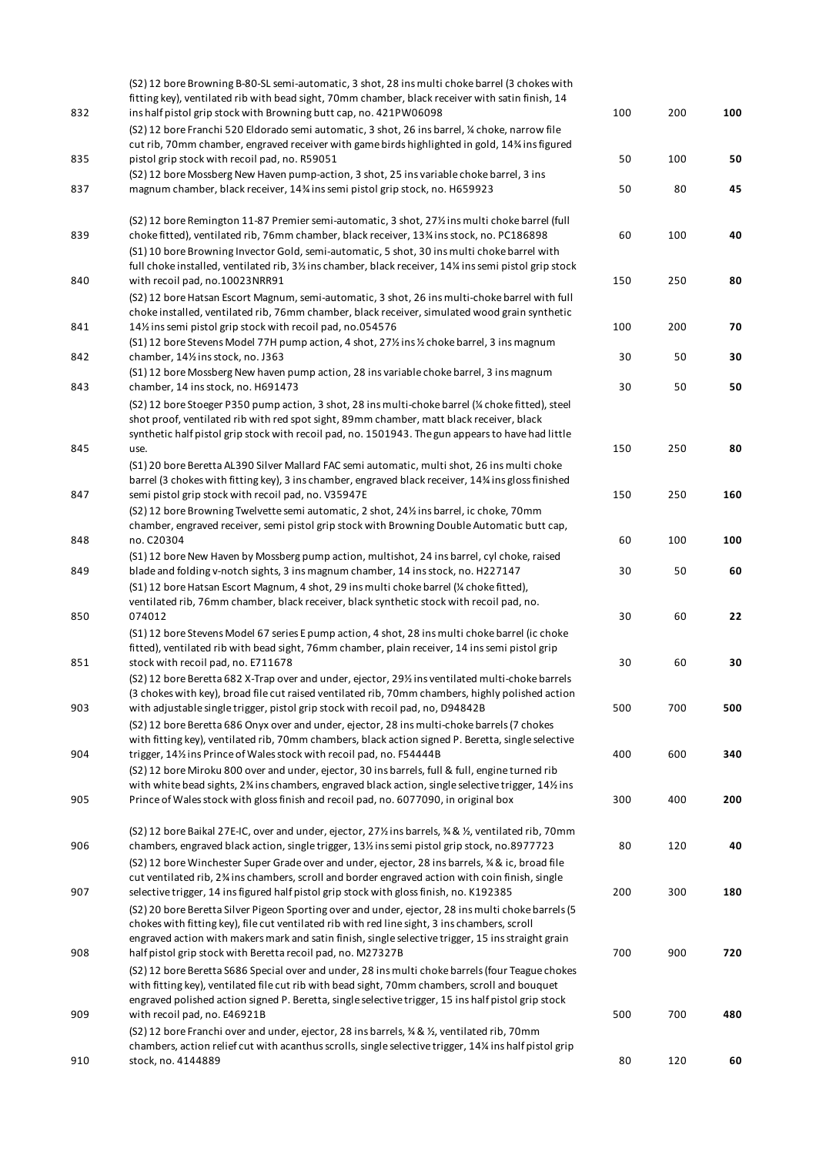| 832 | (S2) 12 bore Browning B-80-SL semi-automatic, 3 shot, 28 ins multi choke barrel (3 chokes with<br>fitting key), ventilated rib with bead sight, 70mm chamber, black receiver with satin finish, 14<br>ins half pistol grip stock with Browning butt cap, no. 421PW06098<br>(S2) 12 bore Franchi 520 Eldorado semi automatic, 3 shot, 26 ins barrel, ¼ choke, narrow file                               | 100 | 200 | 100 |
|-----|--------------------------------------------------------------------------------------------------------------------------------------------------------------------------------------------------------------------------------------------------------------------------------------------------------------------------------------------------------------------------------------------------------|-----|-----|-----|
| 835 | cut rib, 70mm chamber, engraved receiver with game birds highlighted in gold, 14% ins figured<br>pistol grip stock with recoil pad, no. R59051                                                                                                                                                                                                                                                         | 50  | 100 | 50  |
| 837 | (S2) 12 bore Mossberg New Haven pump-action, 3 shot, 25 ins variable choke barrel, 3 ins<br>magnum chamber, black receiver, 14% ins semi pistol grip stock, no. H659923                                                                                                                                                                                                                                | 50  | 80  | 45  |
|     |                                                                                                                                                                                                                                                                                                                                                                                                        |     |     |     |
| 839 | (S2) 12 bore Remington 11-87 Premier semi-automatic, 3 shot, 27% ins multi choke barrel (full<br>choke fitted), ventilated rib, 76mm chamber, black receiver, 13% ins stock, no. PC186898<br>(S1) 10 bore Browning Invector Gold, semi-automatic, 5 shot, 30 ins multi choke barrel with                                                                                                               | 60  | 100 | 40  |
| 840 | full choke installed, ventilated rib, 31/ <sub>2</sub> ins chamber, black receiver, 14 <sup>%</sup> ins semi pistol grip stock<br>with recoil pad, no.10023NRR91                                                                                                                                                                                                                                       | 150 | 250 | 80  |
| 841 | (S2) 12 bore Hatsan Escort Magnum, semi-automatic, 3 shot, 26 ins multi-choke barrel with full<br>choke installed, ventilated rib, 76mm chamber, black receiver, simulated wood grain synthetic<br>14% ins semi pistol grip stock with recoil pad, no.054576                                                                                                                                           | 100 | 200 | 70  |
| 842 | (S1) 12 bore Stevens Model 77H pump action, 4 shot, 27% ins % choke barrel, 3 ins magnum<br>chamber, 141/2 ins stock, no. J363                                                                                                                                                                                                                                                                         | 30  | 50  | 30  |
| 843 | (S1) 12 bore Mossberg New haven pump action, 28 ins variable choke barrel, 3 ins magnum<br>chamber, 14 ins stock, no. H691473                                                                                                                                                                                                                                                                          | 30  | 50  | 50  |
|     | (S2) 12 bore Stoeger P350 pump action, 3 shot, 28 ins multi-choke barrel (% choke fitted), steel<br>shot proof, ventilated rib with red spot sight, 89mm chamber, matt black receiver, black<br>synthetic half pistol grip stock with recoil pad, no. 1501943. The gun appears to have had little                                                                                                      |     |     |     |
| 845 | use.<br>(S1) 20 bore Beretta AL390 Silver Mallard FAC semi automatic, multi shot, 26 ins multi choke                                                                                                                                                                                                                                                                                                   | 150 | 250 | 80  |
| 847 | barrel (3 chokes with fitting key), 3 ins chamber, engraved black receiver, 14% ins gloss finished<br>semi pistol grip stock with recoil pad, no. V35947E                                                                                                                                                                                                                                              | 150 | 250 | 160 |
|     | (S2) 12 bore Browning Twelvette semi automatic, 2 shot, 24% ins barrel, ic choke, 70mm<br>chamber, engraved receiver, semi pistol grip stock with Browning Double Automatic butt cap,                                                                                                                                                                                                                  |     |     |     |
| 848 | no. C20304<br>(S1) 12 bore New Haven by Mossberg pump action, multishot, 24 ins barrel, cyl choke, raised                                                                                                                                                                                                                                                                                              | 60  | 100 | 100 |
| 849 | blade and folding v-notch sights, 3 ins magnum chamber, 14 ins stock, no. H227147<br>(S1) 12 bore Hatsan Escort Magnum, 4 shot, 29 ins multi choke barrel (¼ choke fitted),                                                                                                                                                                                                                            | 30  | 50  | 60  |
| 850 | ventilated rib, 76mm chamber, black receiver, black synthetic stock with recoil pad, no.<br>074012                                                                                                                                                                                                                                                                                                     | 30  | 60  | 22  |
| 851 | (S1) 12 bore Stevens Model 67 series E pump action, 4 shot, 28 ins multi choke barrel (ic choke<br>fitted), ventilated rib with bead sight, 76mm chamber, plain receiver, 14 ins semi pistol grip<br>stock with recoil pad, no. E711678                                                                                                                                                                | 30  | 60  | 30  |
|     | (S2) 12 bore Beretta 682 X-Trap over and under, ejector, 29% ins ventilated multi-choke barrels<br>(3 chokes with key), broad file cut raised ventilated rib, 70mm chambers, highly polished action                                                                                                                                                                                                    |     |     |     |
| 903 | with adjustable single trigger, pistol grip stock with recoil pad, no, D94842B<br>(S2) 12 bore Beretta 686 Onyx over and under, ejector, 28 ins multi-choke barrels (7 chokes                                                                                                                                                                                                                          | 500 | 700 | 500 |
| 904 | with fitting key), ventilated rib, 70mm chambers, black action signed P. Beretta, single selective<br>trigger, 14% ins Prince of Wales stock with recoil pad, no. F54444B                                                                                                                                                                                                                              | 400 | 600 | 340 |
| 905 | (S2) 12 bore Miroku 800 over and under, ejector, 30 ins barrels, full & full, engine turned rib<br>with white bead sights, 2 <sup>3</sup> / <sub>4</sub> ins chambers, engraved black action, single selective trigger, 14 <sup>1</sup> / <sub>2</sub> ins<br>Prince of Wales stock with gloss finish and recoil pad, no. 6077090, in original box                                                     | 300 | 400 | 200 |
| 906 | (S2) 12 bore Baikal 27E-IC, over and under, ejector, 27% ins barrels, % & %, ventilated rib, 70mm<br>chambers, engraved black action, single trigger, 13% ins semi pistol grip stock, no.8977723<br>(S2) 12 bore Winchester Super Grade over and under, ejector, 28 ins barrels, % & ic, broad file<br>cut ventilated rib, 2% ins chambers, scroll and border engraved action with coin finish, single | 80  | 120 | 40  |
| 907 | selective trigger, 14 ins figured half pistol grip stock with gloss finish, no. K192385                                                                                                                                                                                                                                                                                                                | 200 | 300 | 180 |
|     | (S2) 20 bore Beretta Silver Pigeon Sporting over and under, ejector, 28 ins multi choke barrels (5<br>chokes with fitting key), file cut ventilated rib with red line sight, 3 ins chambers, scroll<br>engraved action with makers mark and satin finish, single selective trigger, 15 ins straight grain                                                                                              |     |     |     |
| 908 | half pistol grip stock with Beretta recoil pad, no. M27327B                                                                                                                                                                                                                                                                                                                                            | 700 | 900 | 720 |
|     | (S2) 12 bore Beretta S686 Special over and under, 28 ins multi choke barrels (four Teague chokes<br>with fitting key), ventilated file cut rib with bead sight, 70mm chambers, scroll and bouquet<br>engraved polished action signed P. Beretta, single selective trigger, 15 ins half pistol grip stock                                                                                               |     |     |     |
| 909 | with recoil pad, no. E46921B<br>(S2) 12 bore Franchi over and under, ejector, 28 ins barrels, % & 1/2, ventilated rib, 70mm<br>chambers, action relief cut with acanthus scrolls, single selective trigger, 14% ins half pistol grip                                                                                                                                                                   | 500 | 700 | 480 |
| 910 | stock, no. 4144889                                                                                                                                                                                                                                                                                                                                                                                     | 80  | 120 | 60  |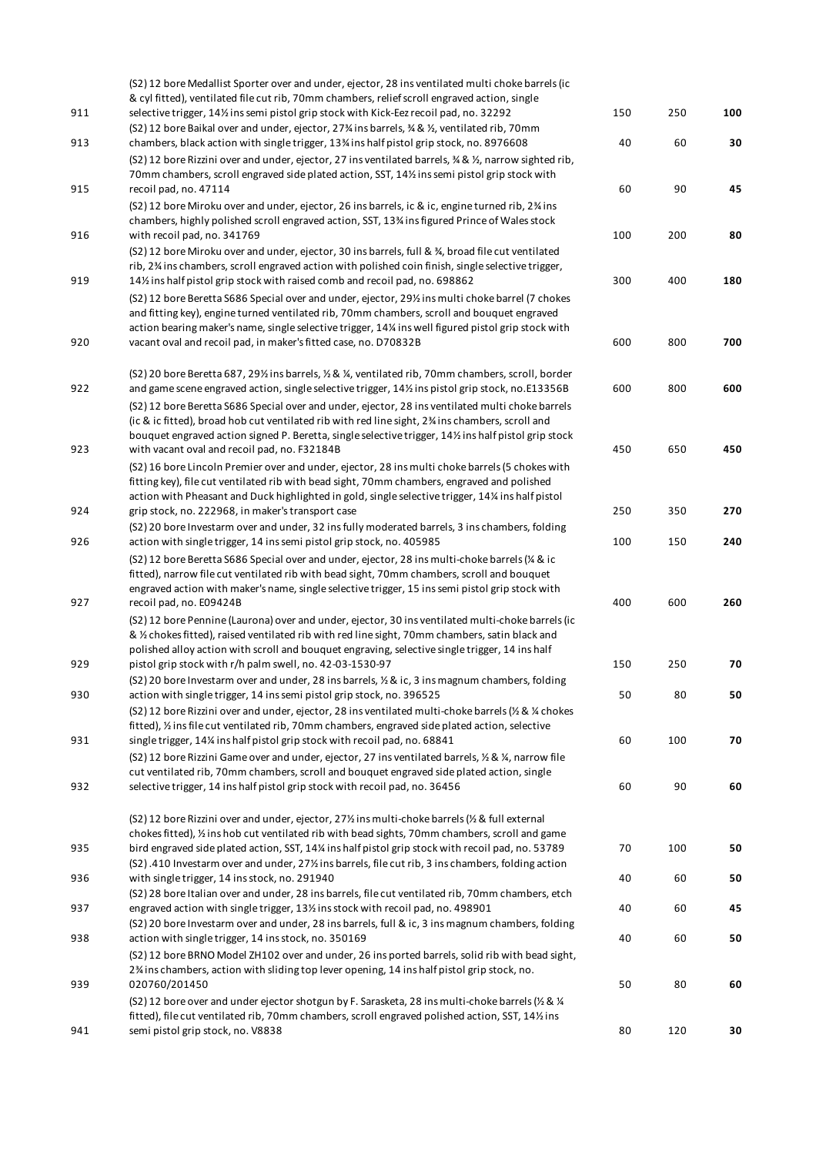|     | (S2) 12 bore Medallist Sporter over and under, ejector, 28 ins ventilated multi choke barrels (ic                                                                                                                              |     |     |     |
|-----|--------------------------------------------------------------------------------------------------------------------------------------------------------------------------------------------------------------------------------|-----|-----|-----|
| 911 | & cyl fitted), ventilated file cut rib, 70mm chambers, relief scroll engraved action, single<br>selective trigger, 14% ins semi pistol grip stock with Kick-Eez recoil pad, no. 32292                                          | 150 | 250 | 100 |
|     | (S2) 12 bore Baikal over and under, ejector, 27% ins barrels, % & 1/2, ventilated rib, 70mm                                                                                                                                    |     |     |     |
| 913 | chambers, black action with single trigger, 13% ins half pistol grip stock, no. 8976608                                                                                                                                        | 40  | 60  | 30  |
|     | (S2) 12 bore Rizzini over and under, ejector, 27 ins ventilated barrels, % & 1/2, narrow sighted rib,                                                                                                                          |     |     |     |
|     | 70mm chambers, scroll engraved side plated action, SST, 14% ins semi pistol grip stock with                                                                                                                                    |     |     |     |
| 915 | recoil pad, no. 47114                                                                                                                                                                                                          | 60  | 90  | 45  |
|     | (S2) 12 bore Miroku over and under, ejector, 26 ins barrels, ic & ic, engine turned rib, 2% ins<br>chambers, highly polished scroll engraved action, SST, 13 <sup>3</sup> ins figured Prince of Wales stock                    |     |     |     |
| 916 | with recoil pad, no. 341769                                                                                                                                                                                                    | 100 | 200 | 80  |
|     | (S2) 12 bore Miroku over and under, ejector, 30 ins barrels, full & %, broad file cut ventilated                                                                                                                               |     |     |     |
|     | rib, 2% ins chambers, scroll engraved action with polished coin finish, single selective trigger,                                                                                                                              |     |     |     |
| 919 | 14% ins half pistol grip stock with raised comb and recoil pad, no. 698862                                                                                                                                                     | 300 | 400 | 180 |
|     | (S2) 12 bore Beretta S686 Special over and under, ejector, 29% ins multi choke barrel (7 chokes<br>and fitting key), engine turned ventilated rib, 70mm chambers, scroll and bouquet engraved                                  |     |     |     |
|     | action bearing maker's name, single selective trigger, 14% ins well figured pistol grip stock with                                                                                                                             |     |     |     |
| 920 | vacant oval and recoil pad, in maker's fitted case, no. D70832B                                                                                                                                                                | 600 | 800 | 700 |
|     |                                                                                                                                                                                                                                |     |     |     |
|     | (S2) 20 bore Beretta 687, 29% ins barrels, $\frac{1}{2}$ & ¼, ventilated rib, 70mm chambers, scroll, border                                                                                                                    |     |     |     |
| 922 | and game scene engraved action, single selective trigger, 141/2 ins pistol grip stock, no.E13356B                                                                                                                              | 600 | 800 | 600 |
|     | (S2) 12 bore Beretta S686 Special over and under, ejector, 28 ins ventilated multi choke barrels<br>(ic & ic fitted), broad hob cut ventilated rib with red line sight, 2 <sup>3</sup> / <sub>4</sub> ins chambers, scroll and |     |     |     |
|     | bouquet engraved action signed P. Beretta, single selective trigger, 141/2 ins half pistol grip stock                                                                                                                          |     |     |     |
| 923 | with vacant oval and recoil pad, no. F32184B                                                                                                                                                                                   | 450 | 650 | 450 |
|     | (S2) 16 bore Lincoln Premier over and under, ejector, 28 ins multi choke barrels (5 chokes with                                                                                                                                |     |     |     |
|     | fitting key), file cut ventilated rib with bead sight, 70mm chambers, engraved and polished                                                                                                                                    |     |     |     |
|     | action with Pheasant and Duck highlighted in gold, single selective trigger, 14% ins half pistol                                                                                                                               |     |     |     |
| 924 | grip stock, no. 222968, in maker's transport case                                                                                                                                                                              | 250 | 350 | 270 |
| 926 | (S2) 20 bore Investarm over and under, 32 ins fully moderated barrels, 3 ins chambers, folding<br>action with single trigger, 14 ins semi pistol grip stock, no. 405985                                                        | 100 | 150 | 240 |
|     | (S2) 12 bore Beretta S686 Special over and under, ejector, 28 ins multi-choke barrels (1/4 & ic                                                                                                                                |     |     |     |
|     | fitted), narrow file cut ventilated rib with bead sight, 70mm chambers, scroll and bouquet                                                                                                                                     |     |     |     |
|     | engraved action with maker's name, single selective trigger, 15 ins semi pistol grip stock with                                                                                                                                |     |     |     |
| 927 | recoil pad, no. E09424B                                                                                                                                                                                                        | 400 | 600 | 260 |
|     | (S2) 12 bore Pennine (Laurona) over and under, ejector, 30 ins ventilated multi-choke barrels (ic                                                                                                                              |     |     |     |
|     | & ½ chokes fitted), raised ventilated rib with red line sight, 70mm chambers, satin black and<br>polished alloy action with scroll and bouquet engraving, selective single trigger, 14 ins half                                |     |     |     |
| 929 | pistol grip stock with r/h palm swell, no. 42-03-1530-97                                                                                                                                                                       | 150 | 250 | 70  |
|     | (S2) 20 bore Investarm over and under, 28 ins barrels, 1/2 & ic, 3 ins magnum chambers, folding                                                                                                                                |     |     |     |
| 930 | action with single trigger, 14 ins semi pistol grip stock, no. 396525                                                                                                                                                          | 50  | 80  | 50  |
|     | (S2) 12 bore Rizzini over and under, ejector, 28 ins ventilated multi-choke barrels ( $\frac{1}{2}$ & $\frac{1}{4}$ chokes                                                                                                     |     |     |     |
|     | fitted), 1/2 ins file cut ventilated rib, 70mm chambers, engraved side plated action, selective                                                                                                                                |     |     |     |
| 931 | single trigger, 14% ins half pistol grip stock with recoil pad, no. 68841<br>(S2) 12 bore Rizzini Game over and under, ejector, 27 ins ventilated barrels, $\frac{1}{2}$ & $\frac{1}{4}$ , narrow file                         | 60  | 100 | 70  |
|     | cut ventilated rib, 70mm chambers, scroll and bouquet engraved side plated action, single                                                                                                                                      |     |     |     |
| 932 | selective trigger, 14 ins half pistol grip stock with recoil pad, no. 36456                                                                                                                                                    | 60  | 90  | 60  |
|     |                                                                                                                                                                                                                                |     |     |     |
|     | (S2) 12 bore Rizzini over and under, ejector, 27% ins multi-choke barrels ( $\frac{1}{2}$ & full external                                                                                                                      |     |     |     |
|     | chokes fitted), 1/2 ins hob cut ventilated rib with bead sights, 70mm chambers, scroll and game                                                                                                                                | 70  | 100 | 50  |
| 935 | bird engraved side plated action, SST, 14% ins half pistol grip stock with recoil pad, no. 53789<br>(S2).410 Investarm over and under, 27% ins barrels, file cut rib, 3 ins chambers, folding action                           |     |     |     |
| 936 | with single trigger, 14 ins stock, no. 291940                                                                                                                                                                                  | 40  | 60  | 50  |
|     | (S2) 28 bore Italian over and under, 28 ins barrels, file cut ventilated rib, 70mm chambers, etch                                                                                                                              |     |     |     |
| 937 | engraved action with single trigger, 13% ins stock with recoil pad, no. 498901                                                                                                                                                 | 40  | 60  | 45  |
|     | (S2) 20 bore Investarm over and under, 28 ins barrels, full & ic, 3 ins magnum chambers, folding                                                                                                                               |     |     |     |
| 938 | action with single trigger, 14 ins stock, no. 350169                                                                                                                                                                           | 40  | 60  | 50  |
|     | (S2) 12 bore BRNO Model ZH102 over and under, 26 ins ported barrels, solid rib with bead sight,<br>2% ins chambers, action with sliding top lever opening, 14 ins half pistol grip stock, no.                                  |     |     |     |
| 939 | 020760/201450                                                                                                                                                                                                                  | 50  | 80  | 60  |
|     | (S2) 12 bore over and under ejector shotgun by F. Sarasketa, 28 ins multi-choke barrels (1/2 & 1/4                                                                                                                             |     |     |     |
|     | fitted), file cut ventilated rib, 70mm chambers, scroll engraved polished action, SST, 14% ins                                                                                                                                 |     |     |     |
| 941 | semi pistol grip stock, no. V8838                                                                                                                                                                                              | 80  | 120 | 30  |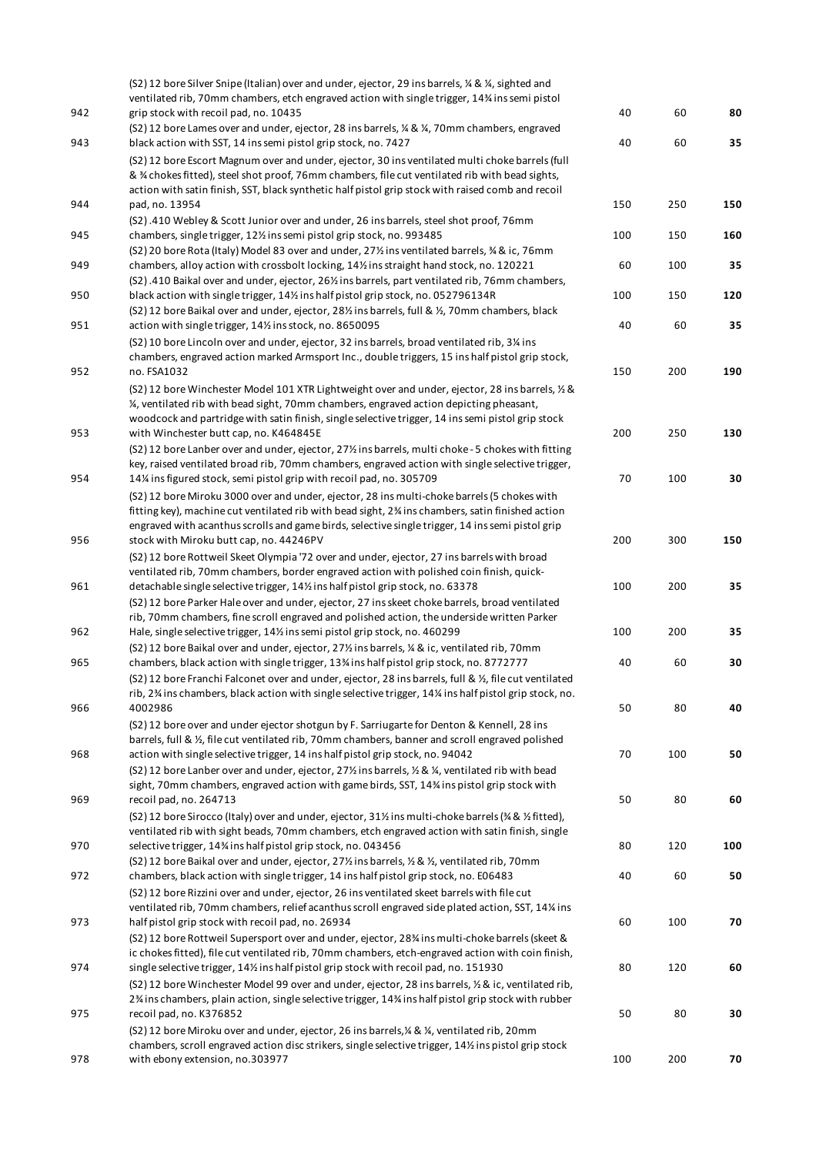|     | (S2) 12 bore Silver Snipe (Italian) over and under, ejector, 29 ins barrels, ¼ & ¼, sighted and                                                                                                             |     |     |     |
|-----|-------------------------------------------------------------------------------------------------------------------------------------------------------------------------------------------------------------|-----|-----|-----|
|     | ventilated rib, 70mm chambers, etch engraved action with single trigger, 14% ins semi pistol                                                                                                                |     |     |     |
| 942 | grip stock with recoil pad, no. 10435                                                                                                                                                                       | 40  | 60  | 80  |
|     | (S2) 12 bore Lames over and under, ejector, 28 ins barrels, $\frac{1}{2}$ & $\frac{1}{4}$ , 70mm chambers, engraved                                                                                         |     |     |     |
| 943 | black action with SST, 14 ins semi pistol grip stock, no. 7427                                                                                                                                              | 40  | 60  | 35  |
|     | (S2) 12 bore Escort Magnum over and under, ejector, 30 ins ventilated multi choke barrels (full<br>& % chokes fitted), steel shot proof, 76mm chambers, file cut ventilated rib with bead sights,           |     |     |     |
|     | action with satin finish, SST, black synthetic half pistol grip stock with raised comb and recoil                                                                                                           |     |     |     |
| 944 | pad, no. 13954                                                                                                                                                                                              | 150 | 250 | 150 |
|     | (S2).410 Webley & Scott Junior over and under, 26 ins barrels, steel shot proof, 76mm                                                                                                                       |     |     |     |
| 945 | chambers, single trigger, 12% ins semi pistol grip stock, no. 993485                                                                                                                                        | 100 | 150 | 160 |
|     | (S2) 20 bore Rota (Italy) Model 83 over and under, 27% ins ventilated barrels, % & ic, 76mm                                                                                                                 |     |     |     |
| 949 | chambers, alloy action with crossbolt locking, 14% ins straight hand stock, no. 120221                                                                                                                      | 60  | 100 | 35  |
|     | (S2).410 Baikal over and under, ejector, 26% ins barrels, part ventilated rib, 76mm chambers,                                                                                                               |     |     |     |
| 950 | black action with single trigger, 14% ins half pistol grip stock, no. 052796134R                                                                                                                            | 100 | 150 | 120 |
| 951 | (S2) 12 bore Baikal over and under, ejector, 28% ins barrels, full & %, 70mm chambers, black<br>action with single trigger, 141/2 ins stock, no. 8650095                                                    | 40  | 60  | 35  |
|     | (S2) 10 bore Lincoln over and under, ejector, 32 ins barrels, broad ventilated rib, 3¼ ins                                                                                                                  |     |     |     |
|     | chambers, engraved action marked Armsport Inc., double triggers, 15 ins half pistol grip stock,                                                                                                             |     |     |     |
| 952 | no. FSA1032                                                                                                                                                                                                 | 150 | 200 | 190 |
|     | (S2) 12 bore Winchester Model 101 XTR Lightweight over and under, ejector, 28 ins barrels, 1/2 &                                                                                                            |     |     |     |
|     | 1/4, ventilated rib with bead sight, 70mm chambers, engraved action depicting pheasant,                                                                                                                     |     |     |     |
|     | woodcock and partridge with satin finish, single selective trigger, 14 ins semi pistol grip stock                                                                                                           |     |     |     |
| 953 | with Winchester butt cap, no. K464845E                                                                                                                                                                      | 200 | 250 | 130 |
|     | (S2) 12 bore Lanber over and under, ejector, 27% ins barrels, multi choke - 5 chokes with fitting                                                                                                           |     |     |     |
|     | key, raised ventilated broad rib, 70mm chambers, engraved action with single selective trigger,                                                                                                             |     |     |     |
| 954 | 14% ins figured stock, semi pistol grip with recoil pad, no. 305709                                                                                                                                         | 70  | 100 | 30  |
|     | (S2) 12 bore Miroku 3000 over and under, ejector, 28 ins multi-choke barrels (5 chokes with                                                                                                                 |     |     |     |
|     | fitting key), machine cut ventilated rib with bead sight, 2% ins chambers, satin finished action                                                                                                            |     |     |     |
| 956 | engraved with acanthus scrolls and game birds, selective single trigger, 14 ins semi pistol grip<br>stock with Miroku butt cap, no. 44246PV                                                                 | 200 | 300 | 150 |
|     | (S2) 12 bore Rottweil Skeet Olympia '72 over and under, ejector, 27 ins barrels with broad                                                                                                                  |     |     |     |
|     | ventilated rib, 70mm chambers, border engraved action with polished coin finish, quick-                                                                                                                     |     |     |     |
| 961 | detachable single selective trigger, 14% ins half pistol grip stock, no. 63378                                                                                                                              | 100 | 200 | 35  |
|     | (S2) 12 bore Parker Hale over and under, ejector, 27 ins skeet choke barrels, broad ventilated                                                                                                              |     |     |     |
|     | rib, 70mm chambers, fine scroll engraved and polished action, the underside written Parker                                                                                                                  |     |     |     |
| 962 | Hale, single selective trigger, 14% ins semi pistol grip stock, no. 460299                                                                                                                                  | 100 | 200 | 35  |
|     | (S2) 12 bore Baikal over and under, ejector, 27% ins barrels, ¼ & ic, ventilated rib, 70mm                                                                                                                  |     |     |     |
| 965 | chambers, black action with single trigger, 13% ins half pistol grip stock, no. 8772777                                                                                                                     | 40  | 60  | 30  |
|     | (S2) 12 bore Franchi Falconet over and under, ejector, 28 ins barrels, full & 1/2, file cut ventilated                                                                                                      |     |     |     |
| 966 | rib, 2% ins chambers, black action with single selective trigger, 14% ins half pistol grip stock, no.<br>4002986                                                                                            | 50  | 80  | 40  |
|     | (S2) 12 bore over and under ejector shotgun by F. Sarriugarte for Denton & Kennell, 28 ins                                                                                                                  |     |     |     |
|     | barrels, full & 1/ <sub>2</sub> , file cut ventilated rib, 70mm chambers, banner and scroll engraved polished                                                                                               |     |     |     |
| 968 | action with single selective trigger, 14 ins half pistol grip stock, no. 94042                                                                                                                              | 70  | 100 | 50  |
|     | (S2) 12 bore Lanber over and under, ejector, 27% ins barrels, % & %, ventilated rib with bead                                                                                                               |     |     |     |
|     | sight, 70mm chambers, engraved action with game birds, SST, 14% ins pistol grip stock with                                                                                                                  |     |     |     |
| 969 | recoil pad, no. 264713                                                                                                                                                                                      | 50  | 80  | 60  |
|     | (S2) 12 bore Sirocco (Italy) over and under, ejector, 31½ ins multi-choke barrels (% & ½ fitted),                                                                                                           |     |     |     |
|     | ventilated rib with sight beads, 70mm chambers, etch engraved action with satin finish, single                                                                                                              |     |     |     |
| 970 | selective trigger, 14% ins half pistol grip stock, no. 043456                                                                                                                                               | 80  | 120 | 100 |
| 972 | (S2) 12 bore Baikal over and under, ejector, 27% ins barrels, $\frac{1}{2}$ & $\frac{1}{2}$ , ventilated rib, 70mm<br>chambers, black action with single trigger, 14 ins half pistol grip stock, no. E06483 | 40  | 60  | 50  |
|     | (S2) 12 bore Rizzini over and under, ejector, 26 ins ventilated skeet barrels with file cut                                                                                                                 |     |     |     |
|     | ventilated rib, 70mm chambers, relief acanthus scroll engraved side plated action, SST, 14% ins                                                                                                             |     |     |     |
| 973 | half pistol grip stock with recoil pad, no. 26934                                                                                                                                                           | 60  | 100 | 70  |
|     | (S2) 12 bore Rottweil Supersport over and under, ejector, 28% ins multi-choke barrels (skeet &                                                                                                              |     |     |     |
|     | ic chokes fitted), file cut ventilated rib, 70mm chambers, etch-engraved action with coin finish,                                                                                                           |     |     |     |
| 974 | single selective trigger, 14% ins half pistol grip stock with recoil pad, no. 151930                                                                                                                        | 80  | 120 | 60  |
|     | (S2) 12 bore Winchester Model 99 over and under, ejector, 28 ins barrels, 1/2 & ic, ventilated rib,                                                                                                         |     |     |     |
|     | 2% ins chambers, plain action, single selective trigger, 14% ins half pistol grip stock with rubber                                                                                                         |     |     |     |
| 975 | recoil pad, no. K376852                                                                                                                                                                                     | 50  | 80  | 30  |
|     | (S2) 12 bore Miroku over and under, ejector, 26 ins barrels, % & %, ventilated rib, 20mm                                                                                                                    |     |     |     |
| 978 | chambers, scroll engraved action disc strikers, single selective trigger, 14% ins pistol grip stock<br>with ebony extension, no.303977                                                                      | 100 | 200 | 70  |
|     |                                                                                                                                                                                                             |     |     |     |